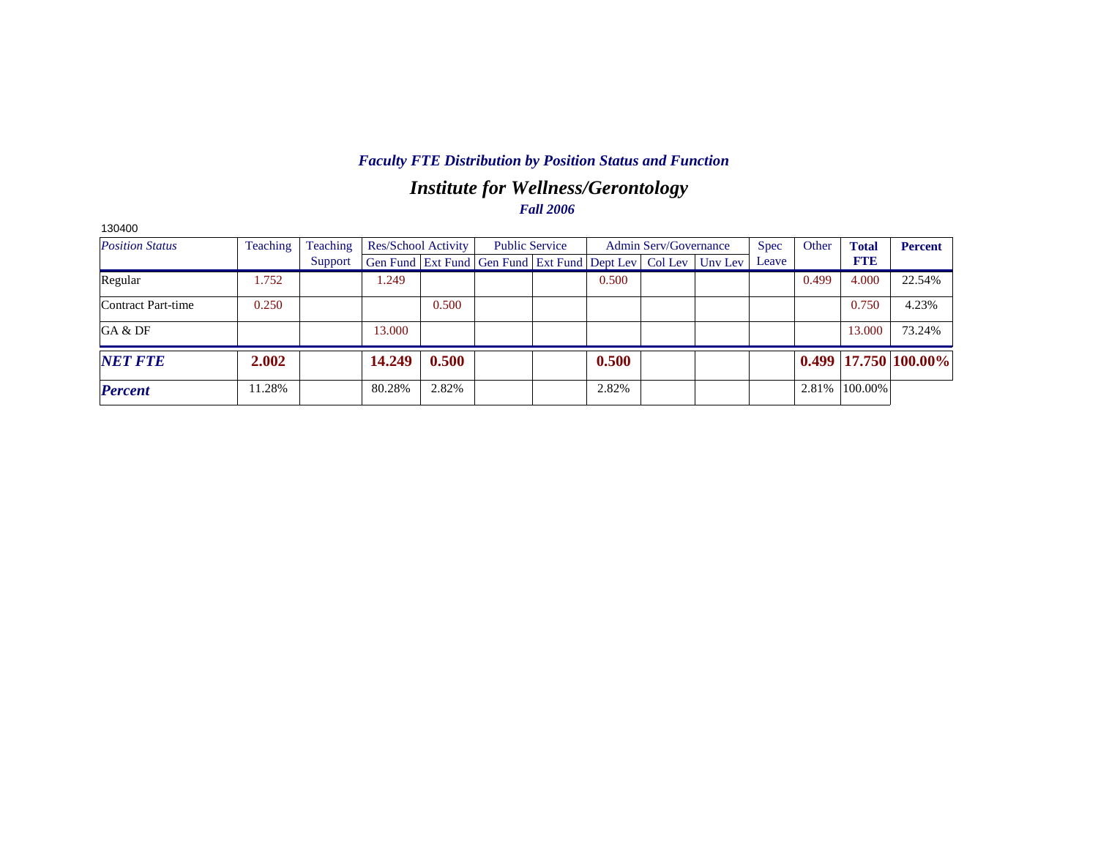# *Institute for Wellness/Gerontology Fall 2006*

| 130400                 |          |          |        |                     |                                                                |                                                |       |  |             |       |              |                |                            |
|------------------------|----------|----------|--------|---------------------|----------------------------------------------------------------|------------------------------------------------|-------|--|-------------|-------|--------------|----------------|----------------------------|
| <b>Position Status</b> | Teaching | Teaching |        | Res/School Activity |                                                                | <b>Public Service</b><br>Admin Serv/Governance |       |  | <b>Spec</b> | Other | <b>Total</b> | <b>Percent</b> |                            |
|                        |          | Support  |        |                     | Gen Fund   Ext Fund   Gen Fund   Ext Fund   Dept Lev   Col Lev |                                                |       |  | Unv Lev     | Leave |              | <b>FTE</b>     |                            |
| Regular                | 1.752    |          | 1.249  |                     |                                                                |                                                | 0.500 |  |             |       | 0.499        | 4.000          | 22.54%                     |
| Contract Part-time     | 0.250    |          |        | 0.500               |                                                                |                                                |       |  |             |       |              | 0.750          | 4.23%                      |
| GA & DF                |          |          | 13.000 |                     |                                                                |                                                |       |  |             |       |              | 13.000         | 73.24%                     |
| <b>NET FTE</b>         | 2.002    |          | 14.249 | 0.500               |                                                                |                                                | 0.500 |  |             |       |              |                | $0.499$   17.750   100.00% |
| <b>Percent</b>         | 11.28%   |          | 80.28% | 2.82%               |                                                                |                                                | 2.82% |  |             |       | 2.81%        | 100.00%        |                            |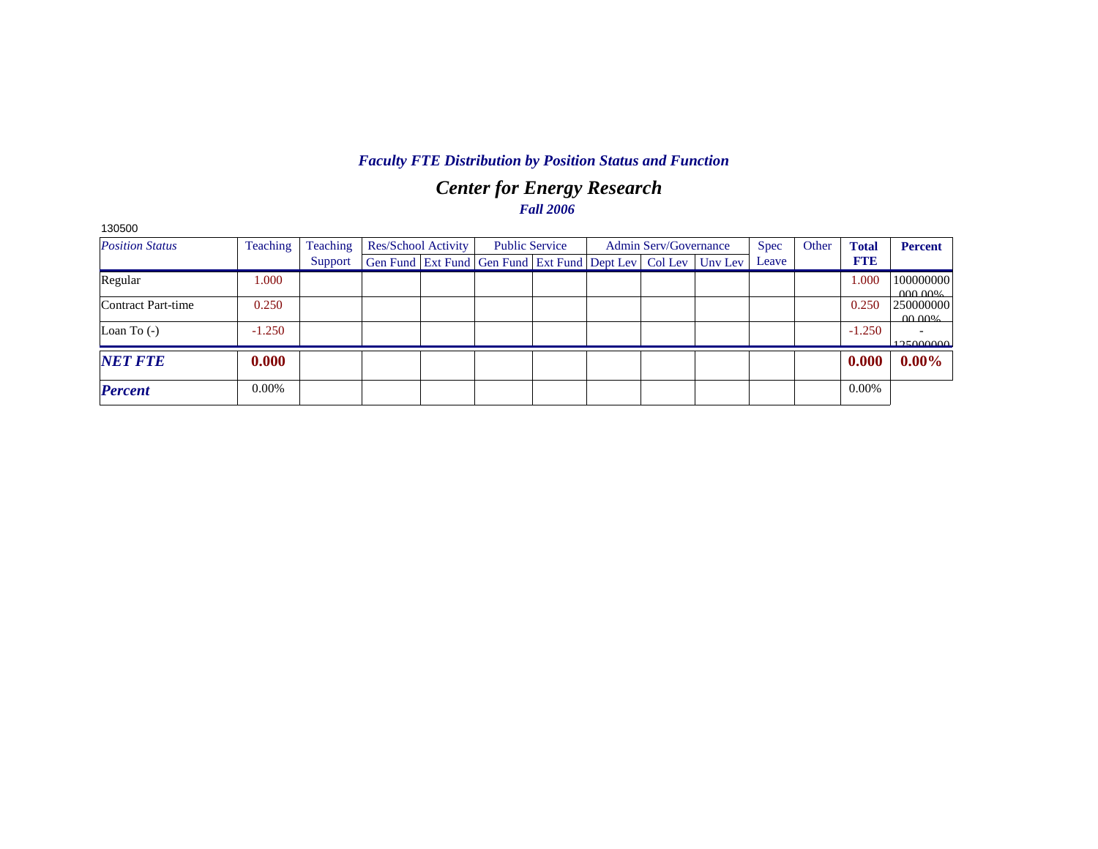# *Center for Energy Research Fall 2006*

| 130500                 |          |          |                     |  |                                                                          |  |                       |             |       |              |                        |
|------------------------|----------|----------|---------------------|--|--------------------------------------------------------------------------|--|-----------------------|-------------|-------|--------------|------------------------|
| <b>Position Status</b> | Teaching | Teaching | Res/School Activity |  | <b>Public Service</b>                                                    |  | Admin Serv/Governance | <b>Spec</b> | Other | <b>Total</b> | <b>Percent</b>         |
|                        |          | Support  |                     |  | Gen Fund   Ext Fund   Gen Fund   Ext Fund   Dept Lev   Col Lev   Unv Lev |  |                       | Leave       |       | <b>FTE</b>   |                        |
| Regular                | 1.000    |          |                     |  |                                                                          |  |                       |             |       | 1.000        | 100000000<br>0000006   |
| Contract Part-time     | 0.250    |          |                     |  |                                                                          |  |                       |             |       | 0.250        | 250000000<br>$00.00\%$ |
| Loan To $(-)$          | $-1.250$ |          |                     |  |                                                                          |  |                       |             |       | $-1.250$     | 125000000              |
| <b>NET FTE</b>         | 0.000    |          |                     |  |                                                                          |  |                       |             |       | 0.000        | $0.00\%$               |
| <b>Percent</b>         | 0.00%    |          |                     |  |                                                                          |  |                       |             |       | $0.00\%$     |                        |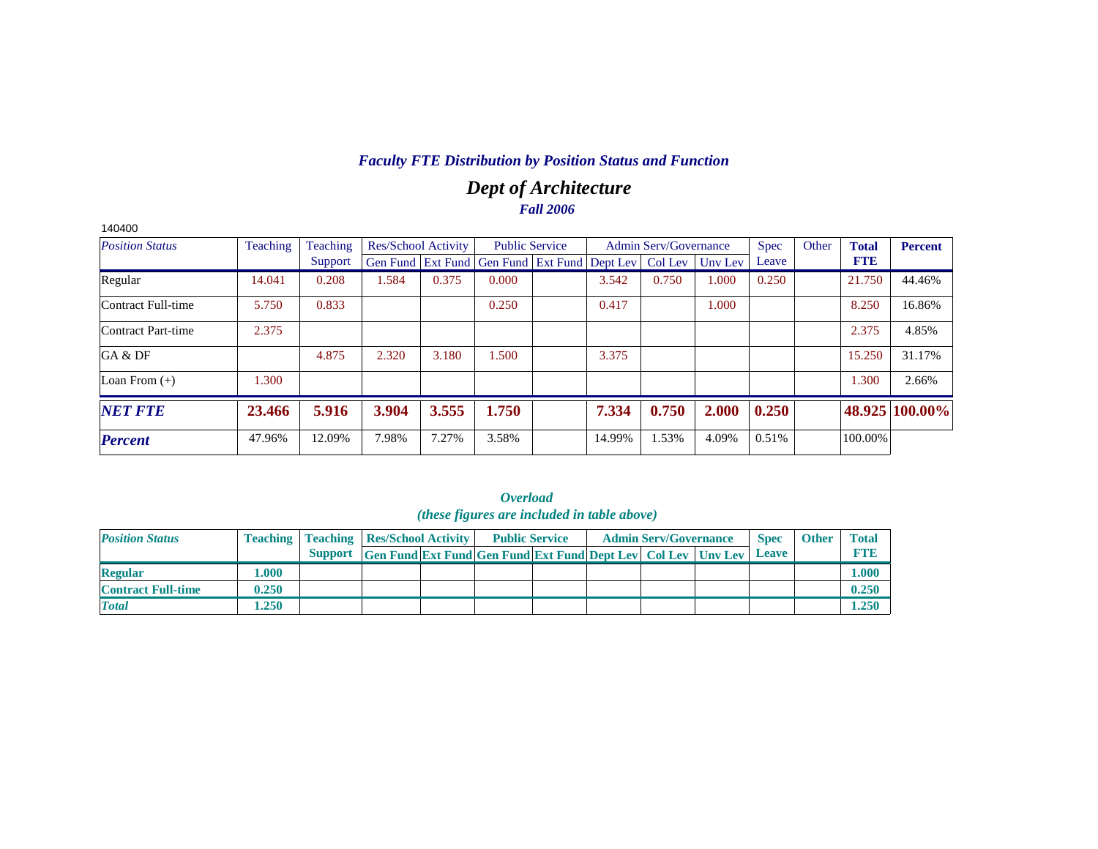# *Dept of Architecture Fall 2006*

| 140400                 |          |          |                            |       |                                                                |        |                              |         |       |       |              |                |
|------------------------|----------|----------|----------------------------|-------|----------------------------------------------------------------|--------|------------------------------|---------|-------|-------|--------------|----------------|
| <b>Position Status</b> | Teaching | Teaching | <b>Res/School Activity</b> |       | <b>Public Service</b>                                          |        | <b>Admin Serv/Governance</b> |         | Spec  | Other | <b>Total</b> | <b>Percent</b> |
|                        |          | Support  |                            |       | Gen Fund   Ext Fund   Gen Fund   Ext Fund   Dept Lev   Col Lev |        |                              | Uny Lev | Leave |       | <b>FTE</b>   |                |
| Regular                | 14.041   | 0.208    | 1.584                      | 0.375 | 0.000                                                          | 3.542  | 0.750                        | 1.000   | 0.250 |       | 21.750       | 44.46%         |
| Contract Full-time     | 5.750    | 0.833    |                            |       | 0.250                                                          | 0.417  |                              | 1.000   |       |       | 8.250        | 16.86%         |
| Contract Part-time     | 2.375    |          |                            |       |                                                                |        |                              |         |       |       | 2.375        | 4.85%          |
| GA & DF                |          | 4.875    | 2.320                      | 3.180 | 1.500                                                          | 3.375  |                              |         |       |       | 15.250       | 31.17%         |
| Loan From $(+)$        | 1.300    |          |                            |       |                                                                |        |                              |         |       |       | 1.300        | 2.66%          |
| <b>NET FTE</b>         | 23.466   | 5.916    | 3.904                      | 3.555 | 1.750                                                          | 7.334  | 0.750                        | 2.000   | 0.250 |       |              | 48.925 100.00% |
| <b>Percent</b>         | 47.96%   | 12.09%   | 7.98%                      | 7.27% | 3.58%                                                          | 14.99% | 1.53%                        | 4.09%   | 0.51% |       | 100.00%      |                |

| <i><b>Overload</b></i><br><i>(these figures are included in table above)</i> |       |                                                    |                                                                      |  |                       |  |  |                              |  |              |              |              |
|------------------------------------------------------------------------------|-------|----------------------------------------------------|----------------------------------------------------------------------|--|-----------------------|--|--|------------------------------|--|--------------|--------------|--------------|
| <b>Position Status</b>                                                       |       | <b>Teaching   Teaching   Res/School Activity  </b> |                                                                      |  | <b>Public Service</b> |  |  | <b>Admin Serv/Governance</b> |  | <b>Spec</b>  | <b>Other</b> | <b>Total</b> |
|                                                                              |       |                                                    | Support Gen Fund Ext Fund Gen Fund Ext Fund Dept Lev Col Lev Unv Lev |  |                       |  |  |                              |  | <b>Leave</b> |              | <b>FTE</b>   |
| <b>Regular</b>                                                               | 1.000 |                                                    |                                                                      |  |                       |  |  |                              |  |              |              | 1.000        |
| <b>Contract Full-time</b>                                                    | 0.250 |                                                    |                                                                      |  |                       |  |  |                              |  |              |              | 0.250        |
| <b>Total</b>                                                                 | 1.250 |                                                    |                                                                      |  |                       |  |  |                              |  |              |              | 1.250        |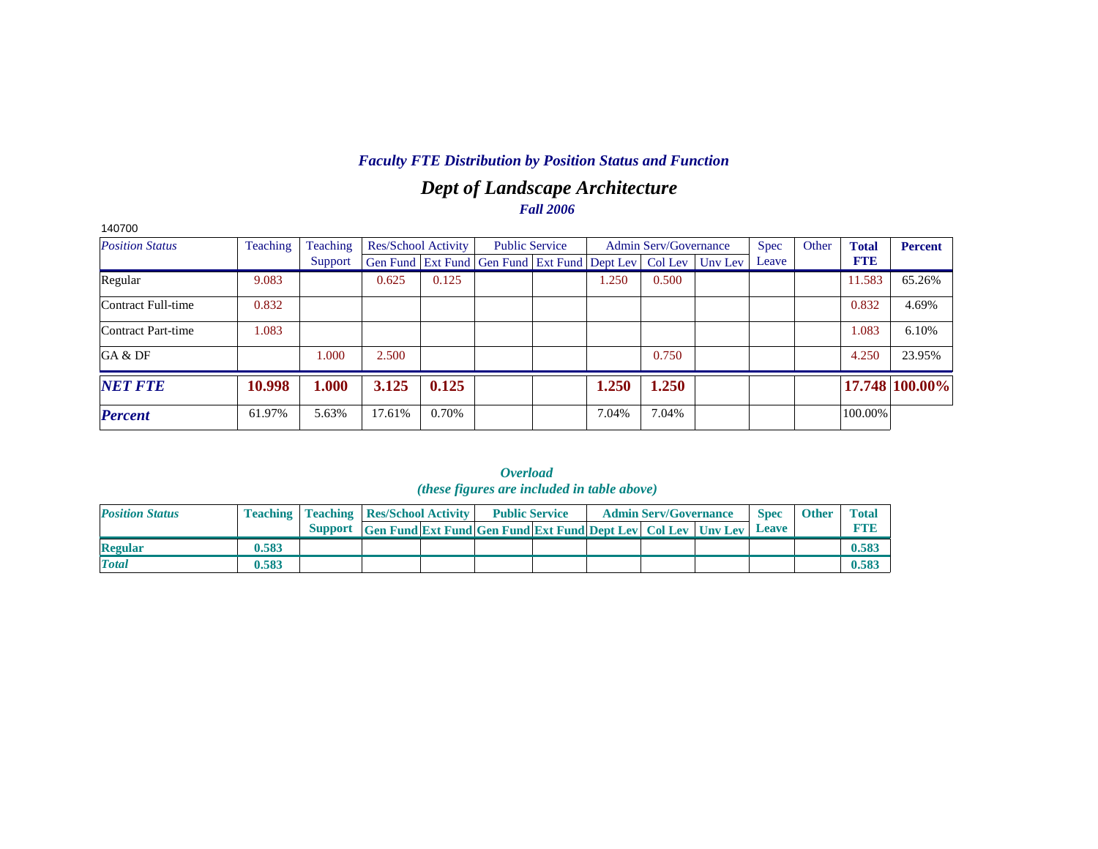# *Dept of Landscape Architecture Fall 2006*

| 140700                 |          |          |                            |       |                                                                |       |                       |         |             |       |              |                |
|------------------------|----------|----------|----------------------------|-------|----------------------------------------------------------------|-------|-----------------------|---------|-------------|-------|--------------|----------------|
| <b>Position Status</b> | Teaching | Teaching | <b>Res/School Activity</b> |       | <b>Public Service</b>                                          |       | Admin Serv/Governance |         | <b>Spec</b> | Other | <b>Total</b> | <b>Percent</b> |
|                        |          | Support  |                            |       | Gen Fund   Ext Fund   Gen Fund   Ext Fund   Dept Lev   Col Lev |       |                       | Unv Lev | Leave       |       | <b>FTE</b>   |                |
| Regular                | 9.083    |          | 0.625                      | 0.125 |                                                                | 0.250 | 0.500                 |         |             |       | 11.583       | 65.26%         |
| Contract Full-time     | 0.832    |          |                            |       |                                                                |       |                       |         |             |       | 0.832        | 4.69%          |
| Contract Part-time     | 1.083    |          |                            |       |                                                                |       |                       |         |             |       | 1.083        | 6.10%          |
| GA & DF                |          | 1.000    | 2.500                      |       |                                                                |       | 0.750                 |         |             |       | 4.250        | 23.95%         |
| <b>NET FTE</b>         | 10.998   | 1.000    | 3.125                      | 0.125 |                                                                | 1.250 | 1.250                 |         |             |       |              | 17.748 100.00% |
| <b>Percent</b>         | 61.97%   | 5.63%    | 17.61%                     | 0.70% |                                                                | 7.04% | 7.04%                 |         |             |       | 100.00%      |                |

|  |                                   | <i><b>Overload</b></i>                             |                              |
|--|-----------------------------------|----------------------------------------------------|------------------------------|
|  |                                   | <i>(these figures are included in table above)</i> |                              |
|  | hing Teaching Res/School Activity | <b>Public Service</b>                              | <b>Admin Serv/Governance</b> |

| <b>Position Status</b> |       | <b>Teaching   Teaching   Res/School Activity  </b> |                                                                     | <b>Public Service</b> |  | <b>Admin Serv/Governance</b> | <b>Spec</b> | <b>Other</b> | <b>Total</b> |
|------------------------|-------|----------------------------------------------------|---------------------------------------------------------------------|-----------------------|--|------------------------------|-------------|--------------|--------------|
|                        |       | <b>Support</b>                                     | <b>Gen Fund Ext Fund Gen Fund Ext Fund Dept Lev Col Lev Unv Lev</b> |                       |  |                              | Leave       |              |              |
| <b>Regular</b>         | 0.583 |                                                    |                                                                     |                       |  |                              |             |              |              |
| <b>Total</b>           | 0.583 |                                                    |                                                                     |                       |  |                              |             |              |              |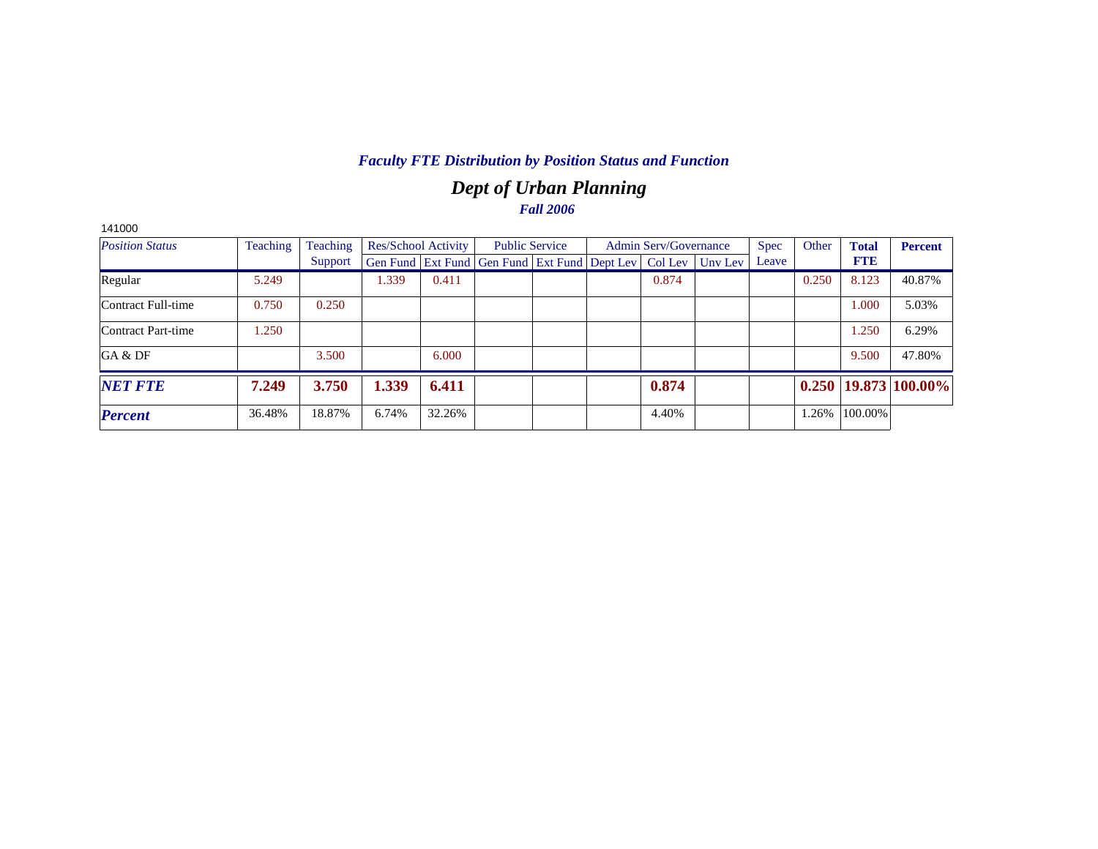# *Dept of Urban Planning Fall 2006*

| 141000                 |          |          |                            |        |                                                                |  |                              |         |             |       |              |                            |
|------------------------|----------|----------|----------------------------|--------|----------------------------------------------------------------|--|------------------------------|---------|-------------|-------|--------------|----------------------------|
| <b>Position Status</b> | Teaching | Teaching | <b>Res/School Activity</b> |        | <b>Public Service</b>                                          |  | <b>Admin Serv/Governance</b> |         | <b>Spec</b> | Other | <b>Total</b> | <b>Percent</b>             |
|                        |          | Support  |                            |        | Gen Fund   Ext Fund   Gen Fund   Ext Fund   Dept Lev   Col Lev |  |                              | Unv Lev | Leave       |       | <b>FTE</b>   |                            |
| Regular                | 5.249    |          | 1.339                      | 0.411  |                                                                |  | 0.874                        |         |             | 0.250 | 8.123        | 40.87%                     |
| Contract Full-time     | 0.750    | 0.250    |                            |        |                                                                |  |                              |         |             |       | 1.000        | 5.03%                      |
| Contract Part-time     | 1.250    |          |                            |        |                                                                |  |                              |         |             |       | 1.250        | 6.29%                      |
| GA & DF                |          | 3.500    |                            | 6.000  |                                                                |  |                              |         |             |       | 9.500        | 47.80%                     |
| <b>NET FTE</b>         | 7.249    | 3.750    | 1.339                      | 6.411  |                                                                |  | 0.874                        |         |             |       |              | $0.250$   19.873   100.00% |
| <b>Percent</b>         | 36.48%   | 18.87%   | 6.74%                      | 32.26% |                                                                |  | 4.40%                        |         |             | 1.26% | 100.00%      |                            |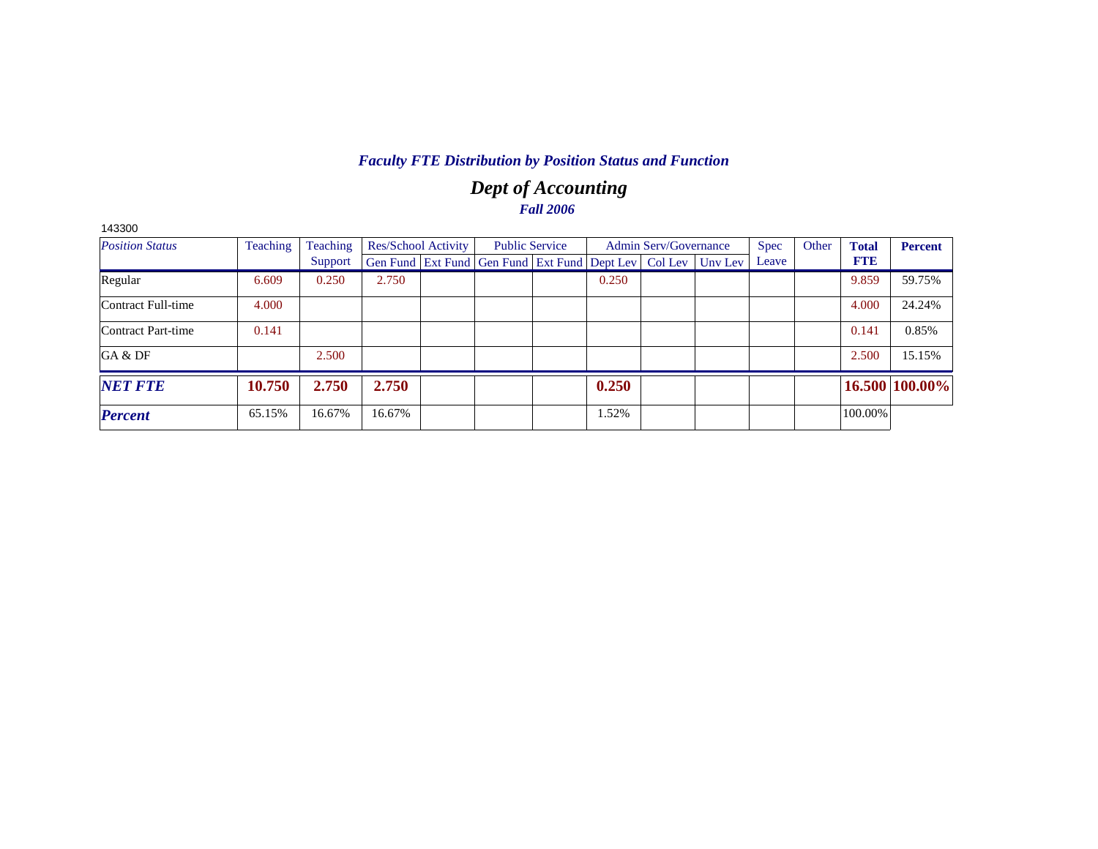# *Dept of Accounting Fall 2006*

| Teaching<br><b>Position Status</b> |        | Teaching | Res/School Activity |  | <b>Public Service</b>                                          |  |       | <b>Admin Serv/Governance</b> |         | <b>Spec</b> | Other | <b>Total</b> | <b>Percent</b> |
|------------------------------------|--------|----------|---------------------|--|----------------------------------------------------------------|--|-------|------------------------------|---------|-------------|-------|--------------|----------------|
|                                    |        | Support  |                     |  | Gen Fund   Ext Fund   Gen Fund   Ext Fund   Dept Lev   Col Lev |  |       |                              | Unv Lev | Leave       |       | <b>FTE</b>   |                |
| Regular                            | 6.609  | 0.250    | 2.750               |  |                                                                |  | 0.250 |                              |         |             |       | 9.859        | 59.75%         |
| Contract Full-time                 | 4.000  |          |                     |  |                                                                |  |       |                              |         |             |       | 4.000        | 24.24%         |
| Contract Part-time                 | 0.141  |          |                     |  |                                                                |  |       |                              |         |             |       | 0.141        | 0.85%          |
| GA & DF                            |        | 2.500    |                     |  |                                                                |  |       |                              |         |             |       | 2.500        | 15.15%         |
| <b>NET FTE</b>                     | 10.750 | 2.750    | 2.750               |  |                                                                |  | 0.250 |                              |         |             |       |              | 16.500 100.00% |
| <b>Percent</b>                     | 65.15% | 16.67%   | 16.67%              |  |                                                                |  | 1.52% |                              |         |             |       | 100.00%      |                |

143300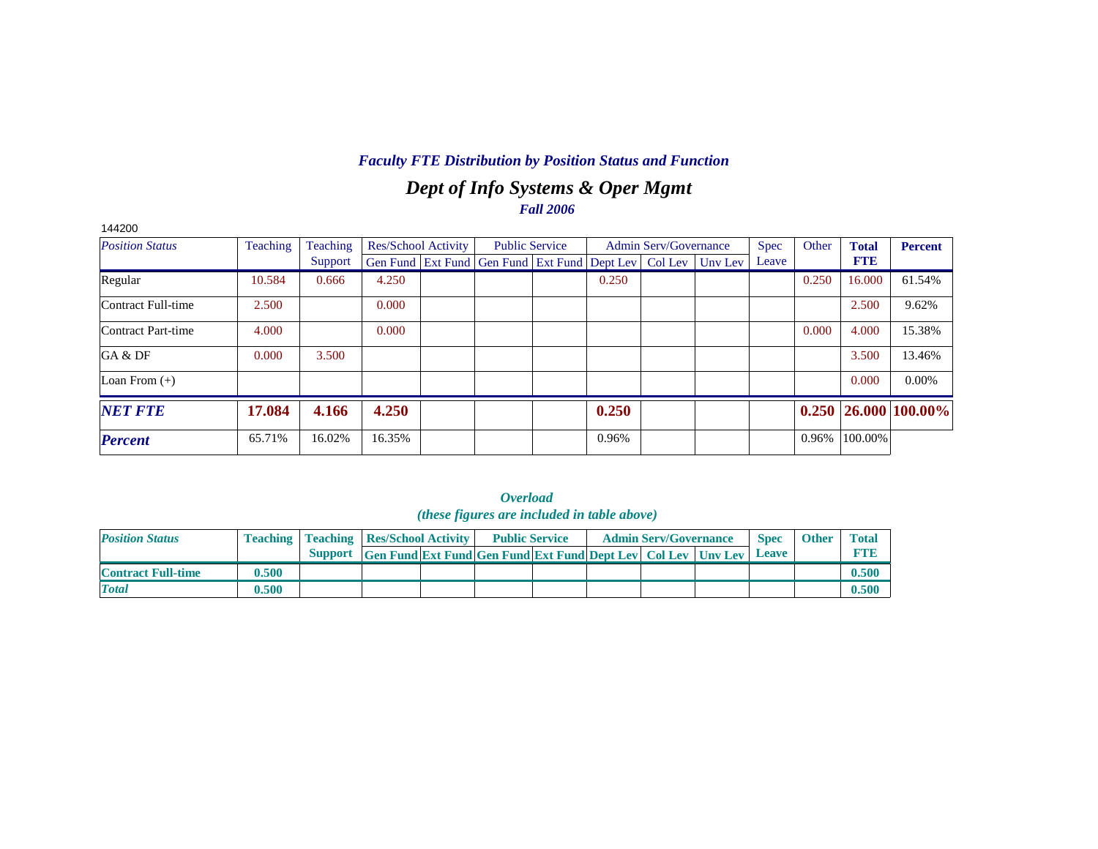# *Dept of Info Systems & Oper Mgmt Fall 2006*

| 144200                 |          |          |                            |                                                                  |       |                              |             |       |              |                            |
|------------------------|----------|----------|----------------------------|------------------------------------------------------------------|-------|------------------------------|-------------|-------|--------------|----------------------------|
| <b>Position Status</b> | Teaching | Teaching | <b>Res/School Activity</b> | <b>Public Service</b>                                            |       | <b>Admin Serv/Governance</b> | <b>Spec</b> | Other | <b>Total</b> | <b>Percent</b>             |
|                        |          | Support  |                            | Gen Fund Ext Fund Gen Fund Ext Fund Dept Lev   Col Lev   Unv Lev |       |                              | Leave       |       | <b>FTE</b>   |                            |
| Regular                | 10.584   | 0.666    | 4.250                      |                                                                  | 0.250 |                              |             | 0.250 | 16.000       | 61.54%                     |
| Contract Full-time     | 2.500    |          | 0.000                      |                                                                  |       |                              |             |       | 2.500        | 9.62%                      |
| Contract Part-time     | 4.000    |          | 0.000                      |                                                                  |       |                              |             | 0.000 | 4.000        | 15.38%                     |
| GA & DF                | 0.000    | 3.500    |                            |                                                                  |       |                              |             |       | 3.500        | 13.46%                     |
| Loan From $(+)$        |          |          |                            |                                                                  |       |                              |             |       | 0.000        | $0.00\%$                   |
| <b>NET FTE</b>         | 17.084   | 4.166    | 4.250                      |                                                                  | 0.250 |                              |             |       |              | $0.250$   26.000   100.00% |
| <b>Percent</b>         | 65.71%   | 16.02%   | 16.35%                     |                                                                  | 0.96% |                              |             | 0.96% | 100.00%      |                            |

|                           |       |                                                                      | <i>(these figures are included in table above)</i> |                              |             |              |            |
|---------------------------|-------|----------------------------------------------------------------------|----------------------------------------------------|------------------------------|-------------|--------------|------------|
| <b>Position Status</b>    |       | <b>Teaching   Teaching   Res/School Activity  </b>                   | <b>Public Service</b>                              | <b>Admin Serv/Governance</b> | <b>Spec</b> | <b>Other</b> | Total      |
|                           |       | Support Gen Fund Ext Fund Gen Fund Ext Fund Dept Lev Col Lev Unv Lev |                                                    |                              | Leave       |              | <b>FTE</b> |
| <b>Contract Full-time</b> | 0.500 |                                                                      |                                                    |                              |             |              | 0.500      |
| <b>Total</b>              | 0.500 |                                                                      |                                                    |                              |             |              | 0.500      |

| <i><b>Overload</b></i>                     |  |  |  |  |  |  |  |  |  |  |  |  |
|--------------------------------------------|--|--|--|--|--|--|--|--|--|--|--|--|
| (these figures are included in table above |  |  |  |  |  |  |  |  |  |  |  |  |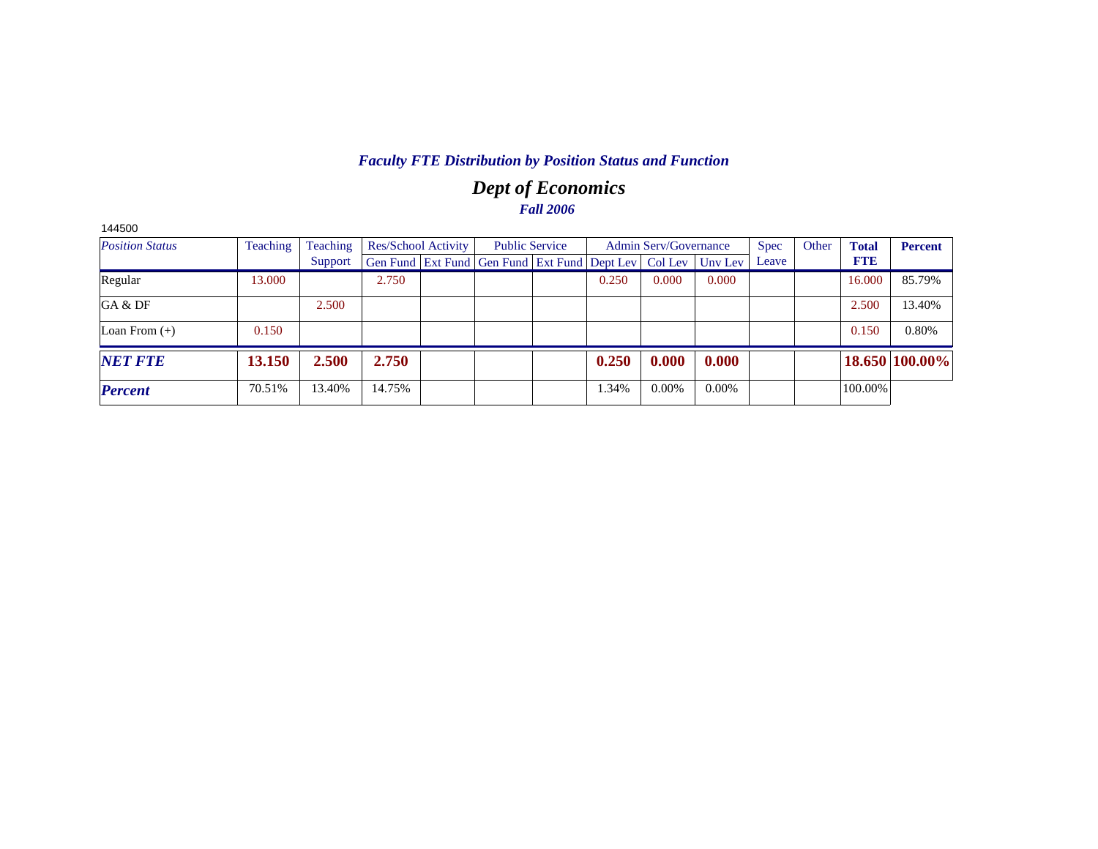# *Dept of Economics Fall 2006*

| 144500                 |          |          |                            |                                                                |       |                       |          |             |       |              |                |
|------------------------|----------|----------|----------------------------|----------------------------------------------------------------|-------|-----------------------|----------|-------------|-------|--------------|----------------|
| <b>Position Status</b> | Teaching | Teaching | <b>Res/School Activity</b> | <b>Public Service</b>                                          |       | Admin Serv/Governance |          | <b>Spec</b> | Other | <b>Total</b> | <b>Percent</b> |
|                        |          | Support  |                            | Gen Fund   Ext Fund   Gen Fund   Ext Fund   Dept Lev   Col Lev |       |                       | Unv Lev  | Leave       |       | <b>FTE</b>   |                |
| Regular                | 13.000   |          | 2.750                      |                                                                | 0.250 | 0.000                 | 0.000    |             |       | 16.000       | 85.79%         |
| GA & DF                |          | 2.500    |                            |                                                                |       |                       |          |             |       | 2.500        | 13.40%         |
| Loan From $(+)$        | 0.150    |          |                            |                                                                |       |                       |          |             |       | 0.150        | 0.80%          |
| <b>NET FTE</b>         | 13.150   | 2.500    | 2.750                      |                                                                | 0.250 | 0.000                 | 0.000    |             |       |              | 18.650 100.00% |
| <b>Percent</b>         | 70.51%   | 13.40%   | 14.75%                     |                                                                | 1.34% | $0.00\%$              | $0.00\%$ |             |       | 100.00%      |                |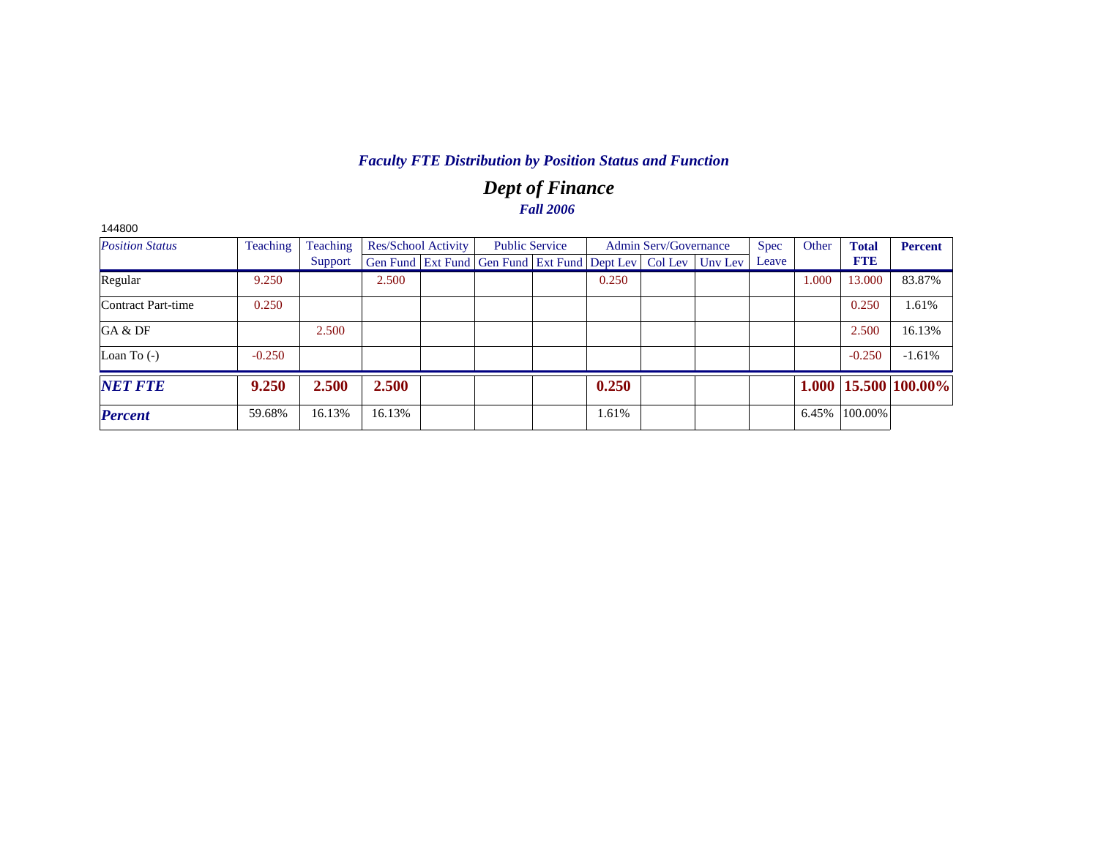# *Dept of Finance Fall 2006*

| <b>Position Status</b> | Teaching | Teaching |        | Res/School Activity |                                                                | <b>Public Service</b> |       | <b>Admin Serv/Governance</b> |         | <b>Spec</b> | Other | <b>Total</b> | <b>Percent</b>               |
|------------------------|----------|----------|--------|---------------------|----------------------------------------------------------------|-----------------------|-------|------------------------------|---------|-------------|-------|--------------|------------------------------|
|                        |          | Support  |        |                     | Gen Fund   Ext Fund   Gen Fund   Ext Fund   Dept Lev   Col Lev |                       |       |                              | Unv Lev | Leave       |       | <b>FTE</b>   |                              |
| Regular                | 9.250    |          | 2.500  |                     |                                                                |                       | 0.250 |                              |         |             | 1.000 | 13.000       | 83.87%                       |
| Contract Part-time     | 0.250    |          |        |                     |                                                                |                       |       |                              |         |             |       | 0.250        | 1.61%                        |
| GA & DF                |          | 2.500    |        |                     |                                                                |                       |       |                              |         |             |       | 2.500        | 16.13%                       |
| Loan To $(-)$          | $-0.250$ |          |        |                     |                                                                |                       |       |                              |         |             |       | $-0.250$     | $-1.61%$                     |
| <b>NET FTE</b>         | 9.250    | 2.500    | 2.500  |                     |                                                                |                       | 0.250 |                              |         |             |       |              | $1.000   15.500   100.00\% $ |
| <b>Percent</b>         | 59.68%   | 16.13%   | 16.13% |                     |                                                                |                       | 1.61% |                              |         |             | 6.45% | 100.00%      |                              |

144800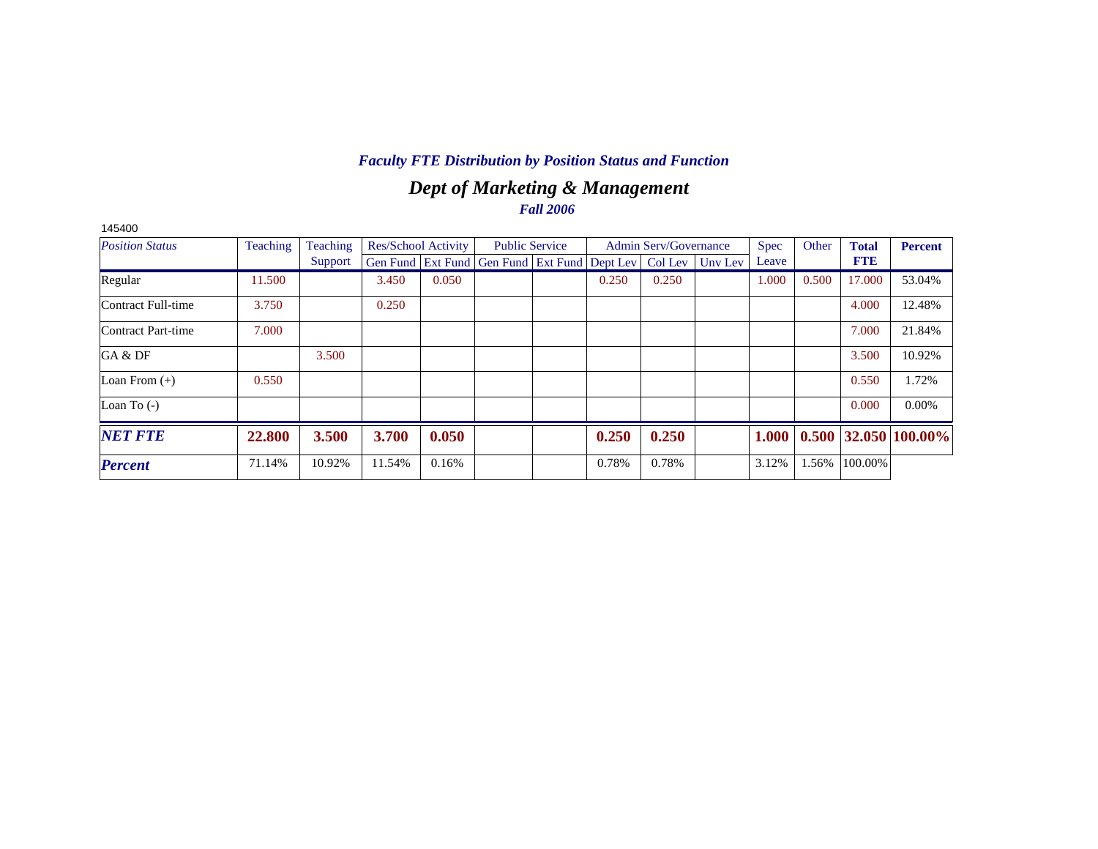# *Dept of Marketing & Management Fall 2006*

| 145400                 |          |          |        |                            |                                                                |                       |       |                              |         |             |       |              |                        |
|------------------------|----------|----------|--------|----------------------------|----------------------------------------------------------------|-----------------------|-------|------------------------------|---------|-------------|-------|--------------|------------------------|
| <b>Position Status</b> | Teaching | Teaching |        | <b>Res/School Activity</b> |                                                                | <b>Public Service</b> |       | <b>Admin Serv/Governance</b> |         | <b>Spec</b> | Other | <b>Total</b> | <b>Percent</b>         |
|                        |          | Support  |        |                            | Gen Fund   Ext Fund   Gen Fund   Ext Fund   Dept Lev   Col Lev |                       |       |                              | Unv Lev | Leave       |       | <b>FTE</b>   |                        |
| Regular                | 11.500   |          | 3.450  | 0.050                      |                                                                |                       | 0.250 | 0.250                        |         | 1.000       | 0.500 | 17.000       | 53.04%                 |
| Contract Full-time     | 3.750    |          | 0.250  |                            |                                                                |                       |       |                              |         |             |       | 4.000        | 12.48%                 |
| Contract Part-time     | 7.000    |          |        |                            |                                                                |                       |       |                              |         |             |       | 7.000        | 21.84%                 |
| GA & DF                |          | 3.500    |        |                            |                                                                |                       |       |                              |         |             |       | 3.500        | 10.92%                 |
| Loan From $(+)$        | 0.550    |          |        |                            |                                                                |                       |       |                              |         |             |       | 0.550        | 1.72%                  |
| Loan To $(-)$          |          |          |        |                            |                                                                |                       |       |                              |         |             |       | 0.000        | $0.00\%$               |
| <b>NET FTE</b>         | 22.800   | 3.500    | 3.700  | 0.050                      |                                                                |                       | 0.250 | 0.250                        |         | 1.000       |       |              | $0.500$ 32.050 100.00% |
| <b>Percent</b>         | 71.14%   | 10.92%   | 11.54% | 0.16%                      |                                                                |                       | 0.78% | 0.78%                        |         | 3.12%       | 1.56% | 100.00%      |                        |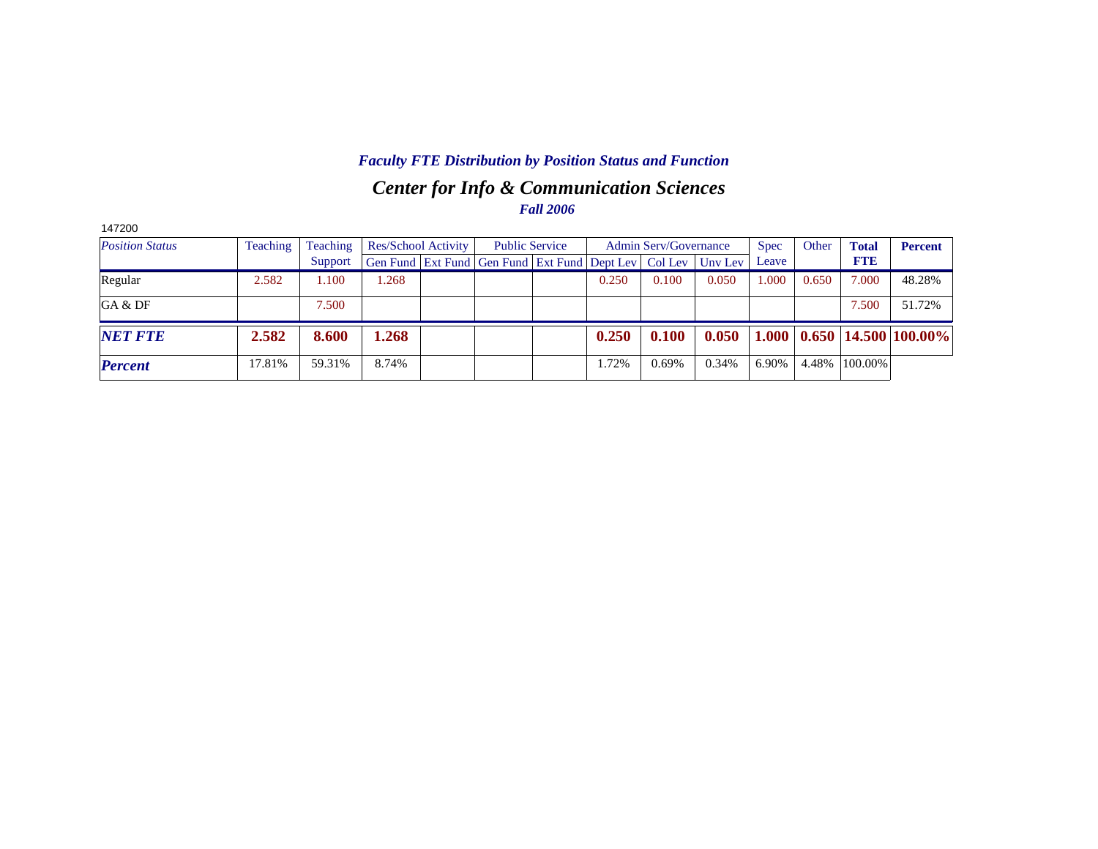# *Center for Info & Communication Sciences Fall 2006 Faculty FTE Distribution by Position Status and Function*

| 147200                 |          |          |                            |                                                                |                       |       |                       |         |             |       |              |                                                   |
|------------------------|----------|----------|----------------------------|----------------------------------------------------------------|-----------------------|-------|-----------------------|---------|-------------|-------|--------------|---------------------------------------------------|
| <b>Position Status</b> | Teaching | Teaching | <b>Res/School Activity</b> |                                                                | <b>Public Service</b> |       | Admin Serv/Governance |         | <b>Spec</b> | Other | <b>Total</b> | <b>Percent</b>                                    |
|                        |          | Support  |                            | Gen Fund   Ext Fund   Gen Fund   Ext Fund   Dept Lev   Col Lev |                       |       |                       | Unv Lev | Leave       |       | <b>FTE</b>   |                                                   |
| Regular                | 2.582    | 1.100    | .268                       |                                                                |                       | 0.250 | 0.100                 | 0.050   | 1.000       | 0.650 | 7.000        | 48.28%                                            |
| GA & DF                |          | 7.500    |                            |                                                                |                       |       |                       |         |             |       | 7.500        | 51.72%                                            |
| <b>NET FTE</b>         | 2.582    | 8.600    | .268                       |                                                                |                       | 0.250 | 0.100                 | 0.050   |             |       |              | $1.000 \mid 0.650 \mid 14.500 \mid 100.00\% \mid$ |
| <b>Percent</b>         | 17.81%   | 59.31%   | 8.74%                      |                                                                |                       | 1.72% | $0.69\%$              | 0.34%   | 6.90%       | 4.48% | 100.00%      |                                                   |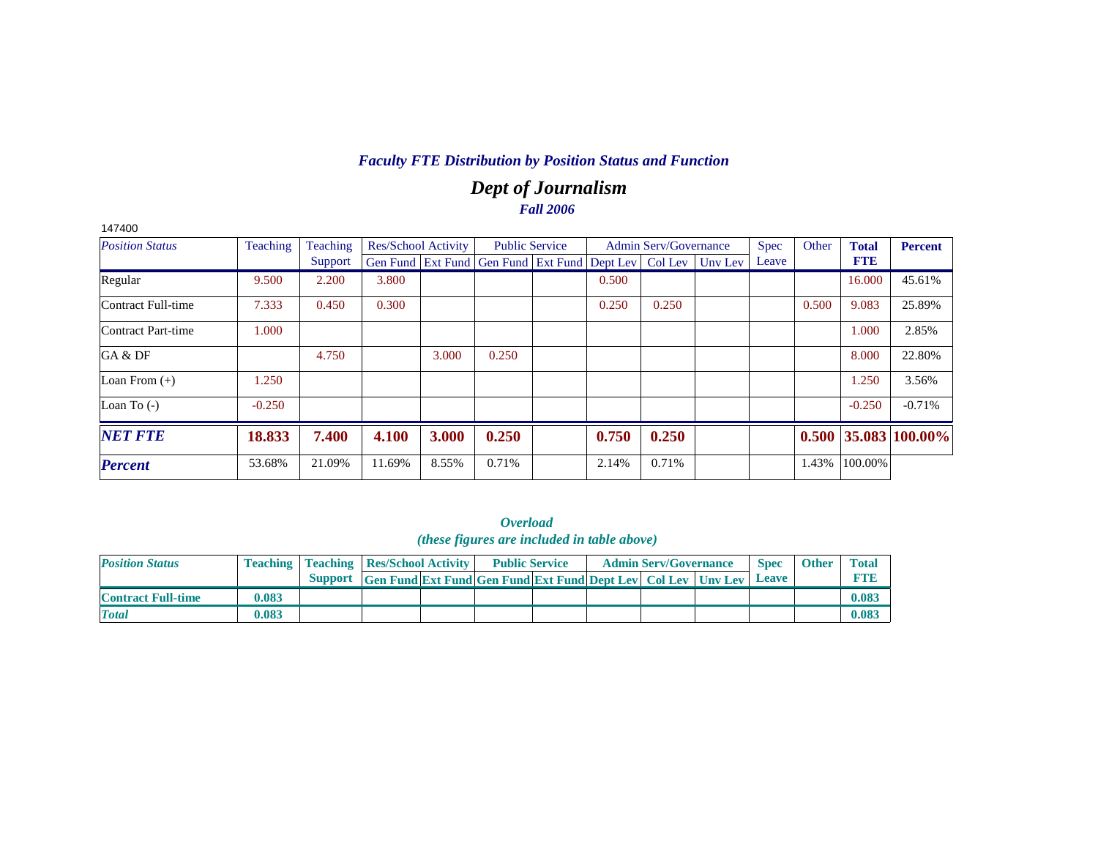# *Dept of Journalism Fall 2006*

| 147400                 |          |          |                            |       |                                                                |       |                              |         |             |       |              |                        |
|------------------------|----------|----------|----------------------------|-------|----------------------------------------------------------------|-------|------------------------------|---------|-------------|-------|--------------|------------------------|
| <b>Position Status</b> | Teaching | Teaching | <b>Res/School Activity</b> |       | <b>Public Service</b>                                          |       | <b>Admin Serv/Governance</b> |         | <b>Spec</b> | Other | <b>Total</b> | Percent                |
|                        |          | Support  |                            |       | Gen Fund   Ext Fund   Gen Fund   Ext Fund   Dept Lev   Col Lev |       |                              | Uny Lev | Leave       |       | <b>FTE</b>   |                        |
| Regular                | 9.500    | 2.200    | 3.800                      |       |                                                                | 0.500 |                              |         |             |       | 16.000       | 45.61%                 |
| Contract Full-time     | 7.333    | 0.450    | 0.300                      |       |                                                                | 0.250 | 0.250                        |         |             | 0.500 | 9.083        | 25.89%                 |
| Contract Part-time     | 1.000    |          |                            |       |                                                                |       |                              |         |             |       | 1.000        | 2.85%                  |
| GA & DF                |          | 4.750    |                            | 3.000 | 0.250                                                          |       |                              |         |             |       | 8.000        | 22.80%                 |
| Loan From $(+)$        | 1.250    |          |                            |       |                                                                |       |                              |         |             |       | 1.250        | 3.56%                  |
| Loan To $(-)$          | $-0.250$ |          |                            |       |                                                                |       |                              |         |             |       | $-0.250$     | $-0.71%$               |
| <b>NET FTE</b>         | 18.833   | 7.400    | 4.100                      | 3.000 | 0.250                                                          | 0.750 | 0.250                        |         |             |       |              | $0.500$ 35.083 100.00% |
| <b>Percent</b>         | 53.68%   | 21.09%   | 11.69%                     | 8.55% | 0.71%                                                          | 2.14% | 0.71%                        |         |             | 1.43% | 100.00%      |                        |

#### *Overload (these figures are included in table above)*

| <b>Position Status</b>    |       | <b>Teaching   Teaching   Res/School Activity  </b> |                                                                          | <b>Public Service</b> |  | <b>Admin Serv/Governance</b> | <b>Spec</b> | <b>Other</b> | <b>Total</b> |
|---------------------------|-------|----------------------------------------------------|--------------------------------------------------------------------------|-----------------------|--|------------------------------|-------------|--------------|--------------|
|                           |       |                                                    | Support Gen Fund Ext Fund Gen Fund Ext Fund Dept Lev   Col Lev   Unv Lev |                       |  |                              | Leave       |              |              |
| <b>Contract Full-time</b> | 0.083 |                                                    |                                                                          |                       |  |                              |             |              | 0.083        |
| <b>Total</b>              | 0.083 |                                                    |                                                                          |                       |  |                              |             |              | 0.083        |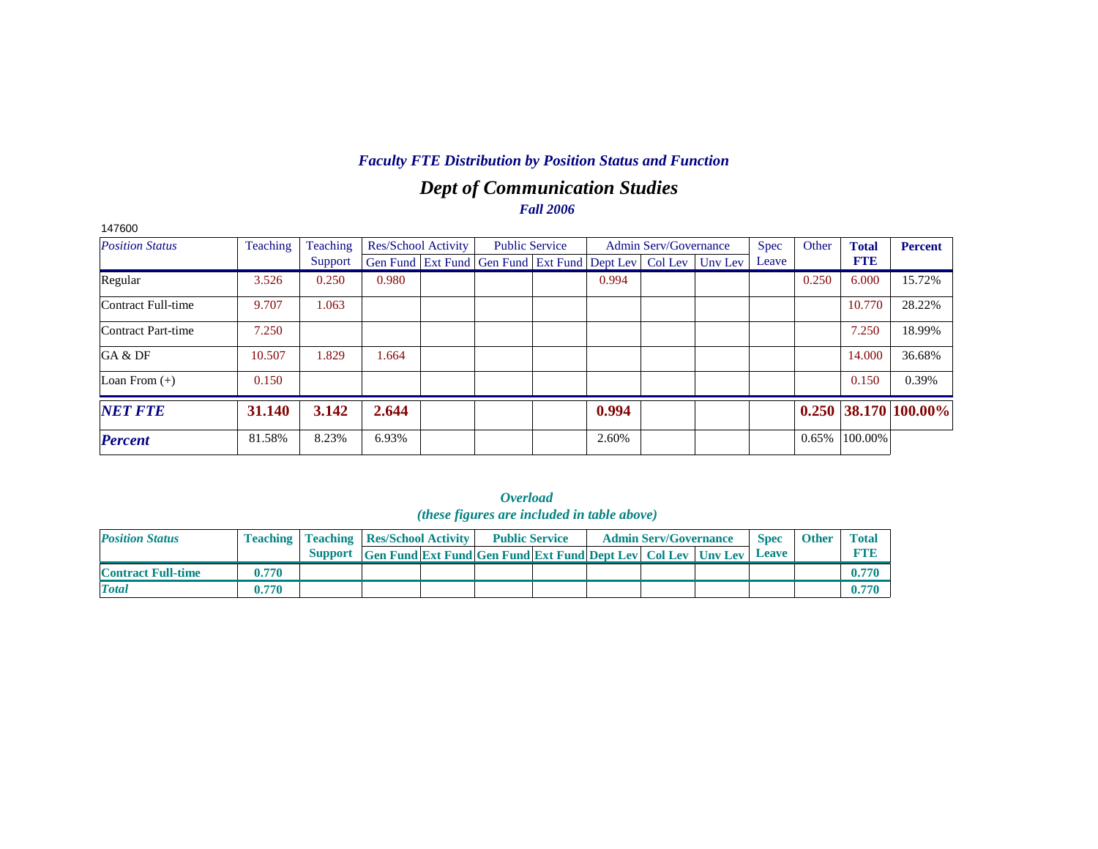# *Dept of Communication Studies Fall 2006*

| 147600                 |          |          |                            |                                                                          |       |                              |       |       |              |                        |
|------------------------|----------|----------|----------------------------|--------------------------------------------------------------------------|-------|------------------------------|-------|-------|--------------|------------------------|
| <b>Position Status</b> | Teaching | Teaching | <b>Res/School Activity</b> | <b>Public Service</b>                                                    |       | <b>Admin Serv/Governance</b> | Spec  | Other | <b>Total</b> | <b>Percent</b>         |
|                        |          | Support  |                            | Gen Fund   Ext Fund   Gen Fund   Ext Fund   Dept Lev   Col Lev   Unv Lev |       |                              | Leave |       | <b>FTE</b>   |                        |
| Regular                | 3.526    | 0.250    | 0.980                      |                                                                          | 0.994 |                              |       | 0.250 | 6.000        | 15.72%                 |
| Contract Full-time     | 9.707    | 1.063    |                            |                                                                          |       |                              |       |       | 10.770       | 28.22%                 |
| Contract Part-time     | 7.250    |          |                            |                                                                          |       |                              |       |       | 7.250        | 18.99%                 |
| GA & DF                | 10.507   | 1.829    | 1.664                      |                                                                          |       |                              |       |       | 14.000       | 36.68%                 |
| Loan From $(+)$        | 0.150    |          |                            |                                                                          |       |                              |       |       | 0.150        | 0.39%                  |
| <b>NET FTE</b>         | 31.140   | 3.142    | 2.644                      |                                                                          | 0.994 |                              |       |       |              | $0.250$ 38.170 100.00% |
| <b>Percent</b>         | 81.58%   | 8.23%    | 6.93%                      |                                                                          | 2.60% |                              |       | 0.65% | 100.00%      |                        |

|                           |       |                                                    |                                                                      | <i>(these figures are included in table above)</i> |  |                              |              |              |              |
|---------------------------|-------|----------------------------------------------------|----------------------------------------------------------------------|----------------------------------------------------|--|------------------------------|--------------|--------------|--------------|
| <b>Position Status</b>    |       | <b>Teaching   Teaching   Res/School Activity  </b> |                                                                      | <b>Public Service</b>                              |  | <b>Admin Serv/Governance</b> | <b>Spec</b>  | <b>Other</b> | <b>Total</b> |
|                           |       |                                                    | Support Gen Fund Ext Fund Gen Fund Ext Fund Dept Lev Col Lev Unv Lev |                                                    |  |                              | <b>Leave</b> |              | <b>FTB</b>   |
| <b>Contract Full-time</b> | 0.770 |                                                    |                                                                      |                                                    |  |                              |              |              | 0.770        |
| <b>Total</b>              | 0.770 |                                                    |                                                                      |                                                    |  |                              |              |              | 0.770        |

|                                            | <i><b>Overload</b></i> |  |  |
|--------------------------------------------|------------------------|--|--|
| (these figures are included in table above |                        |  |  |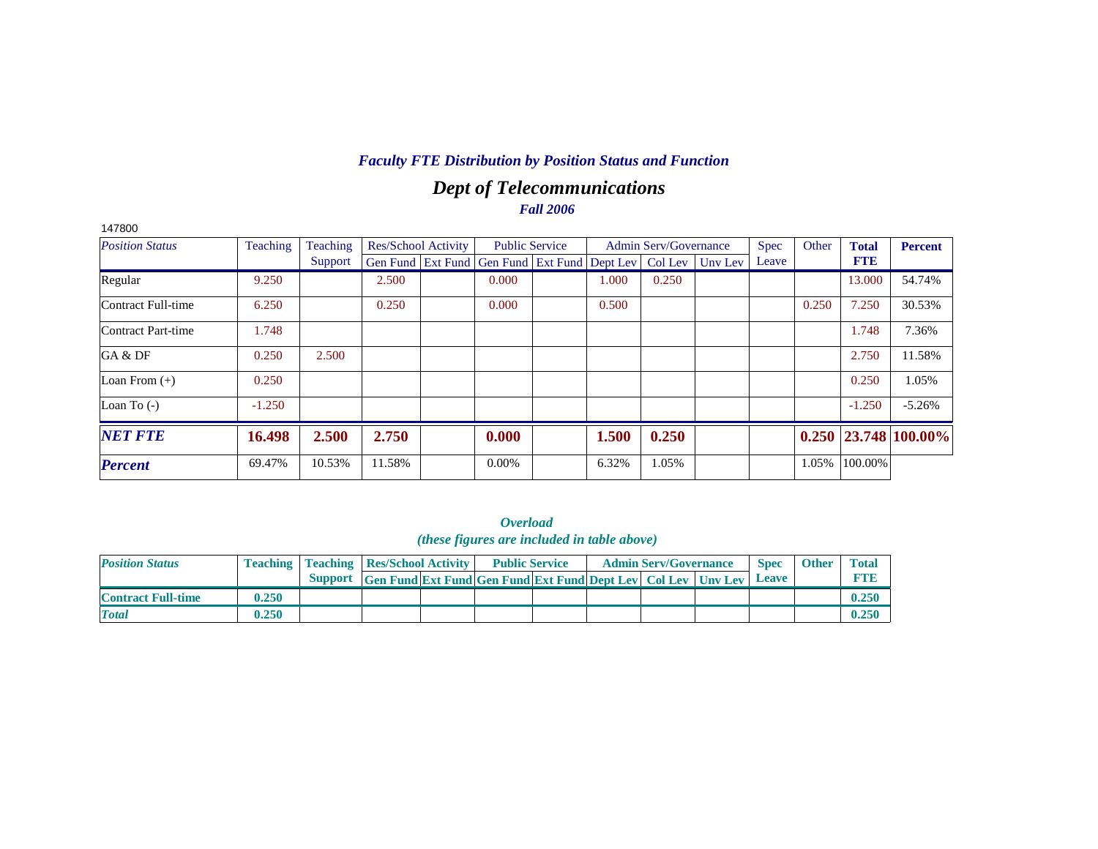# *Dept of Telecommunications Fall 2006*

| 147800                 |          |          |                            |                                                                |       |                              |         |             |       |              |                            |
|------------------------|----------|----------|----------------------------|----------------------------------------------------------------|-------|------------------------------|---------|-------------|-------|--------------|----------------------------|
| <b>Position Status</b> | Teaching | Teaching | <b>Res/School Activity</b> | <b>Public Service</b>                                          |       | <b>Admin Serv/Governance</b> |         | <b>Spec</b> | Other | <b>Total</b> | Percent                    |
|                        |          | Support  |                            | Gen Fund   Ext Fund   Gen Fund   Ext Fund   Dept Lev   Col Lev |       |                              | Uny Lev | Leave       |       | <b>FTE</b>   |                            |
| Regular                | 9.250    |          | 2.500                      | 0.000                                                          | 1.000 | 0.250                        |         |             |       | 13.000       | 54.74%                     |
| Contract Full-time     | 6.250    |          | 0.250                      | 0.000                                                          | 0.500 |                              |         |             | 0.250 | 7.250        | 30.53%                     |
| Contract Part-time     | 1.748    |          |                            |                                                                |       |                              |         |             |       | 1.748        | 7.36%                      |
| GA & DF                | 0.250    | 2.500    |                            |                                                                |       |                              |         |             |       | 2.750        | 11.58%                     |
| Loan From $(+)$        | 0.250    |          |                            |                                                                |       |                              |         |             |       | 0.250        | 1.05%                      |
| Loan To $(-)$          | $-1.250$ |          |                            |                                                                |       |                              |         |             |       | $-1.250$     | $-5.26%$                   |
| <b>NET FTE</b>         | 16.498   | 2.500    | 2.750                      | 0.000                                                          | 1.500 | 0.250                        |         |             |       |              | $0.250$   23.748   100.00% |
| <b>Percent</b>         | 69.47%   | 10.53%   | 11.58%                     | $0.00\%$                                                       | 6.32% | 1.05%                        |         |             | 1.05% | 100.00%      |                            |

*Overload (these figures are included in table above)*

| <b>Position Status</b>    |       | <b>Teaching   Teaching   Res/School Activity  </b> |                                                                     | <b>Public Service</b> |  | <b>Admin Serv/Governance</b> | <b>Spec</b> | <b>Other</b> | Totar |
|---------------------------|-------|----------------------------------------------------|---------------------------------------------------------------------|-----------------------|--|------------------------------|-------------|--------------|-------|
|                           |       | <b>Support</b>                                     | <b>Gen Fund Ext Fund Gen Fund Ext Fund Dept Lev Col Lev Unv Lev</b> |                       |  |                              | Leave       |              |       |
| <b>Contract Full-time</b> | 0.250 |                                                    |                                                                     |                       |  |                              |             |              | 0.250 |
| <b>Total</b>              | 0.250 |                                                    |                                                                     |                       |  |                              |             |              | 0.250 |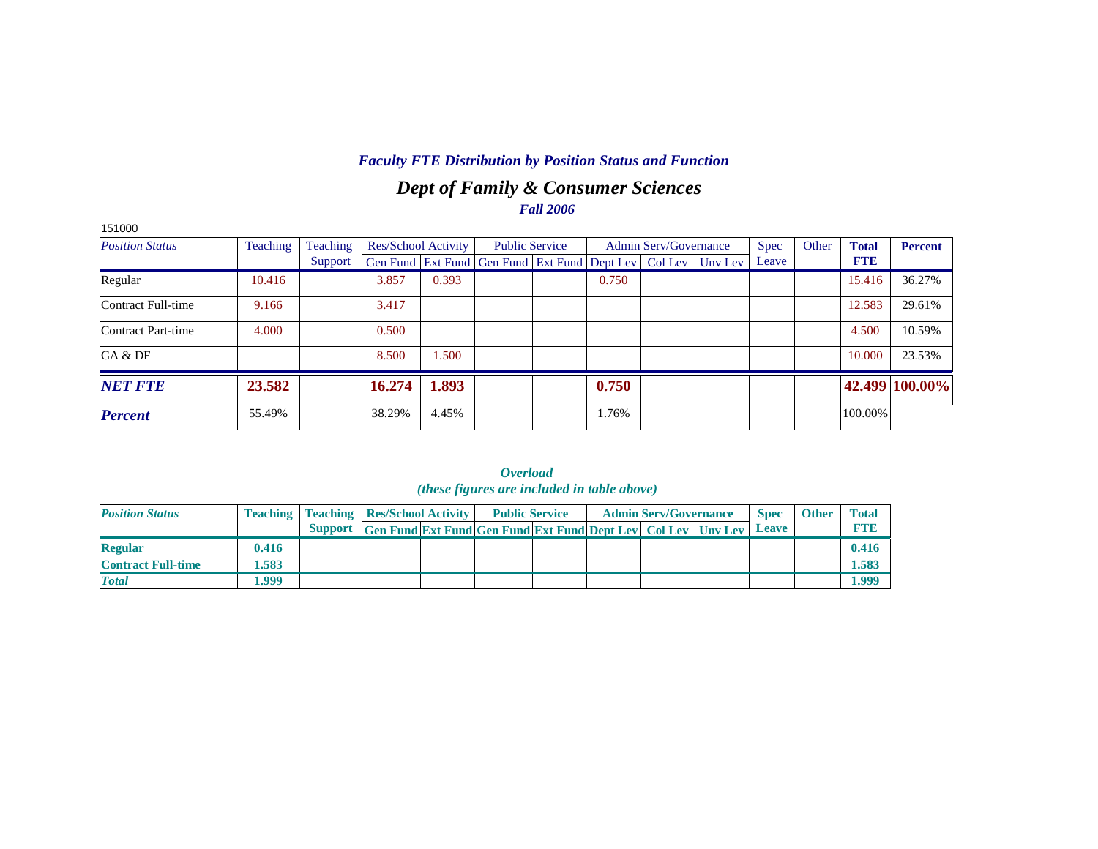# *Dept of Family & Consumer Sciences Fall 2006*

| 151000                 |          |          |        |                     |                                                                |       |                              |         |             |       |              |                |
|------------------------|----------|----------|--------|---------------------|----------------------------------------------------------------|-------|------------------------------|---------|-------------|-------|--------------|----------------|
| <b>Position Status</b> | Teaching | Teaching |        | Res/School Activity | <b>Public Service</b>                                          |       | <b>Admin Serv/Governance</b> |         | <b>Spec</b> | Other | <b>Total</b> | <b>Percent</b> |
|                        |          | Support  |        |                     | Gen Fund   Ext Fund   Gen Fund   Ext Fund   Dept Lev   Col Lev |       |                              | Uny Lev | Leave       |       | <b>FTE</b>   |                |
| Regular                | 10.416   |          | 3.857  | 0.393               |                                                                | 0.750 |                              |         |             |       | 15.416       | 36.27%         |
| Contract Full-time     | 9.166    |          | 3.417  |                     |                                                                |       |                              |         |             |       | 12.583       | 29.61%         |
| Contract Part-time     | 4.000    |          | 0.500  |                     |                                                                |       |                              |         |             |       | 4.500        | 10.59%         |
| GA & DF                |          |          | 8.500  | .500                |                                                                |       |                              |         |             |       | 10.000       | 23.53%         |
| <b>NET FTE</b>         | 23.582   |          | 16.274 | 1.893               |                                                                | 0.750 |                              |         |             |       |              | 42.499 100.00% |
| <b>Percent</b>         | 55.49%   |          | 38.29% | 4.45%               |                                                                | 1.76% |                              |         |             |       | 100.00%      |                |

|                           |       |                                                    |                                                                            | <i>(these figures are incluaed in table above)</i> |  |                              |             |              |              |
|---------------------------|-------|----------------------------------------------------|----------------------------------------------------------------------------|----------------------------------------------------|--|------------------------------|-------------|--------------|--------------|
| <b>Position Status</b>    |       | <b>Teaching   Teaching   Res/School Activity  </b> |                                                                            | <b>Public Service</b>                              |  | <b>Admin Serv/Governance</b> | <b>Spec</b> | <b>Other</b> | <b>Total</b> |
|                           |       |                                                    | Support Gen Fund Ext Fund Gen Fund Ext Fund Dept Lev Col Lev Unv Lev Leave |                                                    |  |                              |             |              | <b>FTE</b>   |
| <b>Regular</b>            | 0.416 |                                                    |                                                                            |                                                    |  |                              |             |              | 0.416        |
| <b>Contract Full-time</b> | 1.583 |                                                    |                                                                            |                                                    |  |                              |             |              | 1.583        |
| <b>Total</b>              | 1.999 |                                                    |                                                                            |                                                    |  |                              |             |              | 1.999        |

*Overload (these figures are included in table above)*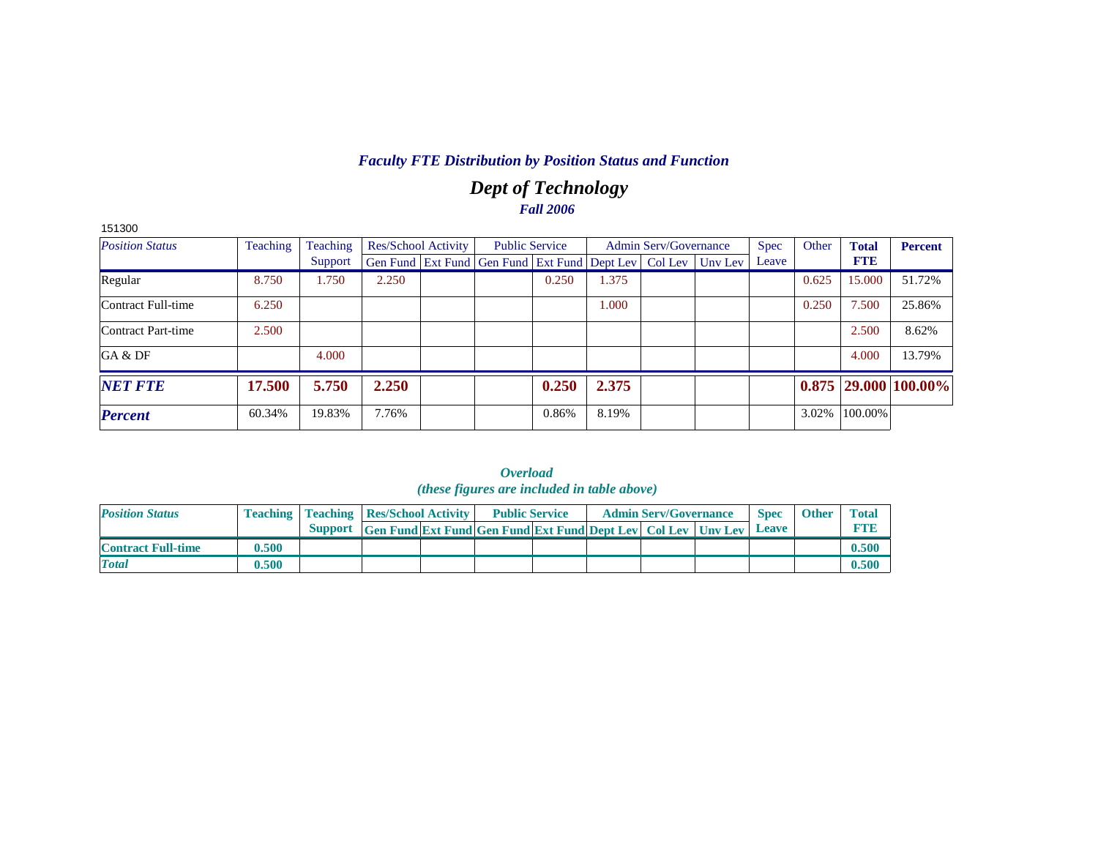# *Dept of Technology Fall 2006*

| 151300                 |          |          |                            |                                                                  |       |       |                              |             |       |              |                            |
|------------------------|----------|----------|----------------------------|------------------------------------------------------------------|-------|-------|------------------------------|-------------|-------|--------------|----------------------------|
| <b>Position Status</b> | Teaching | Teaching | <b>Res/School Activity</b> | <b>Public Service</b>                                            |       |       | <b>Admin Serv/Governance</b> | <b>Spec</b> | Other | <b>Total</b> | <b>Percent</b>             |
|                        |          | Support  |                            | Gen Fund Ext Fund Gen Fund Ext Fund Dept Lev   Col Lev   Unv Lev |       |       |                              | Leave       |       | <b>FTE</b>   |                            |
| Regular                | 8.750    | 1.750    | 2.250                      |                                                                  | 0.250 | 1.375 |                              |             | 0.625 | 15.000       | 51.72%                     |
| Contract Full-time     | 6.250    |          |                            |                                                                  |       | 1.000 |                              |             | 0.250 | 7.500        | 25.86%                     |
| Contract Part-time     | 2.500    |          |                            |                                                                  |       |       |                              |             |       | 2.500        | 8.62%                      |
| GA & DF                |          | 4.000    |                            |                                                                  |       |       |                              |             |       | 4.000        | 13.79%                     |
| <b>NET FTE</b>         | 17.500   | 5.750    | 2.250                      |                                                                  | 0.250 | 2.375 |                              |             |       |              | $0.875$   29.000   100.00% |
| <b>Percent</b>         | 60.34%   | 19.83%   | 7.76%                      |                                                                  | 0.86% | 8.19% |                              |             | 3.02% | 100.00%      |                            |

|                           |       |                                                                      |                                                                     | <i>Uverwww</i><br><i>(these figures are included in table above)</i> |                       |                              |                             |              |                            |
|---------------------------|-------|----------------------------------------------------------------------|---------------------------------------------------------------------|----------------------------------------------------------------------|-----------------------|------------------------------|-----------------------------|--------------|----------------------------|
| <b>Position Status</b>    |       | <b>Teaching   Teaching   Res/School Activity  </b><br><b>Support</b> | <b>Gen Fund Ext Fund Gen Fund Ext Fund Dept Lev Col Lev Unv Lev</b> |                                                                      | <b>Public Service</b> | <b>Admin Serv/Governance</b> | <b>Spec</b><br><b>Leave</b> | <b>Other</b> | <b>Total</b><br><b>FTE</b> |
| <b>Contract Full-time</b> | 0.500 |                                                                      |                                                                     |                                                                      |                       |                              |                             |              | 0.500                      |
| <b>Total</b>              | 0.500 |                                                                      |                                                                     |                                                                      |                       |                              |                             |              | 0.500                      |

*Overload*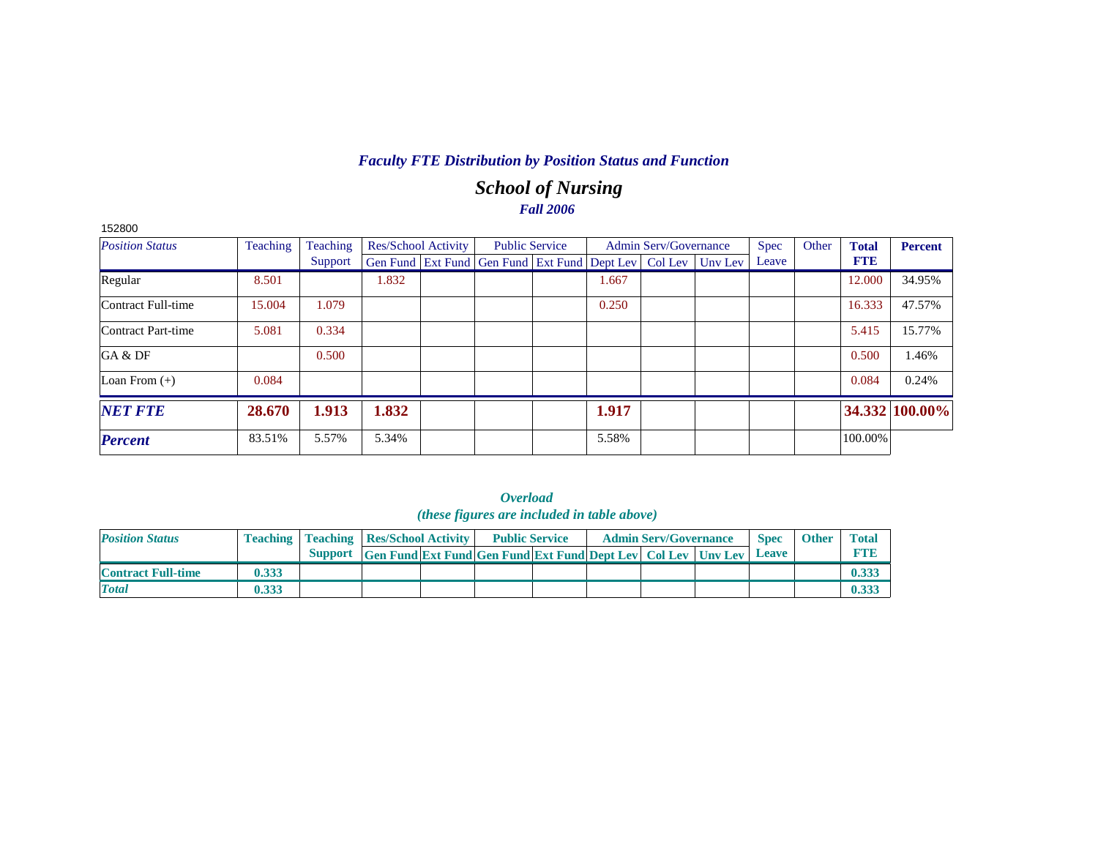# *School of Nursing Fall 2006*

| 152800                    |                 |          |                            |                                                                |       |                              |         |             |       |              |                |
|---------------------------|-----------------|----------|----------------------------|----------------------------------------------------------------|-------|------------------------------|---------|-------------|-------|--------------|----------------|
| <b>Position Status</b>    | <b>Teaching</b> | Teaching | <b>Res/School Activity</b> | <b>Public Service</b>                                          |       | <b>Admin Serv/Governance</b> |         | <b>Spec</b> | Other | <b>Total</b> | <b>Percent</b> |
|                           |                 | Support  |                            | Gen Fund   Ext Fund   Gen Fund   Ext Fund   Dept Lev   Col Lev |       |                              | Unv Lev | Leave       |       | <b>FTE</b>   |                |
| Regular                   | 8.501           |          | 1.832                      |                                                                | 1.667 |                              |         |             |       | 12.000       | 34.95%         |
| <b>Contract Full-time</b> | 15.004          | 1.079    |                            |                                                                | 0.250 |                              |         |             |       | 16.333       | 47.57%         |
| Contract Part-time        | 5.081           | 0.334    |                            |                                                                |       |                              |         |             |       | 5.415        | 15.77%         |
| GA & DF                   |                 | 0.500    |                            |                                                                |       |                              |         |             |       | 0.500        | 1.46%          |
| Loan From $(+)$           | 0.084           |          |                            |                                                                |       |                              |         |             |       | 0.084        | 0.24%          |
| <b>NET FTE</b>            | 28.670          | 1.913    | 1.832                      |                                                                | 1.917 |                              |         |             |       |              | 34.332 100.00% |
| <b>Percent</b>            | 83.51%          | 5.57%    | 5.34%                      |                                                                | 5.58% |                              |         |             |       | 100.00%      |                |

|                           | <i>(these figures are included in table above)</i> |                                                    |                                                                             |  |                       |  |  |                              |  |             |              |              |  |  |  |
|---------------------------|----------------------------------------------------|----------------------------------------------------|-----------------------------------------------------------------------------|--|-----------------------|--|--|------------------------------|--|-------------|--------------|--------------|--|--|--|
| <b>Position Status</b>    |                                                    | <b>Teaching   Teaching   Res/School Activity  </b> |                                                                             |  | <b>Public Service</b> |  |  | <b>Admin Serv/Governance</b> |  | <b>Spec</b> | <b>Other</b> | <b>Total</b> |  |  |  |
|                           |                                                    |                                                    | <b>Support</b> Gen Fund Ext Fund Gen Fund Ext Fund Dept Lev Col Lev Unv Lev |  |                       |  |  |                              |  | Leave       |              | <b>FTB</b>   |  |  |  |
| <b>Contract Full-time</b> | 0.333                                              |                                                    |                                                                             |  |                       |  |  |                              |  |             |              | 0.333        |  |  |  |
| <b>Total</b>              | 0.333                                              |                                                    |                                                                             |  |                       |  |  |                              |  |             |              | 0.333        |  |  |  |

| <i><b>Overload</b></i>                      |  |  |  |  |  |  |  |  |  |  |  |  |  |
|---------------------------------------------|--|--|--|--|--|--|--|--|--|--|--|--|--|
| (these figures are included in table above) |  |  |  |  |  |  |  |  |  |  |  |  |  |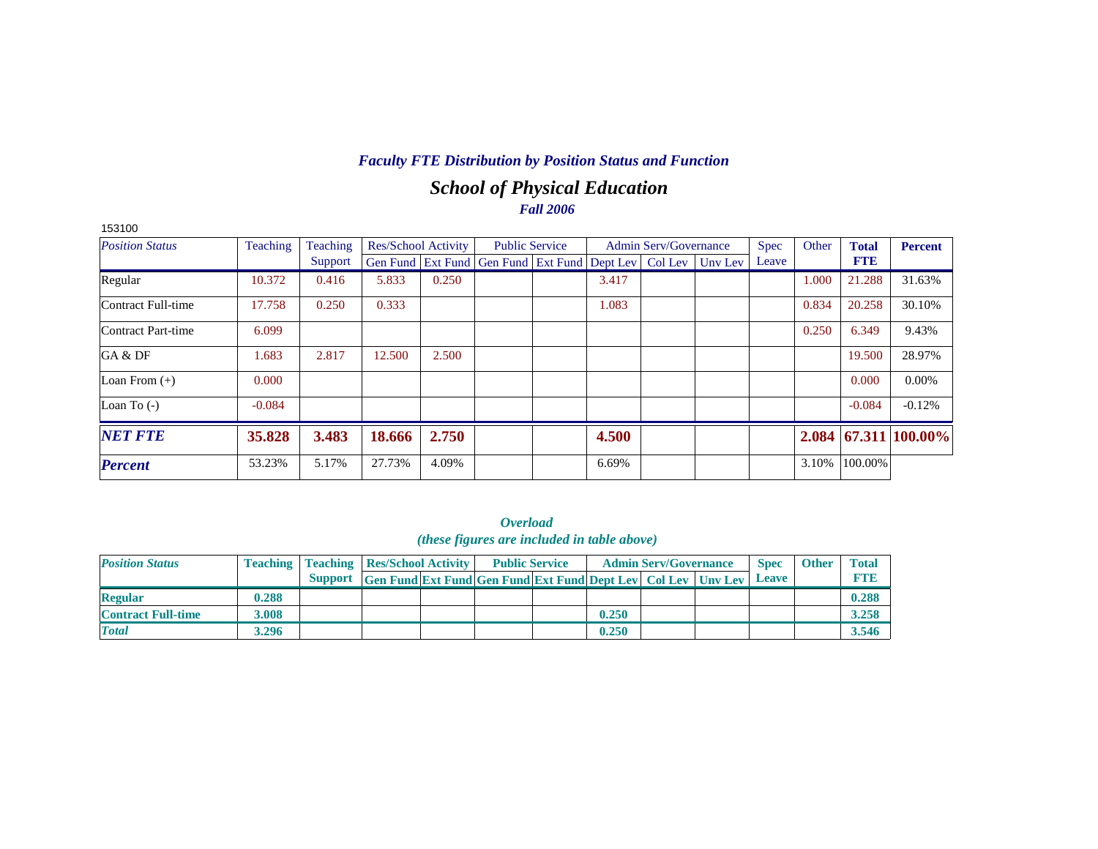# *School of Physical Education Fall 2006*

| 153100                    |          |          |        |                     |                                                                |                       |       |                              |         |             |       |              |                |
|---------------------------|----------|----------|--------|---------------------|----------------------------------------------------------------|-----------------------|-------|------------------------------|---------|-------------|-------|--------------|----------------|
| <b>Position Status</b>    | Teaching | Teaching |        | Res/School Activity |                                                                | <b>Public Service</b> |       | <b>Admin Serv/Governance</b> |         | <b>Spec</b> | Other | <b>Total</b> | <b>Percent</b> |
|                           |          | Support  |        |                     | Gen Fund   Ext Fund   Gen Fund   Ext Fund   Dept Lev   Col Lev |                       |       |                              | Unv Lev | Leave       |       | <b>FTE</b>   |                |
| Regular                   | 10.372   | 0.416    | 5.833  | 0.250               |                                                                |                       | 3.417 |                              |         |             | 1.000 | 21.288       | 31.63%         |
| Contract Full-time        | 17.758   | 0.250    | 0.333  |                     |                                                                |                       | 1.083 |                              |         |             | 0.834 | 20.258       | 30.10%         |
| <b>Contract Part-time</b> | 6.099    |          |        |                     |                                                                |                       |       |                              |         |             | 0.250 | 6.349        | 9.43%          |
| GA & DF                   | 1.683    | 2.817    | 12.500 | 2.500               |                                                                |                       |       |                              |         |             |       | 19.500       | 28.97%         |
| Loan From $(+)$           | 0.000    |          |        |                     |                                                                |                       |       |                              |         |             |       | 0.000        | $0.00\%$       |
| Loan To $(-)$             | $-0.084$ |          |        |                     |                                                                |                       |       |                              |         |             |       | $-0.084$     | $-0.12%$       |
| <b>NET FTE</b>            | 35.828   | 3.483    | 18.666 | 2.750               |                                                                |                       | 4.500 |                              |         |             | 2.084 |              | 67.311 100.00% |
| <b>Percent</b>            | 53.23%   | 5.17%    | 27.73% | 4.09%               |                                                                |                       | 6.69% |                              |         |             | 3.10% | 100.00%      |                |

*Overload (these figures are included in table above)*

| <b>Position Status</b>    |       |                                                                      | <b>Teaching   Teaching   Res/School Activity  </b> |  | <b>Public Service</b> |       | <b>Admin Serv/Governance</b> | <b>Spec</b>  | <b>Other</b> | <b>Total</b> |
|---------------------------|-------|----------------------------------------------------------------------|----------------------------------------------------|--|-----------------------|-------|------------------------------|--------------|--------------|--------------|
|                           |       | Support Gen Fund Ext Fund Gen Fund Ext Fund Dept Lev Col Lev Unv Lev |                                                    |  |                       |       |                              | <b>Leave</b> |              | <b>FTB</b>   |
| <b>Regular</b>            | 0.288 |                                                                      |                                                    |  |                       |       |                              |              |              | 0.288        |
| <b>Contract Full-time</b> | 3.008 |                                                                      |                                                    |  |                       | 0.250 |                              |              |              | 3.258        |
| <b>Total</b>              | 3.296 |                                                                      |                                                    |  |                       | 0.250 |                              |              |              | 3.546        |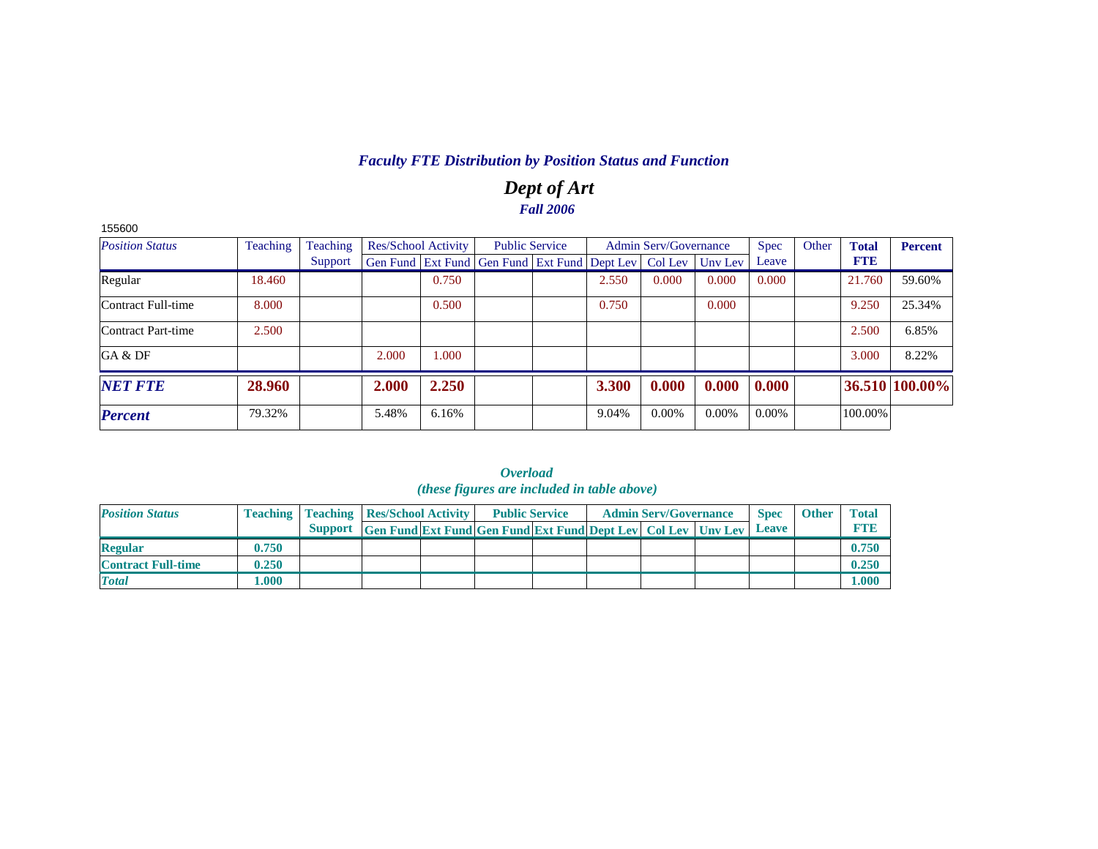# *Dept of Art Fall 2006*

| 155600                 |          |          |                            |       |                                                                |       |                              |          |             |       |              |                |
|------------------------|----------|----------|----------------------------|-------|----------------------------------------------------------------|-------|------------------------------|----------|-------------|-------|--------------|----------------|
| <b>Position Status</b> | Teaching | Teaching | <b>Res/School Activity</b> |       | <b>Public Service</b>                                          |       | <b>Admin Serv/Governance</b> |          | <b>Spec</b> | Other | <b>Total</b> | <b>Percent</b> |
|                        |          | Support  |                            |       | Gen Fund   Ext Fund   Gen Fund   Ext Fund   Dept Lev   Col Lev |       |                              | Unv Lev  | Leave       |       | <b>FTE</b>   |                |
| Regular                | 18.460   |          |                            | 0.750 |                                                                | 2.550 | 0.000                        | 0.000    | 0.000       |       | 21.760       | 59.60%         |
| Contract Full-time     | 8.000    |          |                            | 0.500 |                                                                | 0.750 |                              | 0.000    |             |       | 9.250        | 25.34%         |
| Contract Part-time     | 2.500    |          |                            |       |                                                                |       |                              |          |             |       | 2.500        | 6.85%          |
| GA & DF                |          |          | 2.000                      | 000.1 |                                                                |       |                              |          |             |       | 3.000        | 8.22%          |
| <b>NET FTE</b>         | 28.960   |          | 2.000                      | 2.250 |                                                                | 3.300 | 0.000                        | 0.000    | 0.000       |       |              | 36.510 100.00% |
| <b>Percent</b>         | 79.32%   |          | 5.48%                      | 6.16% |                                                                | 9.04% | $0.00\%$                     | $0.00\%$ | $0.00\%$    |       | 100.00%      |                |

| ( <i>these figures are included in table above</i> ) |       |  |                                                                      |  |                       |  |  |                              |  |              |              |              |  |  |
|------------------------------------------------------|-------|--|----------------------------------------------------------------------|--|-----------------------|--|--|------------------------------|--|--------------|--------------|--------------|--|--|
| <b>Position Status</b>                               |       |  | <b>Teaching   Teaching   Res/School Activity</b>                     |  | <b>Public Service</b> |  |  | <b>Admin Serv/Governance</b> |  | <b>Spec</b>  | <b>Other</b> | <b>Total</b> |  |  |
|                                                      |       |  | Support Gen Fund Ext Fund Gen Fund Ext Fund Dept Lev Col Lev Unv Lev |  |                       |  |  |                              |  | <b>Leave</b> |              | <b>FTE</b>   |  |  |
| <b>Regular</b>                                       | 0.750 |  |                                                                      |  |                       |  |  |                              |  |              |              | 0.750        |  |  |
| <b>Contract Full-time</b>                            | 0.250 |  |                                                                      |  |                       |  |  |                              |  |              |              | 0.250        |  |  |
| <b>Total</b>                                         | 1.000 |  |                                                                      |  |                       |  |  |                              |  |              |              | 1.000        |  |  |

*Overload*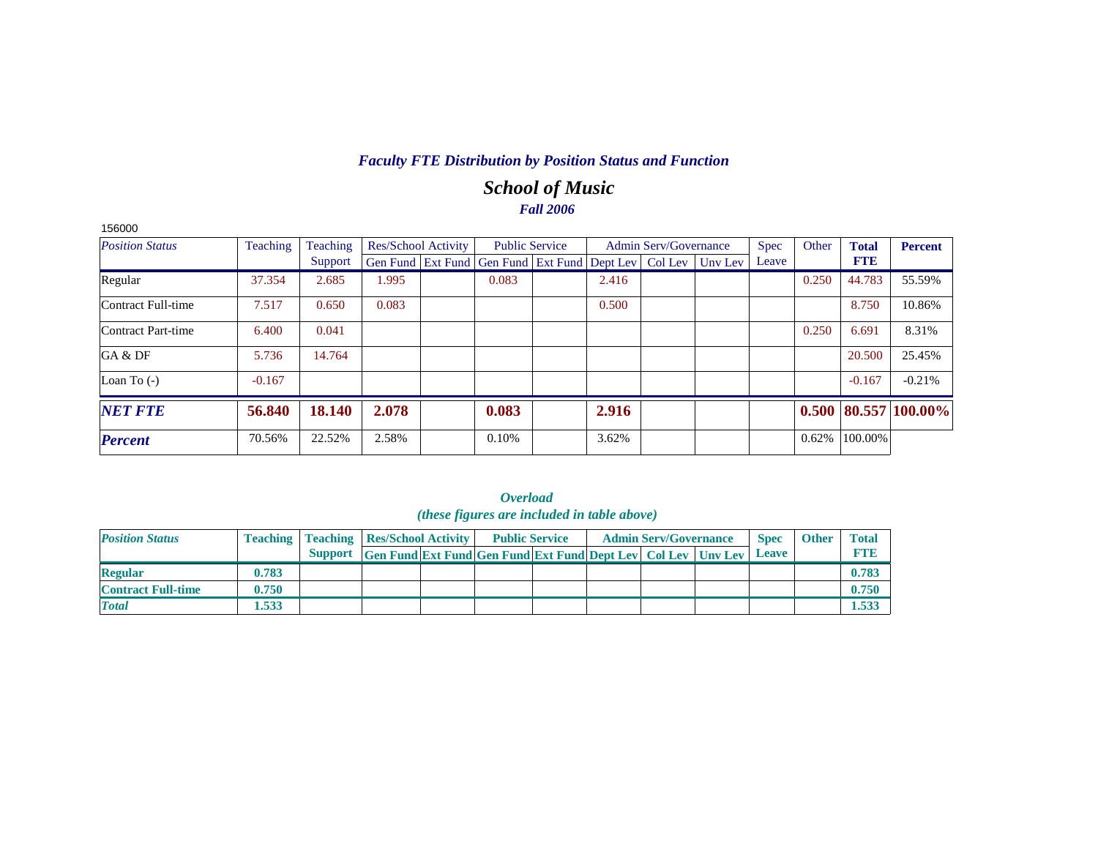# *School of Music Fall 2006*

| 156000                 |          |          |                            |                                                                          |       |                              |             |       |              |                            |
|------------------------|----------|----------|----------------------------|--------------------------------------------------------------------------|-------|------------------------------|-------------|-------|--------------|----------------------------|
| <b>Position Status</b> | Teaching | Teaching | <b>Res/School Activity</b> | <b>Public Service</b>                                                    |       | <b>Admin Serv/Governance</b> | <b>Spec</b> | Other | <b>Total</b> | <b>Percent</b>             |
|                        |          | Support  |                            | Gen Fund   Ext Fund   Gen Fund   Ext Fund   Dept Lev   Col Lev   Unv Lev |       |                              | Leave       |       | <b>FTE</b>   |                            |
| Regular                | 37.354   | 2.685    | 1.995                      | 0.083                                                                    | 2.416 |                              |             | 0.250 | 44.783       | 55.59%                     |
| Contract Full-time     | 7.517    | 0.650    | 0.083                      |                                                                          | 0.500 |                              |             |       | 8.750        | 10.86%                     |
| Contract Part-time     | 6.400    | 0.041    |                            |                                                                          |       |                              |             | 0.250 | 6.691        | 8.31%                      |
| GA & DF                | 5.736    | 14.764   |                            |                                                                          |       |                              |             |       | 20.500       | 25.45%                     |
| Loan To $(-)$          | $-0.167$ |          |                            |                                                                          |       |                              |             |       | $-0.167$     | $-0.21%$                   |
| <b>NET FTE</b>         | 56.840   | 18.140   | 2.078                      | 0.083                                                                    | 2.916 |                              |             |       |              | $0.500$   80.557   100.00% |
| <b>Percent</b>         | 70.56%   | 22.52%   | 2.58%                      | 0.10%                                                                    | 3.62% |                              |             | 0.62% | 100.00%      |                            |

|                           |       |                                                    |                                                                            | <i>(these figures are included in table above)</i> |  |                              |             |              |              |
|---------------------------|-------|----------------------------------------------------|----------------------------------------------------------------------------|----------------------------------------------------|--|------------------------------|-------------|--------------|--------------|
| <b>Position Status</b>    |       | <b>Teaching   Teaching   Res/School Activity  </b> |                                                                            | <b>Public Service</b>                              |  | <b>Admin Serv/Governance</b> | <b>Spec</b> | <b>Other</b> | <b>Total</b> |
|                           |       |                                                    | Support Gen Fund Ext Fund Gen Fund Ext Fund Dept Lev Col Lev Unv Lev Leave |                                                    |  |                              |             |              | <b>FTB</b>   |
| <b>Regular</b>            | 0.783 |                                                    |                                                                            |                                                    |  |                              |             |              | 0.783        |
| <b>Contract Full-time</b> | 0.750 |                                                    |                                                                            |                                                    |  |                              |             |              | 0.750        |
| <b>Total</b>              | 1.533 |                                                    |                                                                            |                                                    |  |                              |             |              | 1.533        |

*Overload (these figures are included in table above)*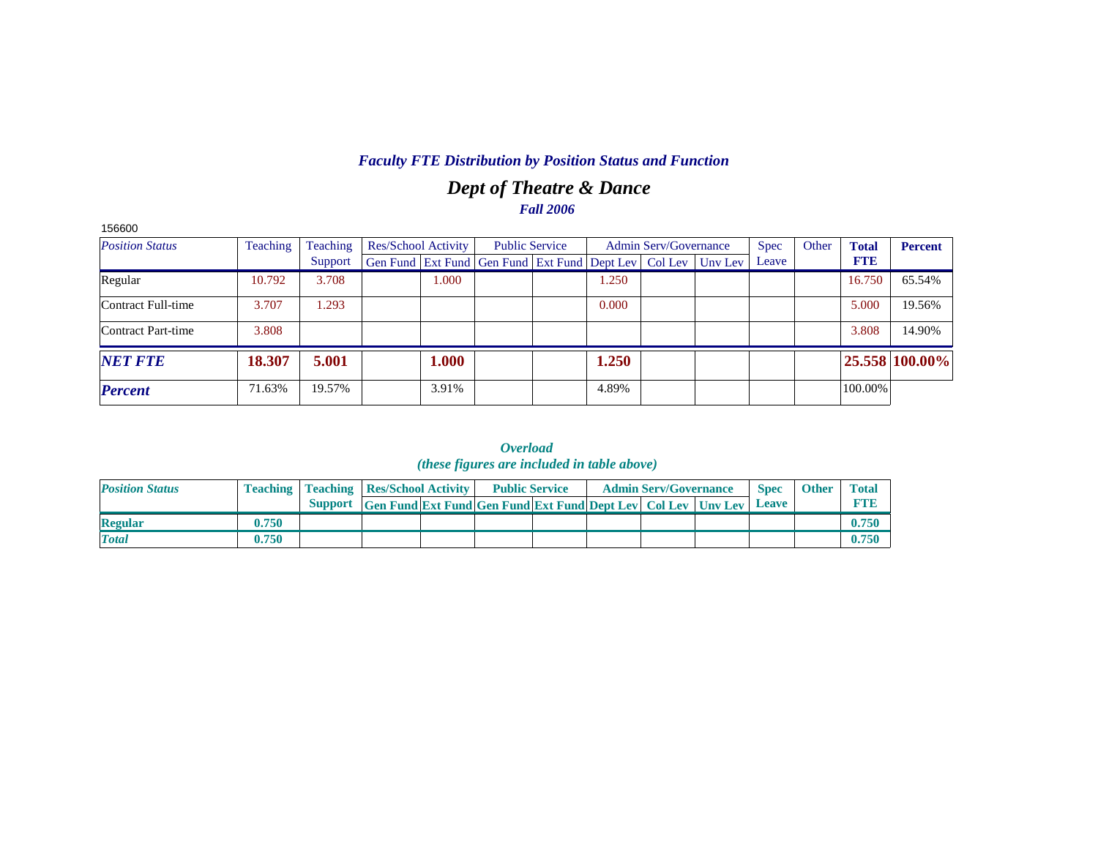# *Dept of Theatre & Dance Fall 2006*

| 156600                 |          |          |                     |                                                                |       |                              |         |             |       |              |                |
|------------------------|----------|----------|---------------------|----------------------------------------------------------------|-------|------------------------------|---------|-------------|-------|--------------|----------------|
| <b>Position Status</b> | Teaching | Teaching | Res/School Activity | <b>Public Service</b>                                          |       | <b>Admin Serv/Governance</b> |         | <b>Spec</b> | Other | <b>Total</b> | <b>Percent</b> |
|                        |          | Support  |                     | Gen Fund   Ext Fund   Gen Fund   Ext Fund   Dept Lev   Col Lev |       |                              | Unv Lev | Leave       |       | <b>FTE</b>   |                |
| Regular                | 10.792   | 3.708    | 1.000               |                                                                | 1.250 |                              |         |             |       | 16.750       | 65.54%         |
| Contract Full-time     | 3.707    | 1.293    |                     |                                                                | 0.000 |                              |         |             |       | 5.000        | 19.56%         |
| Contract Part-time     | 3.808    |          |                     |                                                                |       |                              |         |             |       | 3.808        | 14.90%         |
| <b>NET FTE</b>         | 18.307   | 5.001    | 1.000               |                                                                | 1.250 |                              |         |             |       |              | 25.558 100.00% |
| <b>Percent</b>         | 71.63%   | 19.57%   | 3.91%               |                                                                | 4.89% |                              |         |             |       | 100.00%      |                |

*Overload (these figures are included in table above)*

| <b>Position Status</b> |       | <b>Teaching   Teaching   Res/School Activity  </b>                   | <b>Public Service</b> |  | <b>Admin Serv/Governance</b> | <b>Spec</b> | <b>Other</b> | <b>Total</b> |
|------------------------|-------|----------------------------------------------------------------------|-----------------------|--|------------------------------|-------------|--------------|--------------|
|                        |       | Support Gen Fund Ext Fund Gen Fund Ext Fund Dept Lev Col Lev Unv Lev |                       |  |                              | Leave       |              |              |
| <b>Regular</b>         | 0.750 |                                                                      |                       |  |                              |             |              | 0.750        |
| <b>Total</b>           | 0.750 |                                                                      |                       |  |                              |             |              | 0.750        |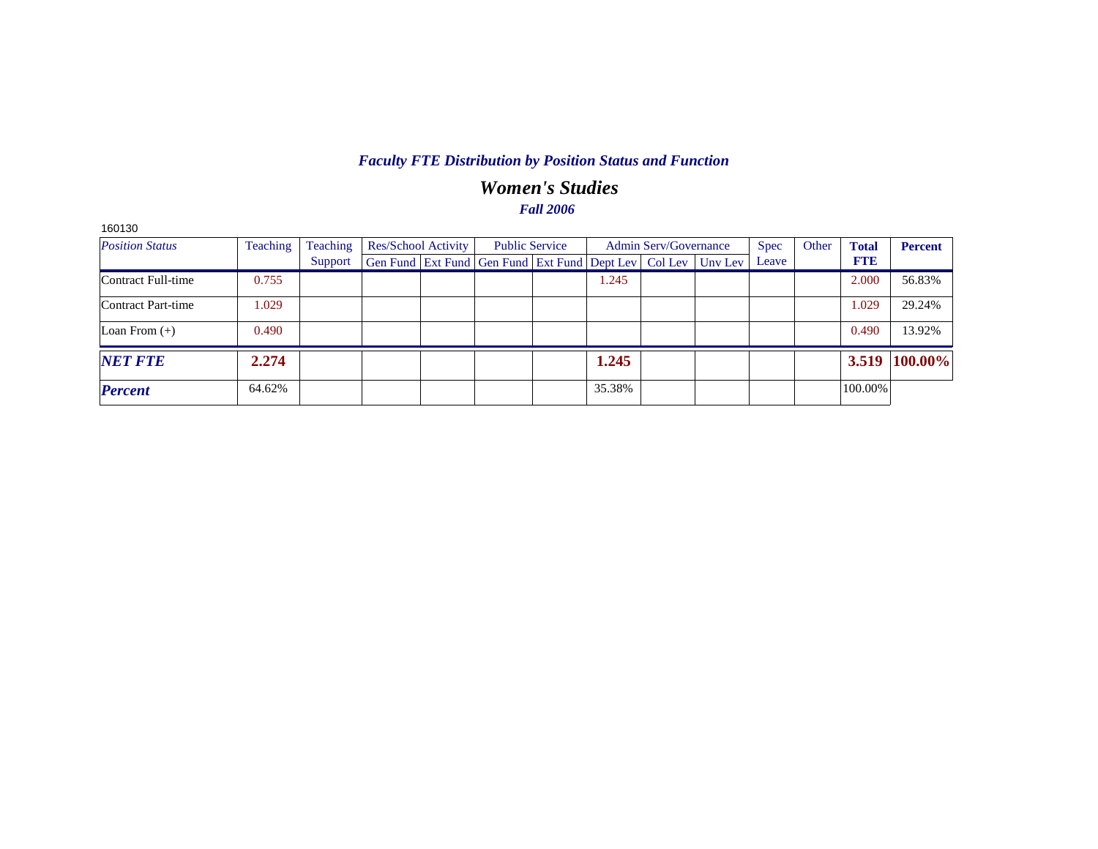## *Women's Studies Fall 2006*

| 160130                 |          |          |                     |                                                      |        |                       |         |             |       |              |                |
|------------------------|----------|----------|---------------------|------------------------------------------------------|--------|-----------------------|---------|-------------|-------|--------------|----------------|
| <b>Position Status</b> | Teaching | Teaching | Res/School Activity | <b>Public Service</b>                                |        | Admin Serv/Governance |         | <b>Spec</b> | Other | <b>Total</b> | <b>Percent</b> |
|                        |          | Support  |                     | Gen Fund Ext Fund Gen Fund Ext Fund Dept Lev Col Lev |        |                       | Unv Lev | Leave       |       | <b>FTE</b>   |                |
| Contract Full-time     | 0.755    |          |                     |                                                      | 1.245  |                       |         |             |       | 2.000        | 56.83%         |
| Contract Part-time     | 1.029    |          |                     |                                                      |        |                       |         |             |       | 1.029        | 29.24%         |
| Loan From $(+)$        | 0.490    |          |                     |                                                      |        |                       |         |             |       | 0.490        | 13.92%         |
| <b>NET FTE</b>         | 2.274    |          |                     |                                                      | 1.245  |                       |         |             |       | 3.519        | 100.00%        |
| <b>Percent</b>         | 64.62%   |          |                     |                                                      | 35.38% |                       |         |             |       | 100.00%      |                |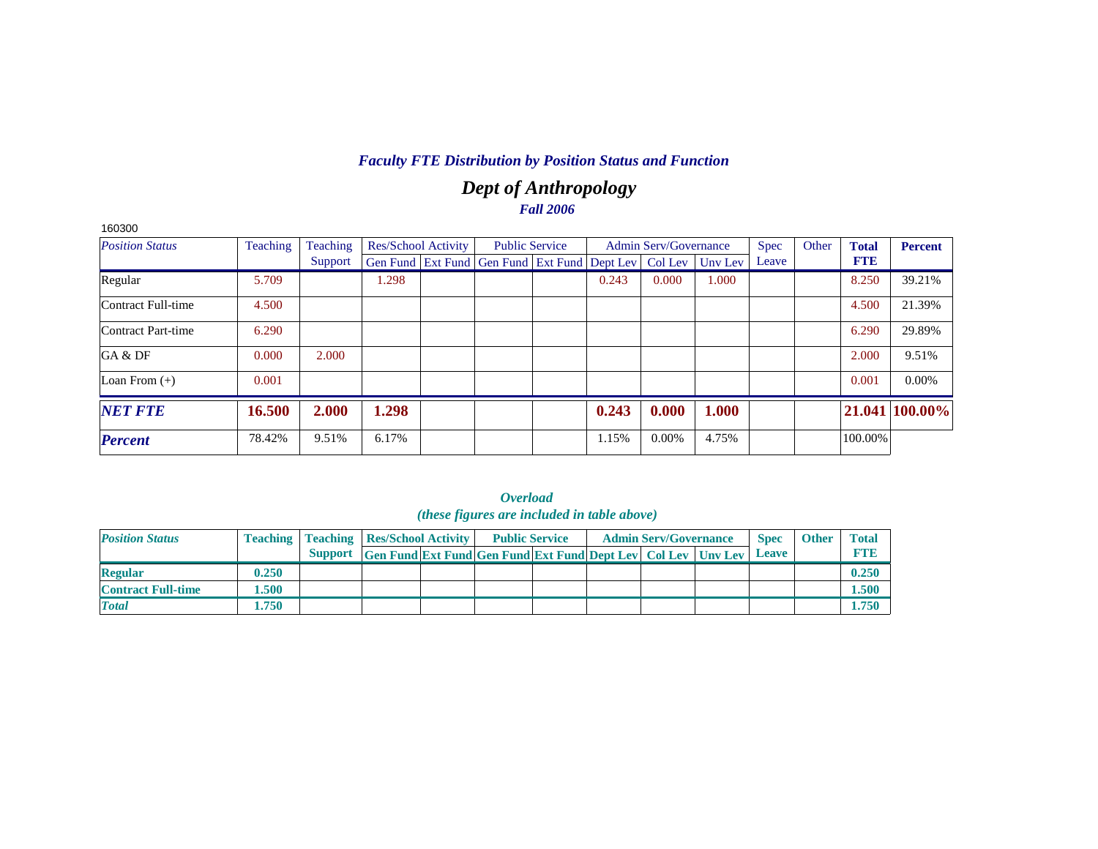# *Dept of Anthropology Fall 2006*

| 160300                 |                 |          |                            |                                                                |       |                              |         |             |       |              |                |
|------------------------|-----------------|----------|----------------------------|----------------------------------------------------------------|-------|------------------------------|---------|-------------|-------|--------------|----------------|
| <b>Position Status</b> | <b>Teaching</b> | Teaching | <b>Res/School Activity</b> | <b>Public Service</b>                                          |       | <b>Admin Serv/Governance</b> |         | <b>Spec</b> | Other | <b>Total</b> | <b>Percent</b> |
|                        |                 | Support  |                            | Gen Fund   Ext Fund   Gen Fund   Ext Fund   Dept Lev   Col Lev |       |                              | Unv Lev | Leave       |       | <b>FTE</b>   |                |
| Regular                | 5.709           |          | 1.298                      |                                                                | 0.243 | 0.000                        | 1.000   |             |       | 8.250        | 39.21%         |
| Contract Full-time     | 4.500           |          |                            |                                                                |       |                              |         |             |       | 4.500        | 21.39%         |
| Contract Part-time     | 6.290           |          |                            |                                                                |       |                              |         |             |       | 6.290        | 29.89%         |
| GA & DF                | 0.000           | 2.000    |                            |                                                                |       |                              |         |             |       | 2.000        | 9.51%          |
| Loan From $(+)$        | 0.001           |          |                            |                                                                |       |                              |         |             |       | 0.001        | $0.00\%$       |
| <b>NET FTE</b>         | 16.500          | 2.000    | 1.298                      |                                                                | 0.243 | 0.000                        | 1.000   |             |       |              | 21.041 100.00% |
| <b>Percent</b>         | 78.42%          | 9.51%    | 6.17%                      |                                                                | 1.15% | $0.00\%$                     | 4.75%   |             |       | 100.00%      |                |

| <b>Position Status</b>    |       | <b>Teaching   Teaching   Res/School Activity</b> |                                                                            | <b>Public Service</b> |  | <b>Admin Serv/Governance</b> | <b>Spec</b> | <b>Other</b> | <b>Total</b> |
|---------------------------|-------|--------------------------------------------------|----------------------------------------------------------------------------|-----------------------|--|------------------------------|-------------|--------------|--------------|
|                           |       |                                                  | Support Gen Fund Ext Fund Gen Fund Ext Fund Dept Lev Col Lev Unv Lev Leave |                       |  |                              |             |              | <b>RTIB</b>  |
| <b>Regular</b>            | 0.250 |                                                  |                                                                            |                       |  |                              |             |              | 0.250        |
| <b>Contract Full-time</b> | 1.500 |                                                  |                                                                            |                       |  |                              |             |              | 1.500        |
| <b>Total</b>              | 1.750 |                                                  |                                                                            |                       |  |                              |             |              | 1.750        |

#### *Overload (these figures are included in table above)*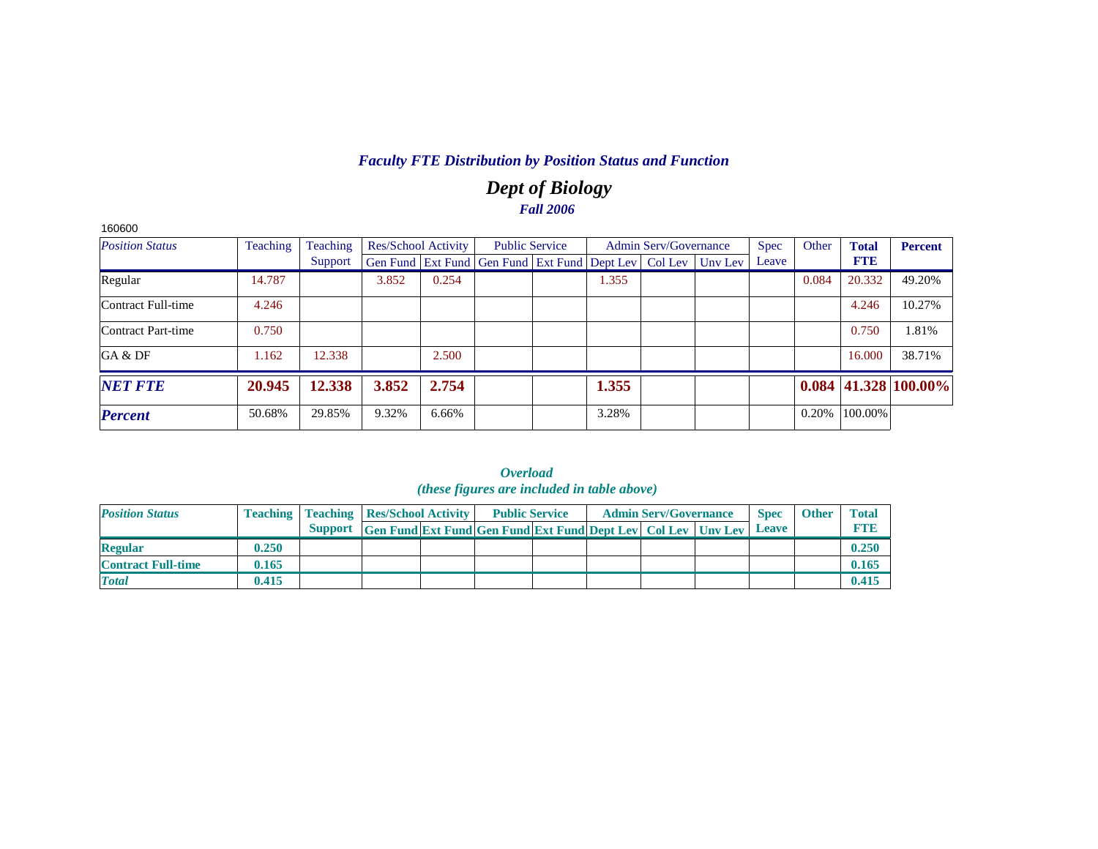# *Dept of Biology Fall 2006*

| 160600                 |          |          |                     |       |                                                                |       |                              |         |             |       |              |                            |
|------------------------|----------|----------|---------------------|-------|----------------------------------------------------------------|-------|------------------------------|---------|-------------|-------|--------------|----------------------------|
| <b>Position Status</b> | Teaching | Teaching | Res/School Activity |       | <b>Public Service</b>                                          |       | <b>Admin Serv/Governance</b> |         | <b>Spec</b> | Other | <b>Total</b> | <b>Percent</b>             |
|                        |          | Support  |                     |       | Gen Fund   Ext Fund   Gen Fund   Ext Fund   Dept Lev   Col Lev |       |                              | Unv Lev | Leave       |       | <b>FTE</b>   |                            |
| Regular                | 14.787   |          | 3.852               | 0.254 |                                                                | 1.355 |                              |         |             | 0.084 | 20.332       | 49.20%                     |
| Contract Full-time     | 4.246    |          |                     |       |                                                                |       |                              |         |             |       | 4.246        | 10.27%                     |
| Contract Part-time     | 0.750    |          |                     |       |                                                                |       |                              |         |             |       | 0.750        | 1.81%                      |
| GA & DF                | 1.162    | 12.338   |                     | 2.500 |                                                                |       |                              |         |             |       | 16.000       | 38.71%                     |
| <b>NET FTE</b>         | 20.945   | 12.338   | 3.852               | 2.754 |                                                                | 1.355 |                              |         |             |       |              | $0.084$   41.328   100.00% |
| <b>Percent</b>         | 50.68%   | 29.85%   | 9.32%               | 6.66% |                                                                | 3.28% |                              |         |             | 0.20% | 100.00%      |                            |

|                           |       |                                                    |                                                                            | ( <i>these figures are included in table above</i> ) |  |                              |             |              |              |
|---------------------------|-------|----------------------------------------------------|----------------------------------------------------------------------------|------------------------------------------------------|--|------------------------------|-------------|--------------|--------------|
| <b>Position Status</b>    |       | <b>Teaching   Teaching   Res/School Activity  </b> |                                                                            | <b>Public Service</b>                                |  | <b>Admin Serv/Governance</b> | <b>Spec</b> | <b>Other</b> | <b>Total</b> |
|                           |       |                                                    | Support Gen Fund Ext Fund Gen Fund Ext Fund Dept Lev Col Lev Unv Lev Leave |                                                      |  |                              |             |              | <b>FTID</b>  |
| <b>Regular</b>            | 0.250 |                                                    |                                                                            |                                                      |  |                              |             |              | 0.250        |
| <b>Contract Full-time</b> | 0.165 |                                                    |                                                                            |                                                      |  |                              |             |              | 0.165        |
| <b>Total</b>              | 0.415 |                                                    |                                                                            |                                                      |  |                              |             |              | 0.415        |

*Overload*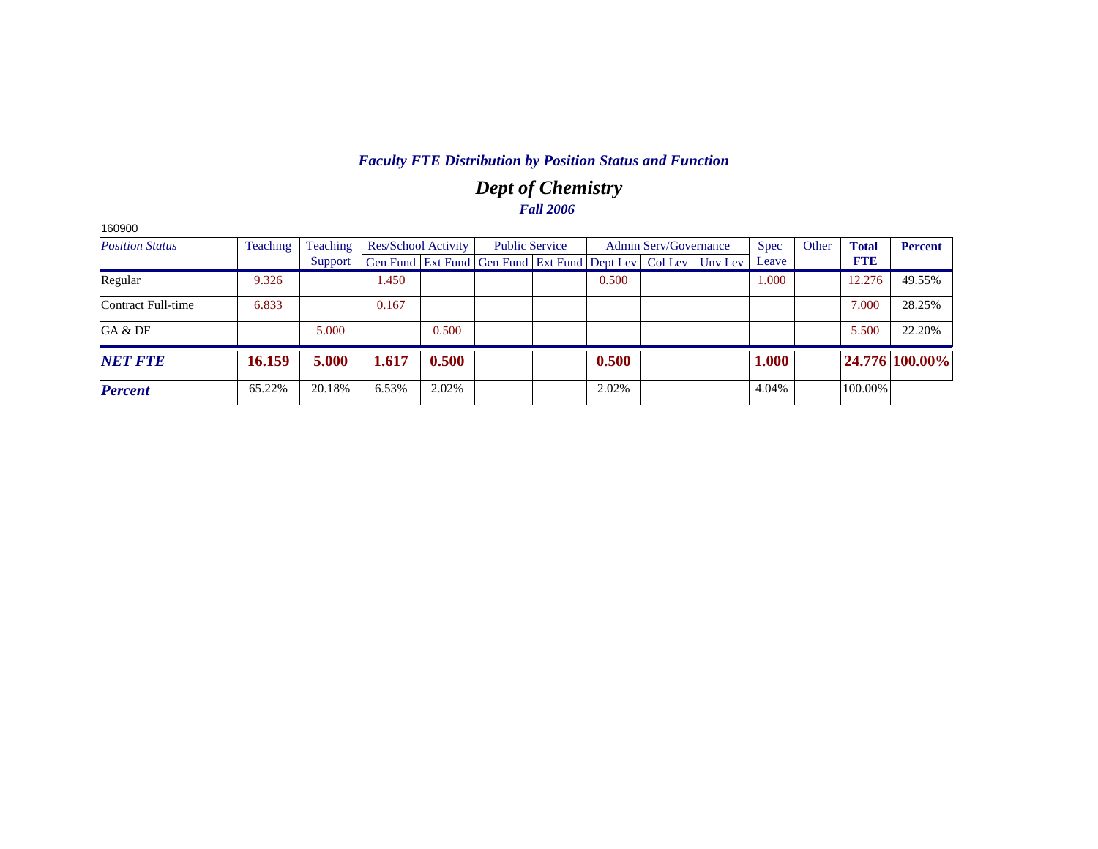# *Dept of Chemistry Fall 2006*

| 160900                 |          |          |                            |       |                                                                  |       |                              |             |       |              |                |
|------------------------|----------|----------|----------------------------|-------|------------------------------------------------------------------|-------|------------------------------|-------------|-------|--------------|----------------|
| <b>Position Status</b> | Teaching | Teaching | <b>Res/School Activity</b> |       | <b>Public Service</b>                                            |       | <b>Admin Serv/Governance</b> | <b>Spec</b> | Other | <b>Total</b> | <b>Percent</b> |
|                        |          | Support  |                            |       | Gen Fund Ext Fund Gen Fund Ext Fund Dept Lev   Col Lev   Unv Lev |       |                              | Leave       |       | <b>FTE</b>   |                |
| Regular                | 9.326    |          | 1.450                      |       |                                                                  | 0.500 |                              | 1.000       |       | 12.276       | 49.55%         |
| Contract Full-time     | 6.833    |          | 0.167                      |       |                                                                  |       |                              |             |       | 7.000        | 28.25%         |
| GA & DF                |          | 5.000    |                            | 0.500 |                                                                  |       |                              |             |       | 5.500        | 22.20%         |
| <b>NET FTE</b>         | 16.159   | 5.000    | 1.617                      | 0.500 |                                                                  | 0.500 |                              | 1.000       |       |              | 24.776 100.00% |
| <b>Percent</b>         | 65.22%   | 20.18%   | 6.53%                      | 2.02% |                                                                  | 2.02% |                              | 4.04%       |       | 100.00%      |                |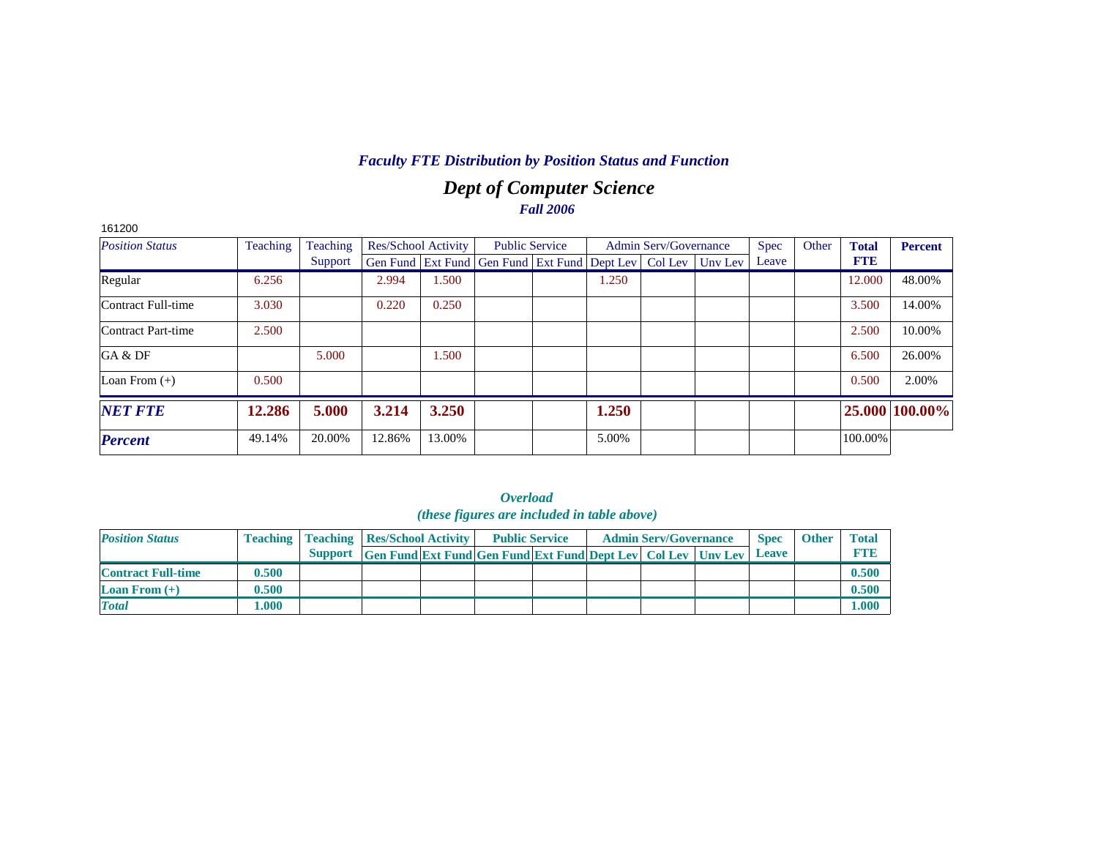# *Dept of Computer Science Fall 2006*

| 161200                 |                 |          |                            |        |                                                                |       |                              |         |             |       |              |                |
|------------------------|-----------------|----------|----------------------------|--------|----------------------------------------------------------------|-------|------------------------------|---------|-------------|-------|--------------|----------------|
| <b>Position Status</b> | <b>Teaching</b> | Teaching | <b>Res/School Activity</b> |        | <b>Public Service</b>                                          |       | <b>Admin Serv/Governance</b> |         | <b>Spec</b> | Other | <b>Total</b> | <b>Percent</b> |
|                        |                 | Support  |                            |        | Gen Fund   Ext Fund   Gen Fund   Ext Fund   Dept Lev   Col Lev |       |                              | Unv Lev | Leave       |       | <b>FTE</b>   |                |
| Regular                | 6.256           |          | 2.994                      | 1.500  |                                                                | 1.250 |                              |         |             |       | 12.000       | 48.00%         |
| Contract Full-time     | 3.030           |          | 0.220                      | 0.250  |                                                                |       |                              |         |             |       | 3.500        | 14.00%         |
| Contract Part-time     | 2.500           |          |                            |        |                                                                |       |                              |         |             |       | 2.500        | 10.00%         |
| GA & DF                |                 | 5.000    |                            | 1.500  |                                                                |       |                              |         |             |       | 6.500        | 26.00%         |
| Loan From $(+)$        | 0.500           |          |                            |        |                                                                |       |                              |         |             |       | 0.500        | 2.00%          |
| <b>NET FTE</b>         | 12.286          | 5.000    | 3.214                      | 3.250  |                                                                | 1.250 |                              |         |             |       |              | 25.000 100.00% |
| <b>Percent</b>         | 49.14%          | 20.00%   | 12.86%                     | 13.00% |                                                                | 5.00% |                              |         |             |       | 100.00%      |                |

|                           |       |                                                    |                                                                  | (these figures are included in table above) |  |                              |             |              |              |
|---------------------------|-------|----------------------------------------------------|------------------------------------------------------------------|---------------------------------------------|--|------------------------------|-------------|--------------|--------------|
| <b>Position Status</b>    |       | <b>Teaching   Teaching   Res/School Activity  </b> |                                                                  | <b>Public Service</b>                       |  | <b>Admin Serv/Governance</b> | <b>Spec</b> | <b>Other</b> | <b>Total</b> |
|                           |       | Support                                            | Gen Fund Ext Fund Gen Fund Ext Fund Dept Lev   Col Lev   Unv Lev |                                             |  |                              | Leave       |              | <b>FTID</b>  |
| <b>Contract Full-time</b> | 0.500 |                                                    |                                                                  |                                             |  |                              |             |              | 0.500        |
| <b>Loan From</b> $(+)$    | 0.500 |                                                    |                                                                  |                                             |  |                              |             |              | 0.500        |
| <b>Total</b>              | 1.000 |                                                    |                                                                  |                                             |  |                              |             |              | 000.1        |

| Overload                                   |  |  |  |  |  |  |  |  |  |  |  |  |
|--------------------------------------------|--|--|--|--|--|--|--|--|--|--|--|--|
| (these figures are included in table above |  |  |  |  |  |  |  |  |  |  |  |  |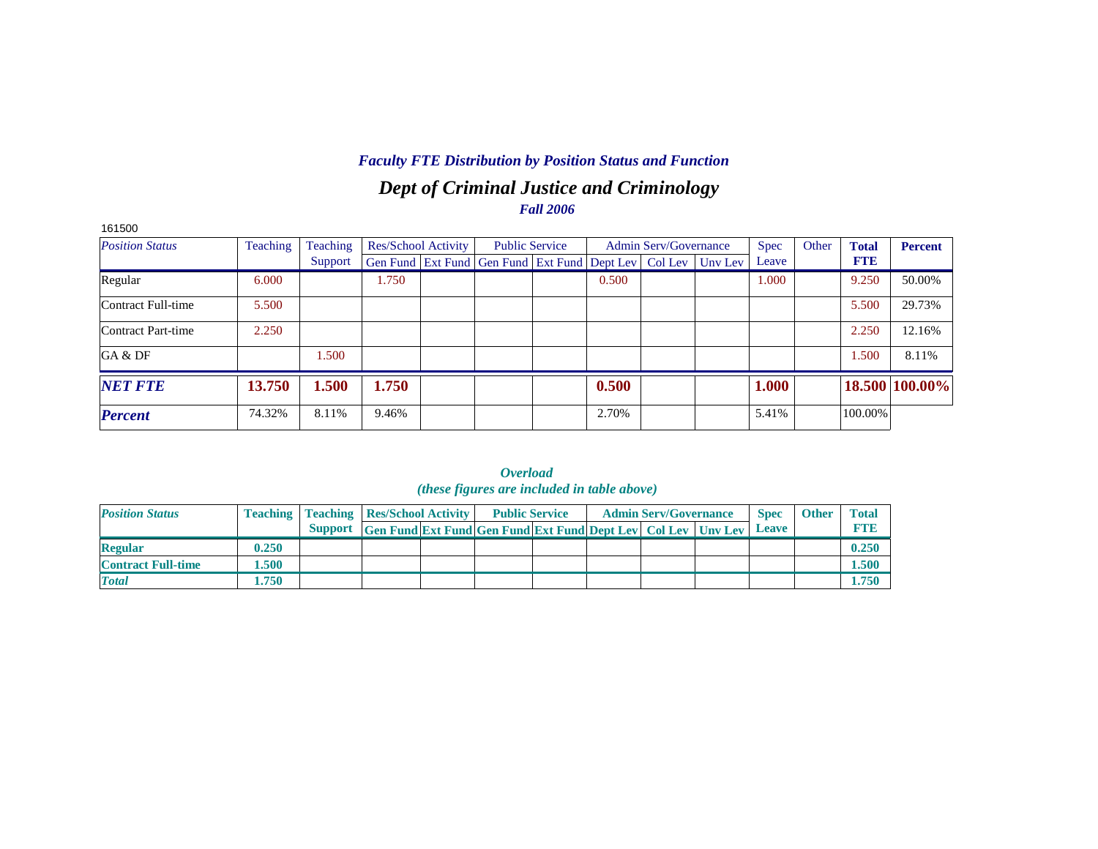# *Dept of Criminal Justice and Criminology Fall 2006*

| 161500                 |          |          |       |                            |                                                                          |       |                              |             |       |              |                |
|------------------------|----------|----------|-------|----------------------------|--------------------------------------------------------------------------|-------|------------------------------|-------------|-------|--------------|----------------|
| <b>Position Status</b> | Teaching | Teaching |       | <b>Res/School Activity</b> | <b>Public Service</b>                                                    |       | <b>Admin Serv/Governance</b> | <b>Spec</b> | Other | <b>Total</b> | <b>Percent</b> |
|                        |          | Support  |       |                            | Gen Fund   Ext Fund   Gen Fund   Ext Fund   Dept Lev   Col Lev   Unv Lev |       |                              | Leave       |       | <b>FTE</b>   |                |
| Regular                | 6.000    |          | 1.750 |                            |                                                                          | 0.500 |                              | 1.000       |       | 9.250        | 50.00%         |
| Contract Full-time     | 5.500    |          |       |                            |                                                                          |       |                              |             |       | 5.500        | 29.73%         |
| Contract Part-time     | 2.250    |          |       |                            |                                                                          |       |                              |             |       | 2.250        | 12.16%         |
| GA & DF                |          | .500     |       |                            |                                                                          |       |                              |             |       | 1.500        | 8.11%          |
| <b>NET FTE</b>         | 13.750   | 1.500    | 1.750 |                            |                                                                          | 0.500 |                              | 1.000       |       |              | 18.500 100.00% |
| <b>Percent</b>         | 74.32%   | 8.11%    | 9.46% |                            |                                                                          | 2.70% |                              | 5.41%       |       | 100.00%      |                |

|                           |       |                                                    |                                                                     | ( <i>these figures are included in table above</i> ) |  |                              |              |              |              |
|---------------------------|-------|----------------------------------------------------|---------------------------------------------------------------------|------------------------------------------------------|--|------------------------------|--------------|--------------|--------------|
| <b>Position Status</b>    |       | <b>Teaching   Teaching   Res/School Activity  </b> |                                                                     | <b>Public Service</b>                                |  | <b>Admin Serv/Governance</b> | <b>Spec</b>  | <b>Other</b> | <b>Total</b> |
|                           |       | <b>Support</b>                                     | <b>Gen Fund Ext Fund Gen Fund Ext Fund Dept Lev Col Lev Unv Lev</b> |                                                      |  |                              | <b>Leave</b> |              | <b>FTE</b>   |
| <b>Regular</b>            | 0.250 |                                                    |                                                                     |                                                      |  |                              |              |              | 0.250        |
| <b>Contract Full-time</b> | 1.500 |                                                    |                                                                     |                                                      |  |                              |              |              | 1.500        |
| <b>Total</b>              | 1.750 |                                                    |                                                                     |                                                      |  |                              |              |              | 1.750        |

*Overload*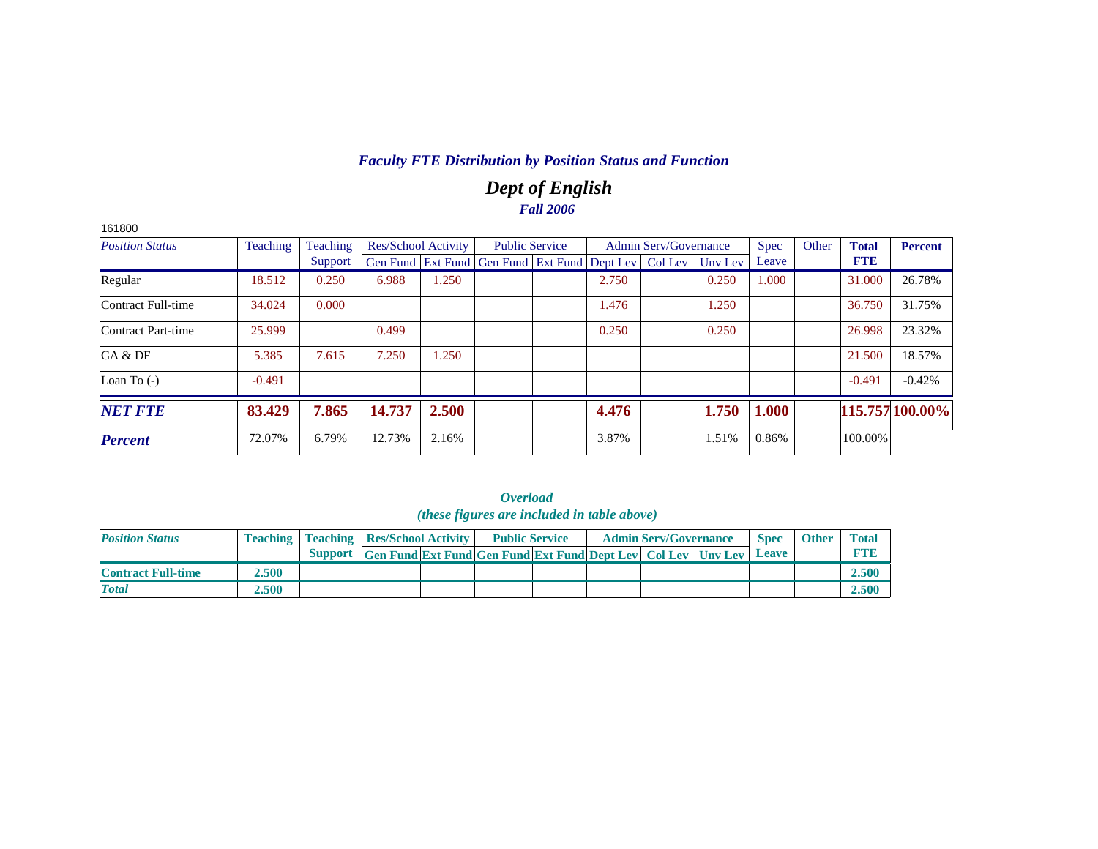# *Dept of English Fall 2006*

| 161800                 |          |          |                            |       |                                                                |       |                              |         |             |       |              |                 |
|------------------------|----------|----------|----------------------------|-------|----------------------------------------------------------------|-------|------------------------------|---------|-------------|-------|--------------|-----------------|
| <b>Position Status</b> | Teaching | Teaching | <b>Res/School Activity</b> |       | <b>Public Service</b>                                          |       | <b>Admin Serv/Governance</b> |         | <b>Spec</b> | Other | <b>Total</b> | <b>Percent</b>  |
|                        |          | Support  |                            |       | Gen Fund   Ext Fund   Gen Fund   Ext Fund   Dept Lev   Col Lev |       |                              | Unv Lev | Leave       |       | <b>FTE</b>   |                 |
| Regular                | 18.512   | 0.250    | 6.988                      | 1.250 |                                                                | 2.750 |                              | 0.250   | 1.000       |       | 31.000       | 26.78%          |
| Contract Full-time     | 34.024   | 0.000    |                            |       |                                                                | 1.476 |                              | 1.250   |             |       | 36.750       | 31.75%          |
| Contract Part-time     | 25.999   |          | 0.499                      |       |                                                                | 0.250 |                              | 0.250   |             |       | 26.998       | 23.32%          |
| GA & DF                | 5.385    | 7.615    | 7.250                      | 1.250 |                                                                |       |                              |         |             |       | 21.500       | 18.57%          |
| Loan To $(-)$          | $-0.491$ |          |                            |       |                                                                |       |                              |         |             |       | $-0.491$     | $-0.42%$        |
| <b>NET FTE</b>         | 83.429   | 7.865    | 14.737                     | 2.500 |                                                                | 4.476 |                              | 1.750   | 1.000       |       |              | 115.757 100.00% |
| <b>Percent</b>         | 72.07%   | 6.79%    | 12.73%                     | 2.16% |                                                                | 3.87% |                              | 1.51%   | 0.86%       |       | 100.00%      |                 |

|                           |       |                                                    |                                                                            | <i>(these figures are included in table above)</i> |  |                              |             |              |              |
|---------------------------|-------|----------------------------------------------------|----------------------------------------------------------------------------|----------------------------------------------------|--|------------------------------|-------------|--------------|--------------|
| <b>Position Status</b>    |       | <b>Teaching   Teaching   Res/School Activity  </b> |                                                                            | <b>Public Service</b>                              |  | <b>Admin Serv/Governance</b> | <b>Spec</b> | <b>Other</b> | <b>Total</b> |
|                           |       |                                                    | Support Gen Fund Ext Fund Gen Fund Ext Fund Dept Lev Col Lev Unv Lev Leave |                                                    |  |                              |             |              | <b>FTB</b>   |
| <b>Contract Full-time</b> | 2.500 |                                                    |                                                                            |                                                    |  |                              |             |              | 2.500        |
| <b>Total</b>              | 2.500 |                                                    |                                                                            |                                                    |  |                              |             |              | 2.500        |

|                                            | Overload |  |  |  |  |  |  |  |  |  |  |  |  |  |
|--------------------------------------------|----------|--|--|--|--|--|--|--|--|--|--|--|--|--|
| (these figures are included in table above |          |  |  |  |  |  |  |  |  |  |  |  |  |  |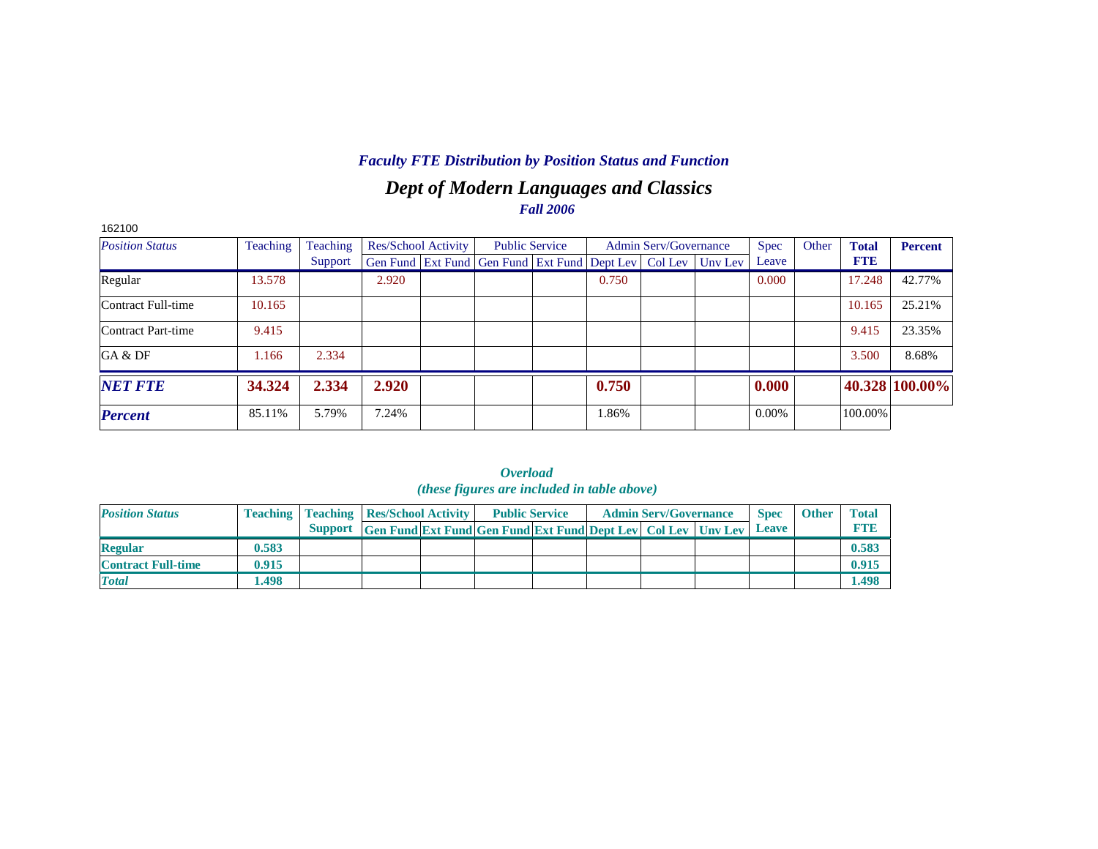# *Dept of Modern Languages and Classics Fall 2006*

| 162100                 |          |          |                     |                                                                |       |                              |         |       |       |              |                |
|------------------------|----------|----------|---------------------|----------------------------------------------------------------|-------|------------------------------|---------|-------|-------|--------------|----------------|
| <b>Position Status</b> | Teaching | Teaching | Res/School Activity | <b>Public Service</b>                                          |       | <b>Admin Serv/Governance</b> |         | Spec  | Other | <b>Total</b> | <b>Percent</b> |
|                        |          | Support  |                     | Gen Fund   Ext Fund   Gen Fund   Ext Fund   Dept Lev   Col Lev |       |                              | Uny Lev | Leave |       | <b>FTE</b>   |                |
| Regular                | 13.578   |          | 2.920               |                                                                | 0.750 |                              |         | 0.000 |       | 17.248       | 42.77%         |
| Contract Full-time     | 10.165   |          |                     |                                                                |       |                              |         |       |       | 10.165       | 25.21%         |
| Contract Part-time     | 9.415    |          |                     |                                                                |       |                              |         |       |       | 9.415        | 23.35%         |
| GA & DF                | 1.166    | 2.334    |                     |                                                                |       |                              |         |       |       | 3.500        | 8.68%          |
| <b>NET FTE</b>         | 34.324   | 2.334    | 2.920               |                                                                | 0.750 |                              |         | 0.000 |       |              | 40.328 100.00% |
| <b>Percent</b>         | 85.11%   | 5.79%    | 7.24%               |                                                                | 1.86% |                              |         | 0.00% |       | 100.00%      |                |

|                           |       |                                                    |                                                                            | ( <i>these figures are included in table above</i> ) |  |                              |             |              |              |
|---------------------------|-------|----------------------------------------------------|----------------------------------------------------------------------------|------------------------------------------------------|--|------------------------------|-------------|--------------|--------------|
| <b>Position Status</b>    |       | <b>Teaching   Teaching   Res/School Activity  </b> |                                                                            | <b>Public Service</b>                                |  | <b>Admin Serv/Governance</b> | <b>Spec</b> | <b>Other</b> | <b>Total</b> |
|                           |       |                                                    | Support Gen Fund Ext Fund Gen Fund Ext Fund Dept Lev Col Lev Unv Lev Leave |                                                      |  |                              |             |              | <b>RTIB</b>  |
| <b>Regular</b>            | 0.583 |                                                    |                                                                            |                                                      |  |                              |             |              | 0.583        |
| <b>Contract Full-time</b> | 0.915 |                                                    |                                                                            |                                                      |  |                              |             |              | 0.915        |
| <b>Total</b>              | 1.498 |                                                    |                                                                            |                                                      |  |                              |             |              | <b>1.498</b> |

*Overload*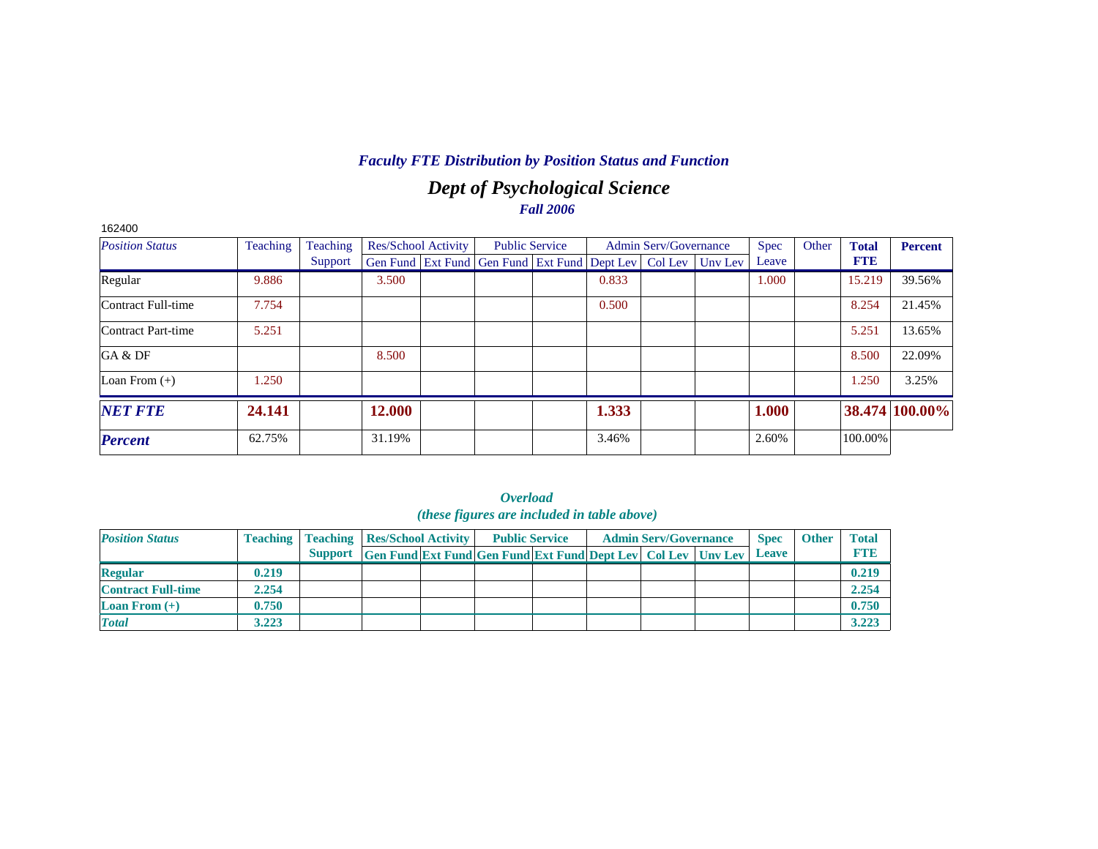# *Dept of Psychological Science Fall 2006*

| 162400                    |          |          |        |                            |                                                                |       |                              |         |             |       |              |                |
|---------------------------|----------|----------|--------|----------------------------|----------------------------------------------------------------|-------|------------------------------|---------|-------------|-------|--------------|----------------|
| <b>Position Status</b>    | Teaching | Teaching |        | <b>Res/School Activity</b> | <b>Public Service</b>                                          |       | <b>Admin Serv/Governance</b> |         | <b>Spec</b> | Other | <b>Total</b> | <b>Percent</b> |
|                           |          | Support  |        |                            | Gen Fund   Ext Fund   Gen Fund   Ext Fund   Dept Lev   Col Lev |       |                              | Unv Lev | Leave       |       | <b>FTE</b>   |                |
| Regular                   | 9.886    |          | 3.500  |                            |                                                                | 0.833 |                              |         | 1.000       |       | 15.219       | 39.56%         |
| Contract Full-time        | 7.754    |          |        |                            |                                                                | 0.500 |                              |         |             |       | 8.254        | 21.45%         |
| <b>Contract Part-time</b> | 5.251    |          |        |                            |                                                                |       |                              |         |             |       | 5.251        | 13.65%         |
| GA & DF                   |          |          | 8.500  |                            |                                                                |       |                              |         |             |       | 8.500        | 22.09%         |
| Loan From $(+)$           | 1.250    |          |        |                            |                                                                |       |                              |         |             |       | 1.250        | 3.25%          |
| <b>NET FTE</b>            | 24.141   |          | 12.000 |                            |                                                                | 1.333 |                              |         | 1.000       |       |              | 38.474 100.00% |
| <b>Percent</b>            | 62.75%   |          | 31.19% |                            |                                                                | 3.46% |                              |         | 2.60%       |       | 100.00%      |                |

| ( <i>these figures are included in table above</i> ) |       |                                                    |                                                                      |  |  |                       |  |                              |  |              |              |              |
|------------------------------------------------------|-------|----------------------------------------------------|----------------------------------------------------------------------|--|--|-----------------------|--|------------------------------|--|--------------|--------------|--------------|
| <b>Position Status</b>                               |       | <b>Teaching   Teaching   Res/School Activity  </b> |                                                                      |  |  | <b>Public Service</b> |  | <b>Admin Serv/Governance</b> |  | <b>Spec</b>  | <b>Other</b> | <b>Total</b> |
|                                                      |       |                                                    | Support Gen Fund Ext Fund Gen Fund Ext Fund Dept Lev Col Lev Unv Lev |  |  |                       |  |                              |  | <b>Leave</b> |              | <b>FTE</b>   |
| <b>Regular</b>                                       | 0.219 |                                                    |                                                                      |  |  |                       |  |                              |  |              |              | 0.219        |
| <b>Contract Full-time</b>                            | 2.254 |                                                    |                                                                      |  |  |                       |  |                              |  |              |              | 2.254        |
| <b>Loan From <math>(+)</math></b>                    | 0.750 |                                                    |                                                                      |  |  |                       |  |                              |  |              |              | 0.750        |
| <b>Total</b>                                         | 3.223 |                                                    |                                                                      |  |  |                       |  |                              |  |              |              | 3.223        |

| Overload                                   |  |  |  |  |  |  |  |  |  |  |  |  |
|--------------------------------------------|--|--|--|--|--|--|--|--|--|--|--|--|
| (these figures are included in table above |  |  |  |  |  |  |  |  |  |  |  |  |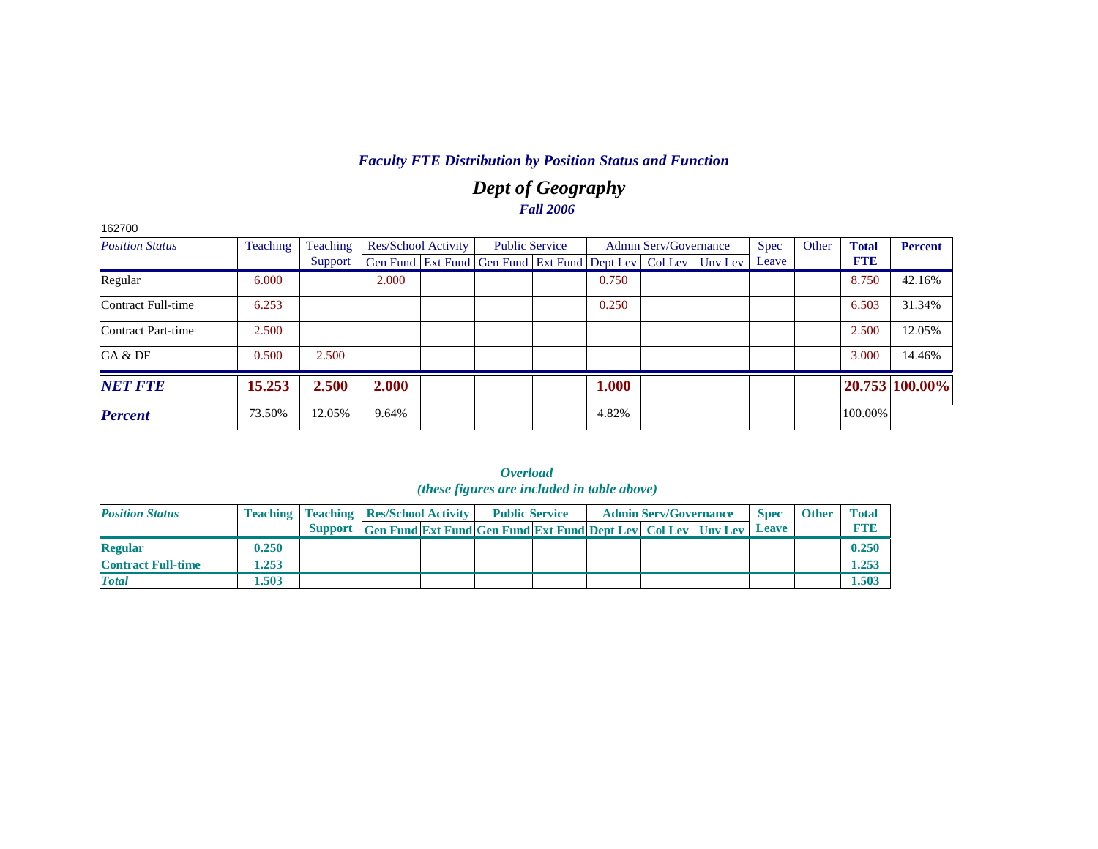# *Dept of Geography Fall 2006*

| 162700                 |          |          |                            |  |                                                                |  |       |                              |         |             |       |              |                |
|------------------------|----------|----------|----------------------------|--|----------------------------------------------------------------|--|-------|------------------------------|---------|-------------|-------|--------------|----------------|
| <b>Position Status</b> | Teaching | Teaching | <b>Res/School Activity</b> |  | <b>Public Service</b>                                          |  |       | <b>Admin Serv/Governance</b> |         | <b>Spec</b> | Other | <b>Total</b> | <b>Percent</b> |
|                        |          | Support  |                            |  | Gen Fund   Ext Fund   Gen Fund   Ext Fund   Dept Lev   Col Lev |  |       |                              | Uny Lev | Leave       |       | <b>FTE</b>   |                |
| Regular                | 6.000    |          | 2.000                      |  |                                                                |  | 0.750 |                              |         |             |       | 8.750        | 42.16%         |
| Contract Full-time     | 6.253    |          |                            |  |                                                                |  | 0.250 |                              |         |             |       | 6.503        | 31.34%         |
| Contract Part-time     | 2.500    |          |                            |  |                                                                |  |       |                              |         |             |       | 2.500        | 12.05%         |
| GA & DF                | 0.500    | 2.500    |                            |  |                                                                |  |       |                              |         |             |       | 3.000        | 14.46%         |
| <b>NET FTE</b>         | 15.253   | 2.500    | 2.000                      |  |                                                                |  | 1.000 |                              |         |             |       |              | 20.753 100.00% |
| <b>Percent</b>         | 73.50%   | 12.05%   | 9.64%                      |  |                                                                |  | 4.82% |                              |         |             |       | 100.00%      |                |

|                           |       |                                                    |                                                                                 | <i>(mest jigures are menada in abre above)</i> |  |                              |             |              |              |
|---------------------------|-------|----------------------------------------------------|---------------------------------------------------------------------------------|------------------------------------------------|--|------------------------------|-------------|--------------|--------------|
| <b>Position Status</b>    |       | <b>Teaching   Teaching   Res/School Activity  </b> |                                                                                 | <b>Public Service</b>                          |  | <b>Admin Serv/Governance</b> | <b>Spec</b> | <b>Other</b> | <b>Total</b> |
|                           |       | <b>Support</b>                                     | <b>Gen Fund Ext Fund Gen Fund Ext Fund Dept Lev   Col Lev   Unv Lev   Leave</b> |                                                |  |                              |             |              | <b>FTE</b>   |
| <b>Regular</b>            | 0.250 |                                                    |                                                                                 |                                                |  |                              |             |              | 0.250        |
| <b>Contract Full-time</b> | 1.253 |                                                    |                                                                                 |                                                |  |                              |             |              | 1.253        |
| <b>Total</b>              | 1.503 |                                                    |                                                                                 |                                                |  |                              |             |              | 1.503        |

*Overload (these figures are included in table above)*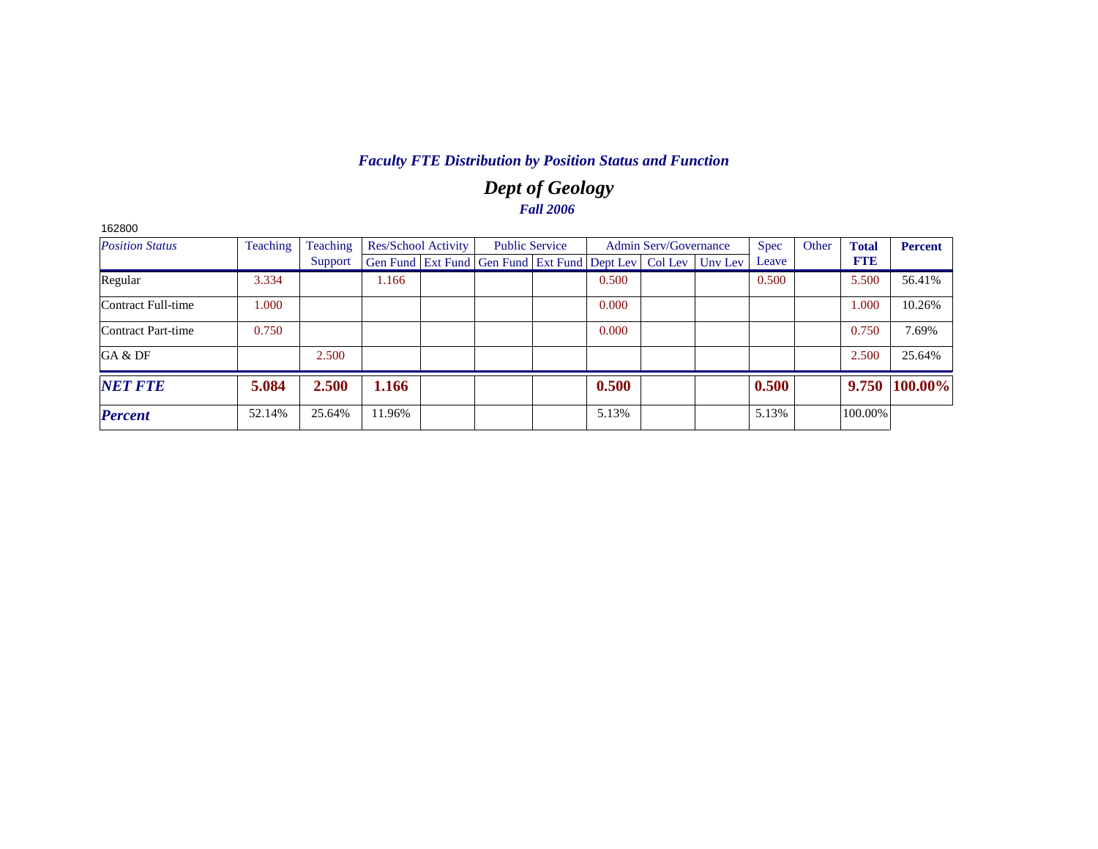# *Dept of Geology Fall 2006*

| Teaching<br><b>Position Status</b> |        | Teaching | Res/School Activity |  |                                                                | <b>Public Service</b> |       | <b>Admin Serv/Governance</b> |         | <b>Spec</b> | Other | <b>Total</b> | <b>Percent</b> |
|------------------------------------|--------|----------|---------------------|--|----------------------------------------------------------------|-----------------------|-------|------------------------------|---------|-------------|-------|--------------|----------------|
|                                    |        | Support  |                     |  | Gen Fund   Ext Fund   Gen Fund   Ext Fund   Dept Lev   Col Lev |                       |       |                              | Unv Lev | Leave       |       | <b>FTE</b>   |                |
| Regular                            | 3.334  |          | 1.166               |  |                                                                |                       | 0.500 |                              |         | 0.500       |       | 5.500        | 56.41%         |
| Contract Full-time                 | 1.000  |          |                     |  |                                                                |                       | 0.000 |                              |         |             |       | 1.000        | 10.26%         |
| Contract Part-time                 | 0.750  |          |                     |  |                                                                |                       | 0.000 |                              |         |             |       | 0.750        | 7.69%          |
| GA & DF                            |        | 2.500    |                     |  |                                                                |                       |       |                              |         |             |       | 2.500        | 25.64%         |
| <b>NET FTE</b>                     | 5.084  | 2.500    | 1.166               |  |                                                                |                       | 0.500 |                              |         | 0.500       |       | 9.750        | 100.00%        |
| <b>Percent</b>                     | 52.14% | 25.64%   | 11.96%              |  |                                                                |                       | 5.13% |                              |         | 5.13%       |       | 100.00%      |                |

162800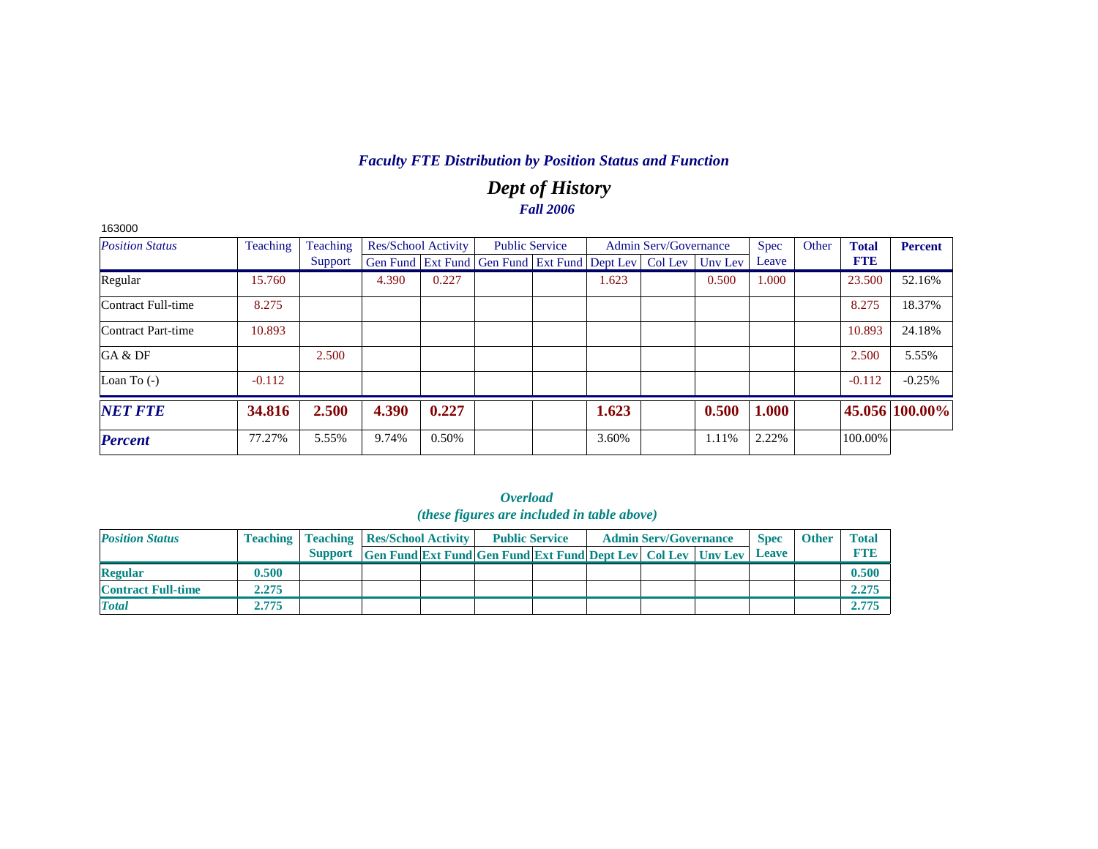# *Dept of History Fall 2006*

| 163000                 |          |          |       |                            |                                                                |       |                              |         |             |       |              |                |
|------------------------|----------|----------|-------|----------------------------|----------------------------------------------------------------|-------|------------------------------|---------|-------------|-------|--------------|----------------|
| <b>Position Status</b> | Teaching | Teaching |       | <b>Res/School Activity</b> | <b>Public Service</b>                                          |       | <b>Admin Serv/Governance</b> |         | <b>Spec</b> | Other | <b>Total</b> | Percent        |
|                        |          | Support  |       |                            | Gen Fund   Ext Fund   Gen Fund   Ext Fund   Dept Lev   Col Lev |       |                              | Unv Lev | Leave       |       | <b>FTE</b>   |                |
| Regular                | 15.760   |          | 4.390 | 0.227                      |                                                                | 1.623 |                              | 0.500   | 1.000       |       | 23.500       | 52.16%         |
| Contract Full-time     | 8.275    |          |       |                            |                                                                |       |                              |         |             |       | 8.275        | 18.37%         |
| Contract Part-time     | 10.893   |          |       |                            |                                                                |       |                              |         |             |       | 10.893       | 24.18%         |
| GA & DF                |          | 2.500    |       |                            |                                                                |       |                              |         |             |       | 2.500        | 5.55%          |
| Loan To $(-)$          | $-0.112$ |          |       |                            |                                                                |       |                              |         |             |       | $-0.112$     | $-0.25%$       |
| <b>NET FTE</b>         | 34.816   | 2.500    | 4.390 | 0.227                      |                                                                | 1.623 |                              | 0.500   | 1.000       |       |              | 45.056 100.00% |
| <b>Percent</b>         | 77.27%   | 5.55%    | 9.74% | 0.50%                      |                                                                | 3.60% |                              | 1.11%   | 2.22%       |       | 100.00%      |                |

|                           |       |                                                    |                                                                           | ( <i>these figures are included in table above</i> ) |  |                              |             |              |              |
|---------------------------|-------|----------------------------------------------------|---------------------------------------------------------------------------|------------------------------------------------------|--|------------------------------|-------------|--------------|--------------|
| <b>Position Status</b>    |       | <b>Teaching   Teaching   Res/School Activity  </b> |                                                                           | <b>Public Service</b>                                |  | <b>Admin Serv/Governance</b> | <b>Spec</b> | <b>Other</b> | <b>Total</b> |
|                           |       | <b>Support</b>                                     | <b>Gen Fund Ext Fund Gen Fund Ext Fund Dept Lev Col Lev Unv Lev Leave</b> |                                                      |  |                              |             |              | <b>FTID</b>  |
| <b>Regular</b>            | 0.500 |                                                    |                                                                           |                                                      |  |                              |             |              | 0.500        |
| <b>Contract Full-time</b> | 2.275 |                                                    |                                                                           |                                                      |  |                              |             |              | 2.275        |
| <b>Total</b>              | 2.775 |                                                    |                                                                           |                                                      |  |                              |             |              | 2.775        |

|                                            | Overload |  |  |
|--------------------------------------------|----------|--|--|
| (these figures are included in table above |          |  |  |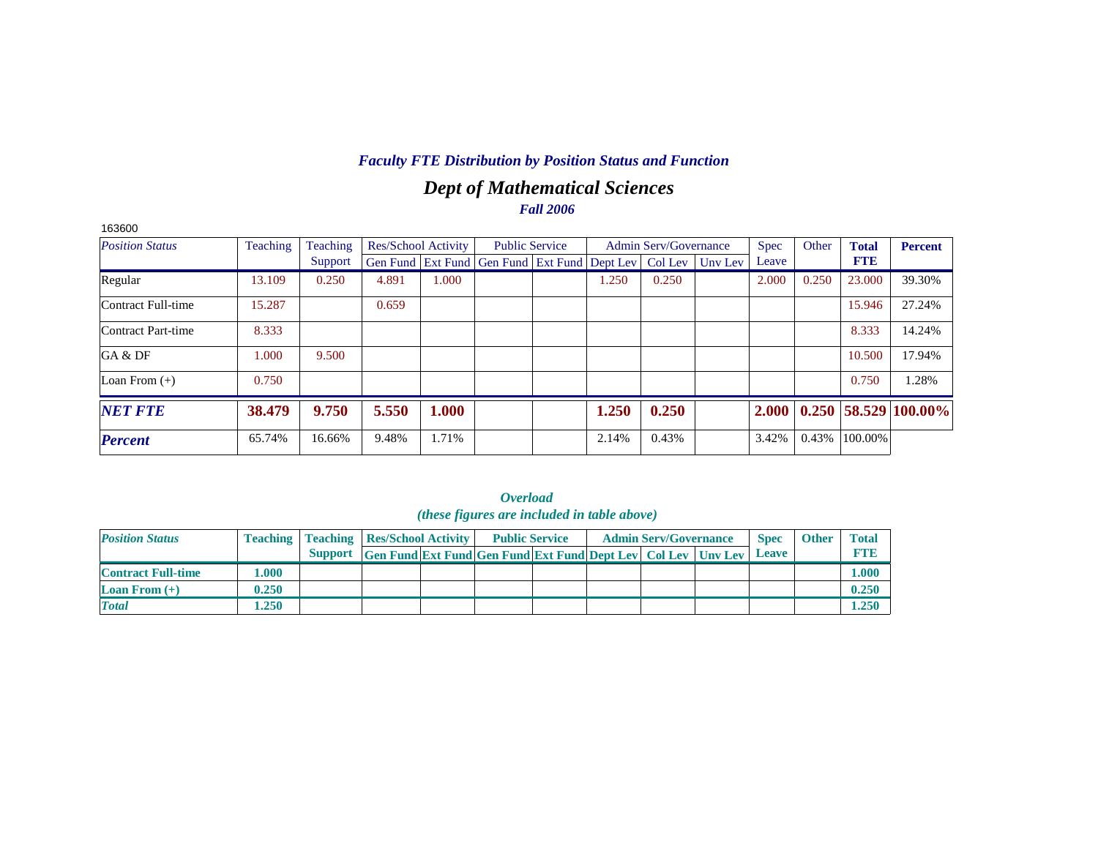# *Dept of Mathematical Sciences Fall 2006*

| 163600                 |                 |          |                            |       |                                                                |       |                              |         |              |       |              |                            |
|------------------------|-----------------|----------|----------------------------|-------|----------------------------------------------------------------|-------|------------------------------|---------|--------------|-------|--------------|----------------------------|
| <b>Position Status</b> | <b>Teaching</b> | Teaching | <b>Res/School Activity</b> |       | <b>Public Service</b>                                          |       | <b>Admin Serv/Governance</b> |         | <b>Spec</b>  | Other | <b>Total</b> | <b>Percent</b>             |
|                        |                 | Support  |                            |       | Gen Fund   Ext Fund   Gen Fund   Ext Fund   Dept Lev   Col Lev |       |                              | Uny Lev | Leave        |       | <b>FTE</b>   |                            |
| Regular                | 13.109          | 0.250    | 4.891                      | 1.000 |                                                                | 1.250 | 0.250                        |         | 2.000        | 0.250 | 23.000       | 39.30%                     |
| Contract Full-time     | 15.287          |          | 0.659                      |       |                                                                |       |                              |         |              |       | 15.946       | 27.24%                     |
| Contract Part-time     | 8.333           |          |                            |       |                                                                |       |                              |         |              |       | 8.333        | 14.24%                     |
| GA & DF                | 1.000           | 9.500    |                            |       |                                                                |       |                              |         |              |       | 10.500       | 17.94%                     |
| Loan From $(+)$        | 0.750           |          |                            |       |                                                                |       |                              |         |              |       | 0.750        | 1.28%                      |
| <b>NET FTE</b>         | 38.479          | 9.750    | 5.550                      | 1.000 |                                                                | 1.250 | 0.250                        |         | <b>2.000</b> |       |              | $0.250$   58.529   100.00% |
| <b>Percent</b>         | 65.74%          | 16.66%   | 9.48%                      | 1.71% |                                                                | 2.14% | 0.43%                        |         | 3.42%        | 0.43% | 100.00%      |                            |

*Overload* 

|                           |       |                                                    |                                                                  | <i>(these figures are included in table above)</i> |  |                              |              |              |              |
|---------------------------|-------|----------------------------------------------------|------------------------------------------------------------------|----------------------------------------------------|--|------------------------------|--------------|--------------|--------------|
| <b>Position Status</b>    |       | <b>Teaching   Teaching   Res/School Activity  </b> |                                                                  | <b>Public Service</b>                              |  | <b>Admin Serv/Governance</b> | <b>Spec</b>  | <b>Other</b> | <b>Total</b> |
|                           |       | <b>Support</b>                                     | Gen Fund Ext Fund Gen Fund Ext Fund Dept Lev   Col Lev   Unv Lev |                                                    |  |                              | <b>Leave</b> |              | <b>FTE</b>   |
| <b>Contract Full-time</b> | 000.1 |                                                    |                                                                  |                                                    |  |                              |              |              | 0.000        |
| <b>Loan From</b> $(+)$    | 0.250 |                                                    |                                                                  |                                                    |  |                              |              |              | 0.250        |
| <b>Total</b>              | 1.250 |                                                    |                                                                  |                                                    |  |                              |              |              | 1.250        |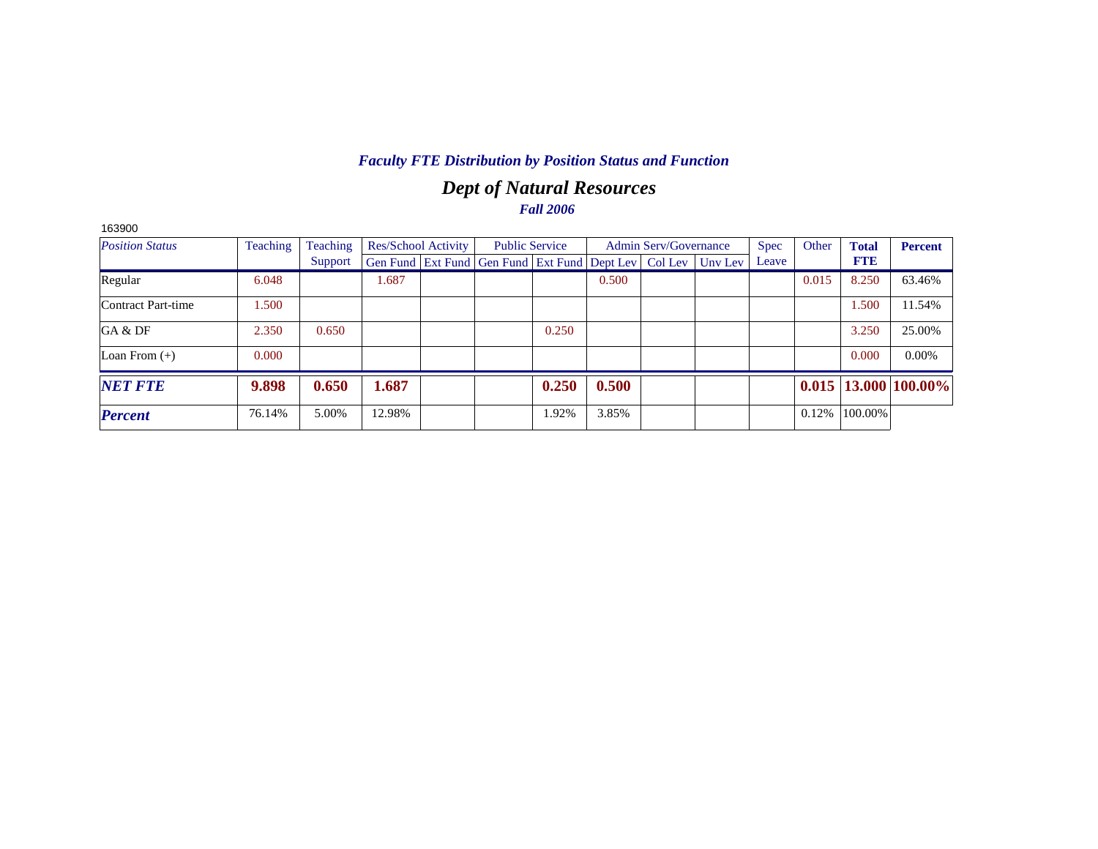# *Dept of Natural Resources Fall 2006*

| 163900                 |          |          |                            |                                                                |       |       |                              |         |             |       |              |                            |
|------------------------|----------|----------|----------------------------|----------------------------------------------------------------|-------|-------|------------------------------|---------|-------------|-------|--------------|----------------------------|
| <b>Position Status</b> | Teaching | Teaching | <b>Res/School Activity</b> | <b>Public Service</b>                                          |       |       | <b>Admin Serv/Governance</b> |         | <b>Spec</b> | Other | <b>Total</b> | <b>Percent</b>             |
|                        |          | Support  |                            | Gen Fund   Ext Fund   Gen Fund   Ext Fund   Dept Lev   Col Lev |       |       |                              | Unv Lev | Leave       |       | <b>FTE</b>   |                            |
| Regular                | 6.048    |          | 1.687                      |                                                                |       | 0.500 |                              |         |             | 0.015 | 8.250        | 63.46%                     |
| Contract Part-time     | 1.500    |          |                            |                                                                |       |       |                              |         |             |       | 1.500        | 11.54%                     |
| GA & DF                | 2.350    | 0.650    |                            |                                                                | 0.250 |       |                              |         |             |       | 3.250        | 25.00%                     |
| Loan From $(+)$        | 0.000    |          |                            |                                                                |       |       |                              |         |             |       | 0.000        | 0.00%                      |
| <b>NET FTE</b>         | 9.898    | 0.650    | 1.687                      |                                                                | 0.250 | 0.500 |                              |         |             |       |              | $0.015$   13.000   100.00% |
| <b>Percent</b>         | 76.14%   | 5.00%    | 12.98%                     |                                                                | 1.92% | 3.85% |                              |         |             | 0.12% | 100.00%      |                            |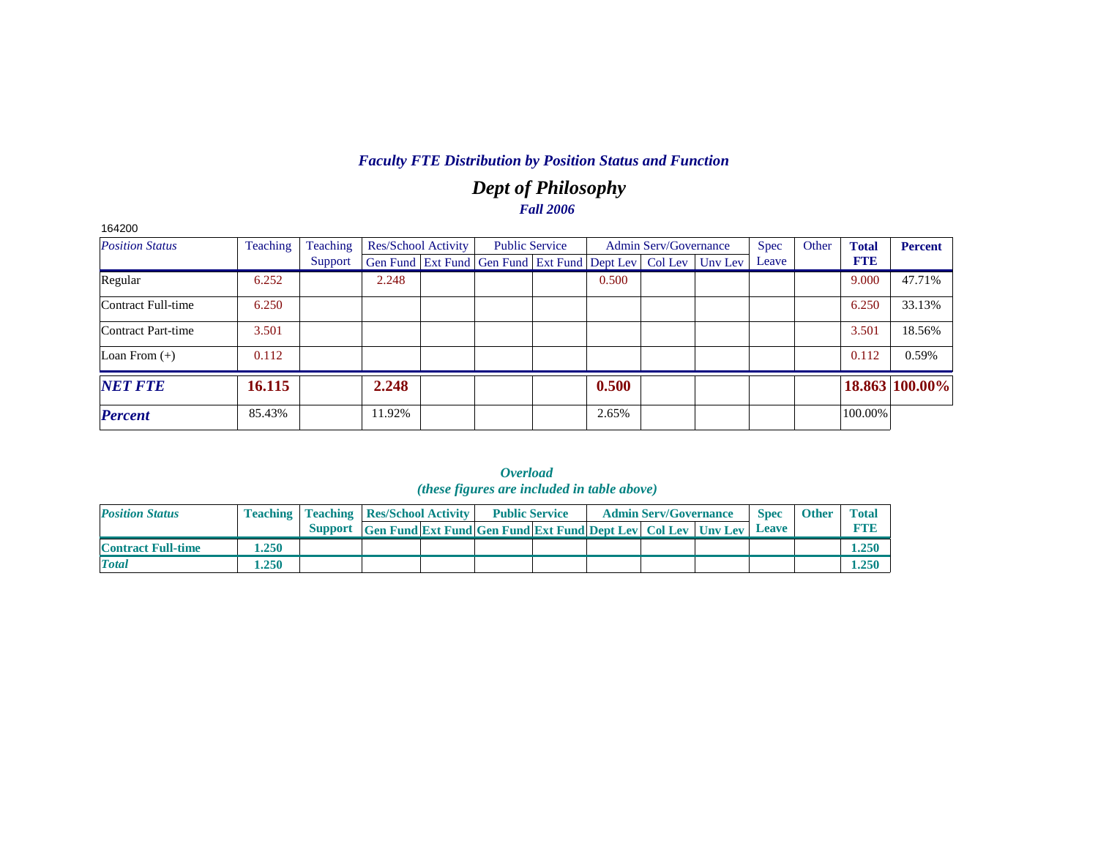# *Dept of Philosophy Fall 2006*

| 164200                 |          |          |        |                            |                                                                          |       |                              |             |       |              |                |
|------------------------|----------|----------|--------|----------------------------|--------------------------------------------------------------------------|-------|------------------------------|-------------|-------|--------------|----------------|
| <b>Position Status</b> | Teaching | Teaching |        | <b>Res/School Activity</b> | <b>Public Service</b>                                                    |       | <b>Admin Serv/Governance</b> | <b>Spec</b> | Other | <b>Total</b> | <b>Percent</b> |
|                        |          | Support  |        |                            | Gen Fund   Ext Fund   Gen Fund   Ext Fund   Dept Lev   Col Lev   Unv Lev |       |                              | Leave       |       | <b>FTB</b>   |                |
| Regular                | 6.252    |          | 2.248  |                            |                                                                          | 0.500 |                              |             |       | 9.000        | 47.71%         |
| Contract Full-time     | 6.250    |          |        |                            |                                                                          |       |                              |             |       | 6.250        | 33.13%         |
| Contract Part-time     | 3.501    |          |        |                            |                                                                          |       |                              |             |       | 3.501        | 18.56%         |
| Loan From $(+)$        | 0.112    |          |        |                            |                                                                          |       |                              |             |       | 0.112        | 0.59%          |
| <b>NET FTE</b>         | 16.115   |          | 2.248  |                            |                                                                          | 0.500 |                              |             |       |              | 18.863 100.00% |
| <b>Percent</b>         | 85.43%   |          | 11.92% |                            |                                                                          | 2.65% |                              |             |       | 100.00%      |                |

| <i><b>Overload</b></i>                             |  |
|----------------------------------------------------|--|
| <i>(these figures are included in table above)</i> |  |

| <b>Position Status</b>    | <b>Teaching</b> | <b>Teaching Res/School Activity</b> |                                                                     | <b>Public Service</b> |  | <b>Admin Serv/Governance</b> | <b>Spec</b> | <b>Other</b> | <b>Total</b> |
|---------------------------|-----------------|-------------------------------------|---------------------------------------------------------------------|-----------------------|--|------------------------------|-------------|--------------|--------------|
|                           |                 | <b>Support</b>                      | <b>Gen Fund Ext Fund Gen Fund Ext Fund Dept Lev Col Lev Unv Lev</b> |                       |  |                              | Leave       |              | <b>RTI</b>   |
| <b>Contract Full-time</b> | .250            |                                     |                                                                     |                       |  |                              |             |              | 1.250        |
| <b>Total</b>              | .250            |                                     |                                                                     |                       |  |                              |             |              | 1.250        |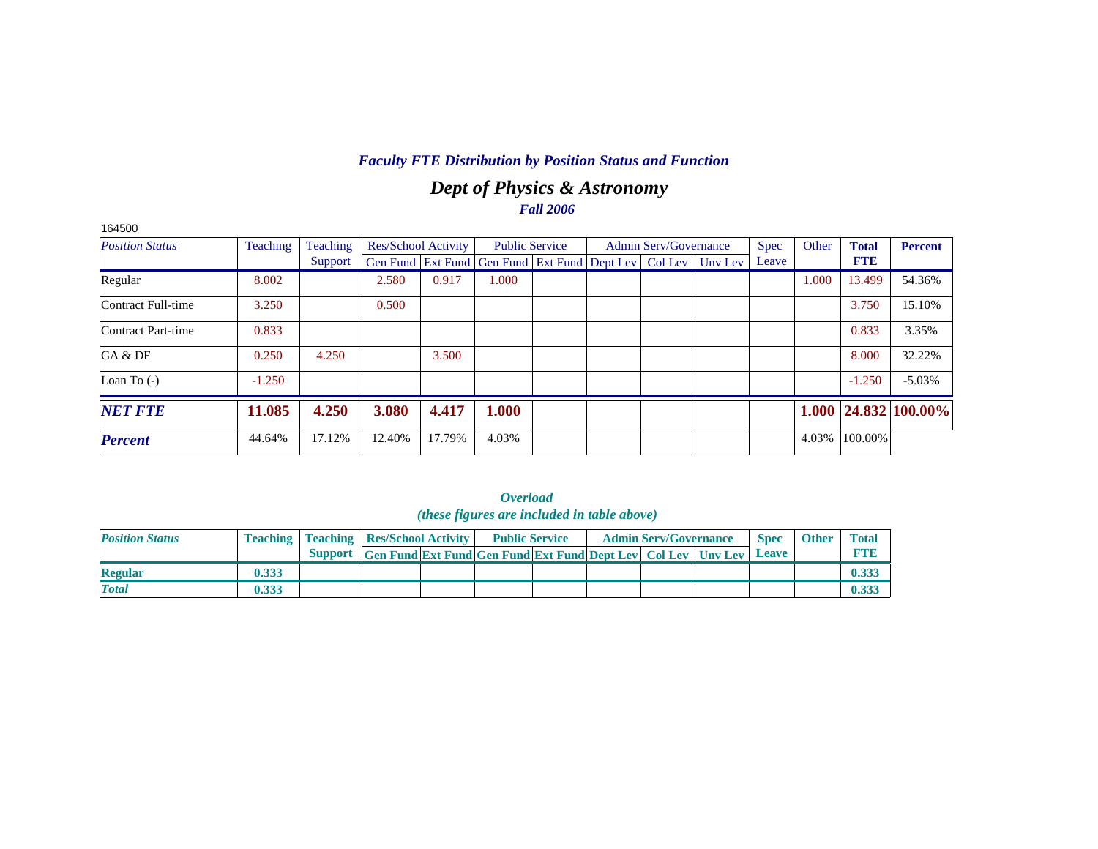# *Dept of Physics & Astronomy Fall 2006*

| 164500                 |                 |          |                            |        |                                                                  |  |                              |             |       |              |                            |
|------------------------|-----------------|----------|----------------------------|--------|------------------------------------------------------------------|--|------------------------------|-------------|-------|--------------|----------------------------|
| <b>Position Status</b> | <b>Teaching</b> | Teaching | <b>Res/School Activity</b> |        | <b>Public Service</b>                                            |  | <b>Admin Serv/Governance</b> | <b>Spec</b> | Other | <b>Total</b> | <b>Percent</b>             |
|                        |                 | Support  |                            |        | Gen Fund Ext Fund Gen Fund Ext Fund Dept Lev   Col Lev   Unv Lev |  |                              | Leave       |       | <b>FTE</b>   |                            |
| Regular                | 8.002           |          | 2.580                      | 0.917  | 1.000                                                            |  |                              |             | 1.000 | 13.499       | 54.36%                     |
| Contract Full-time     | 3.250           |          | 0.500                      |        |                                                                  |  |                              |             |       | 3.750        | 15.10%                     |
| Contract Part-time     | 0.833           |          |                            |        |                                                                  |  |                              |             |       | 0.833        | 3.35%                      |
| GA & DF                | 0.250           | 4.250    |                            | 3.500  |                                                                  |  |                              |             |       | 8.000        | 32.22%                     |
| Loan To $(-)$          | $-1.250$        |          |                            |        |                                                                  |  |                              |             |       | $-1.250$     | $-5.03%$                   |
| <b>NET FTE</b>         | 11.085          | 4.250    | 3.080                      | 4.417  | 1.000                                                            |  |                              |             |       |              | $1.000$   24.832   100.00% |
| <b>Percent</b>         | 44.64%          | 17.12%   | 12.40%                     | 17.79% | 4.03%                                                            |  |                              |             | 4.03% | 100.00%      |                            |

|                        |       |                                                    | ( <i>these figures are included in table above</i> )                       |  |                              |             |              |              |
|------------------------|-------|----------------------------------------------------|----------------------------------------------------------------------------|--|------------------------------|-------------|--------------|--------------|
| <b>Position Status</b> |       | <b>Teaching   Teaching   Res/School Activity  </b> | <b>Public Service</b>                                                      |  | <b>Admin Serv/Governance</b> | <b>Spec</b> | <b>Other</b> | <b>Total</b> |
|                        |       |                                                    | Support Gen Fund Ext Fund Gen Fund Ext Fund Dept Lev Col Lev Uny Lev Leave |  |                              |             |              | <b>FTE</b>   |
| <b>Regular</b>         | 0.333 |                                                    |                                                                            |  |                              |             |              | 0.333        |
| <b>Total</b>           | 0.333 |                                                    |                                                                            |  |                              |             |              | 0.333        |

|                                            | Overload |  |  |
|--------------------------------------------|----------|--|--|
| (these figures are included in table above |          |  |  |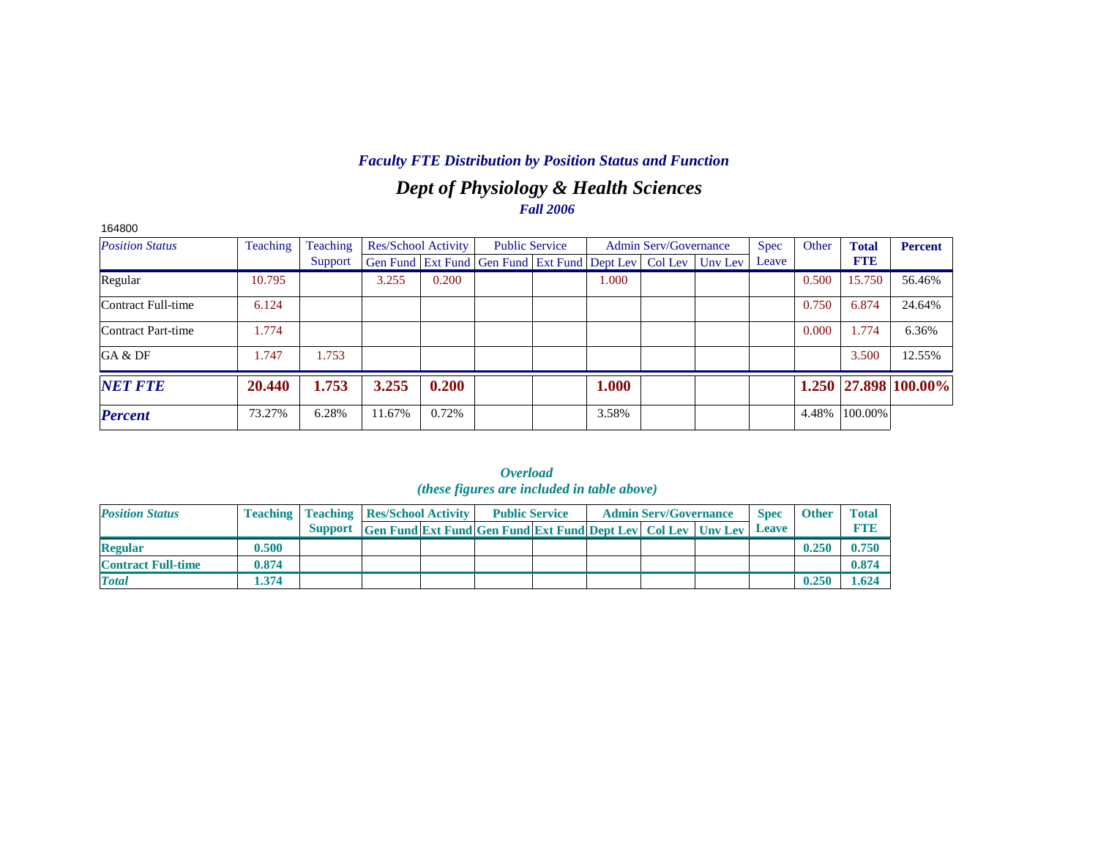# *Dept of Physiology & Health Sciences Fall 2006*

| 164800                 |          |          |        |                            |                                                                  |       |                              |             |       |              |                      |
|------------------------|----------|----------|--------|----------------------------|------------------------------------------------------------------|-------|------------------------------|-------------|-------|--------------|----------------------|
| <b>Position Status</b> | Teaching | Teaching |        | <b>Res/School Activity</b> | <b>Public Service</b>                                            |       | <b>Admin Serv/Governance</b> | <b>Spec</b> | Other | <b>Total</b> | <b>Percent</b>       |
|                        |          | Support  |        |                            | Gen Fund Ext Fund Gen Fund Ext Fund Dept Lev   Col Lev   Unv Lev |       |                              | Leave       |       | <b>FTE</b>   |                      |
| Regular                | 10.795   |          | 3.255  | 0.200                      |                                                                  | 1.000 |                              |             | 0.500 | 15.750       | 56.46%               |
| Contract Full-time     | 6.124    |          |        |                            |                                                                  |       |                              |             | 0.750 | 6.874        | 24.64%               |
| Contract Part-time     | 1.774    |          |        |                            |                                                                  |       |                              |             | 0.000 | 1.774        | 6.36%                |
| GA & DF                | 1.747    | 1.753    |        |                            |                                                                  |       |                              |             |       | 3.500        | 12.55%               |
| <b>NET FTE</b>         | 20.440   | 1.753    | 3.255  | 0.200                      |                                                                  | 1.000 |                              |             |       |              | 1.250 27.898 100.00% |
| <b>Percent</b>         | 73.27%   | 6.28%    | 11.67% | 0.72%                      |                                                                  | 3.58% |                              |             | 4.48% | 100.00%      |                      |

|                           |                 |                |                                                                                                                    | <i>мениции</i><br><i>(these figures are included in table above)</i> |  |                              |                             |              |                            |
|---------------------------|-----------------|----------------|--------------------------------------------------------------------------------------------------------------------|----------------------------------------------------------------------|--|------------------------------|-----------------------------|--------------|----------------------------|
| <b>Position Status</b>    | <b>Teaching</b> | <b>Support</b> | <b>Teaching   Res/School Activity  </b><br><b>Gen Fund Ext Fund Gen Fund Ext Fund Dept Lev   Col Lev   Unv Lev</b> | <b>Public Service</b>                                                |  | <b>Admin Serv/Governance</b> | <b>Spec</b><br><b>Leave</b> | <b>Other</b> | <b>Total</b><br><b>FTE</b> |
| <b>Regular</b>            | 0.500           |                |                                                                                                                    |                                                                      |  |                              |                             | 0.250        | 0.750                      |
| <b>Contract Full-time</b> | 0.874           |                |                                                                                                                    |                                                                      |  |                              |                             |              | 0.874                      |
| <b>Total</b>              | 1.374           |                |                                                                                                                    |                                                                      |  |                              |                             | 0.250        | 1.624                      |

*Overload*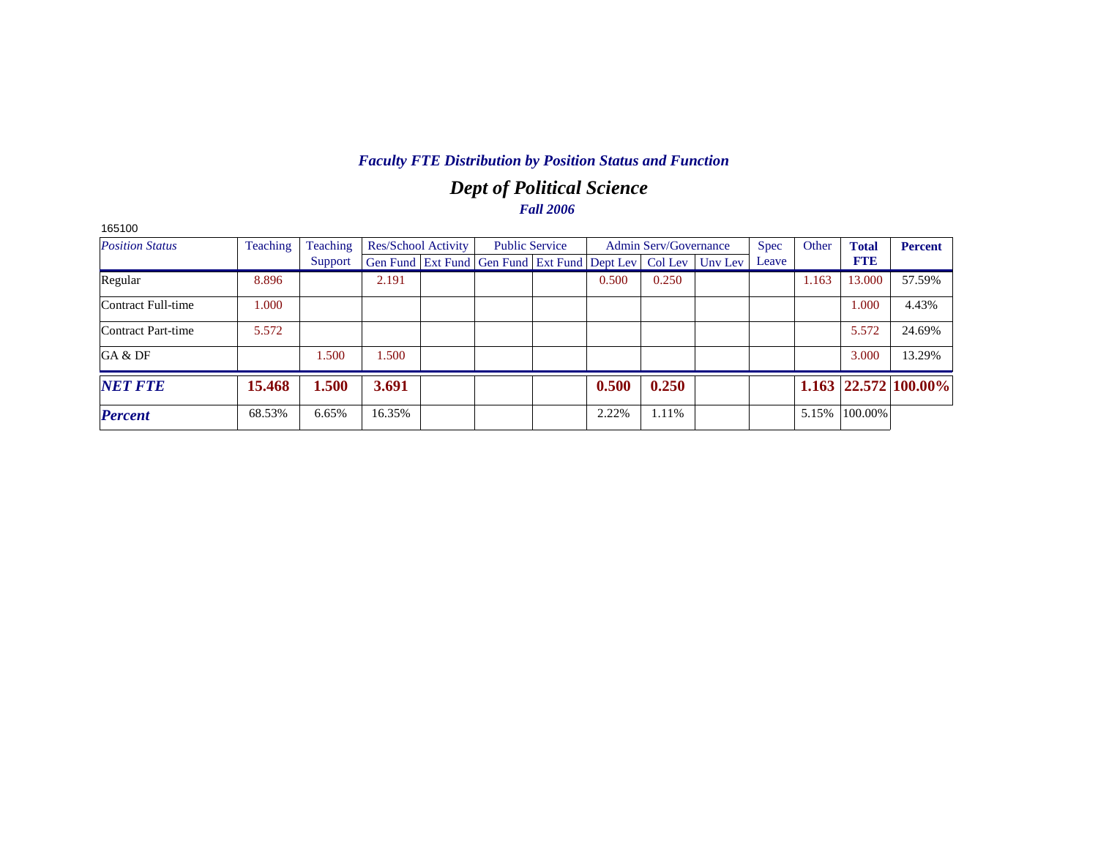# *Dept of Political Science Fall 2006*

| 165100                 |          |          |                     |                                                                |       |                              |         |             |       |              |                            |
|------------------------|----------|----------|---------------------|----------------------------------------------------------------|-------|------------------------------|---------|-------------|-------|--------------|----------------------------|
| <b>Position Status</b> | Teaching | Teaching | Res/School Activity | <b>Public Service</b>                                          |       | <b>Admin Serv/Governance</b> |         | <b>Spec</b> | Other | <b>Total</b> | <b>Percent</b>             |
|                        |          | Support  |                     | Gen Fund   Ext Fund   Gen Fund   Ext Fund   Dept Lev   Col Lev |       |                              | Uny Lev | Leave       |       | <b>FTE</b>   |                            |
| Regular                | 8.896    |          | 2.191               |                                                                | 0.500 | 0.250                        |         |             | 1.163 | 13.000       | 57.59%                     |
| Contract Full-time     | 1.000    |          |                     |                                                                |       |                              |         |             |       | 1.000        | 4.43%                      |
| Contract Part-time     | 5.572    |          |                     |                                                                |       |                              |         |             |       | 5.572        | 24.69%                     |
| GA & DF                |          | 1.500    | 1.500               |                                                                |       |                              |         |             |       | 3.000        | 13.29%                     |
| <b>NET FTE</b>         | 15.468   | 1.500    | 3.691               |                                                                | 0.500 | 0.250                        |         |             |       |              | $1.163$   22.572   100.00% |
| <b>Percent</b>         | 68.53%   | 6.65%    | 16.35%              |                                                                | 2.22% | 1.11%                        |         |             | 5.15% | 100.00%      |                            |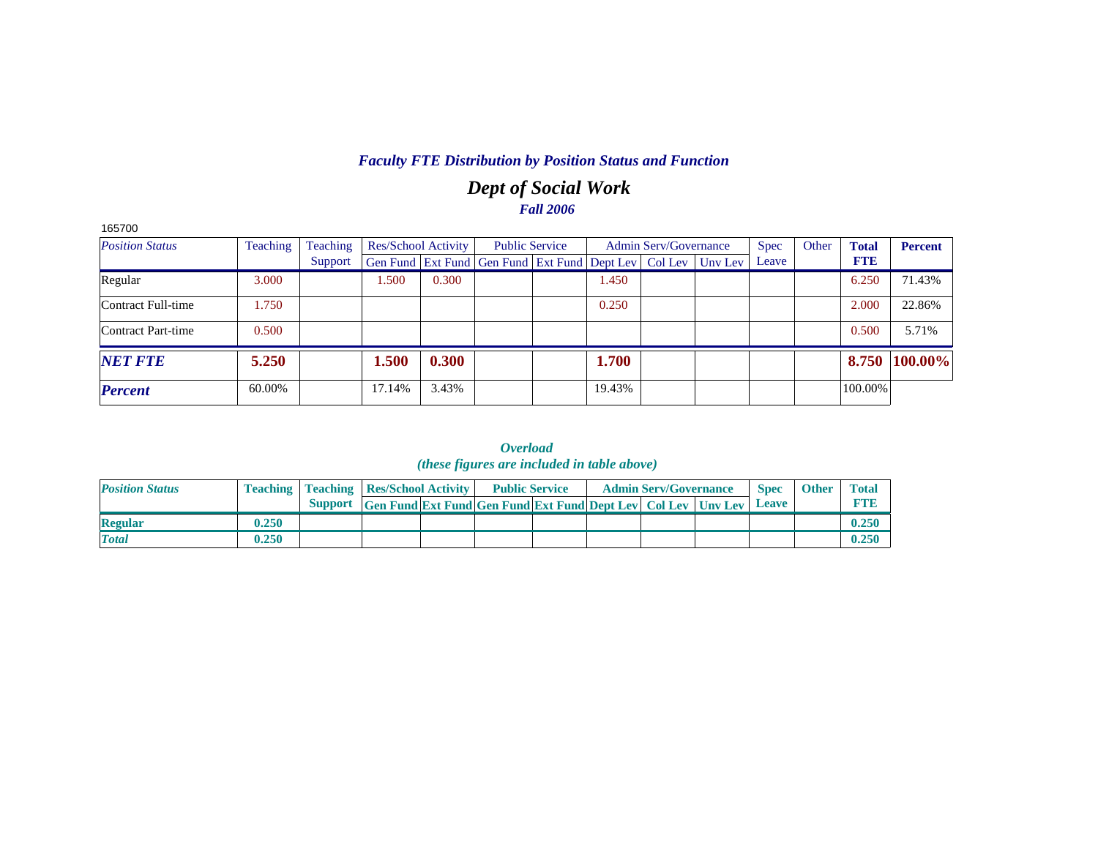# *Dept of Social Work Fall 2006*

| 165700                 |          |          |        |                     |                                                                          |        |                              |             |       |              |                |
|------------------------|----------|----------|--------|---------------------|--------------------------------------------------------------------------|--------|------------------------------|-------------|-------|--------------|----------------|
| <b>Position Status</b> | Teaching | Teaching |        | Res/School Activity | <b>Public Service</b>                                                    |        | <b>Admin Serv/Governance</b> | <b>Spec</b> | Other | <b>Total</b> | <b>Percent</b> |
|                        |          | Support  |        |                     | Gen Fund   Ext Fund   Gen Fund   Ext Fund   Dept Lev   Col Lev   Unv Lev |        |                              | Leave       |       | <b>FTE</b>   |                |
| Regular                | 3.000    |          | 1.500  | 0.300               |                                                                          | 1.450  |                              |             |       | 6.250        | 71.43%         |
| Contract Full-time     | 1.750    |          |        |                     |                                                                          | 0.250  |                              |             |       | 2.000        | 22.86%         |
| Contract Part-time     | 0.500    |          |        |                     |                                                                          |        |                              |             |       | 0.500        | 5.71%          |
| <b>NET FTE</b>         | 5.250    |          | 1.500  | 0.300               |                                                                          | 1.700  |                              |             |       |              | 8.750 100.00%  |
| <b>Percent</b>         | 60.00%   |          | 17.14% | 3.43%               |                                                                          | 19.43% |                              |             |       | 100.00%      |                |

*Overload (these figures are included in table above)*

| <b>Position Status</b> |       | <b>Teaching   Teaching   Res/School Activity  </b>                   | <b>Public Service</b> |  | <b>Admin Serv/Governance</b> | <b>Spec</b> | <b>Other</b> | <b>Total</b> |
|------------------------|-------|----------------------------------------------------------------------|-----------------------|--|------------------------------|-------------|--------------|--------------|
|                        |       | Support Gen Fund Ext Fund Gen Fund Ext Fund Dept Lev Col Lev Unv Lev |                       |  |                              | Leave       |              |              |
| <b>Regular</b>         | 0.250 |                                                                      |                       |  |                              |             |              | 0.250        |
| <b>Total</b>           | 0.250 |                                                                      |                       |  |                              |             |              | 0.250        |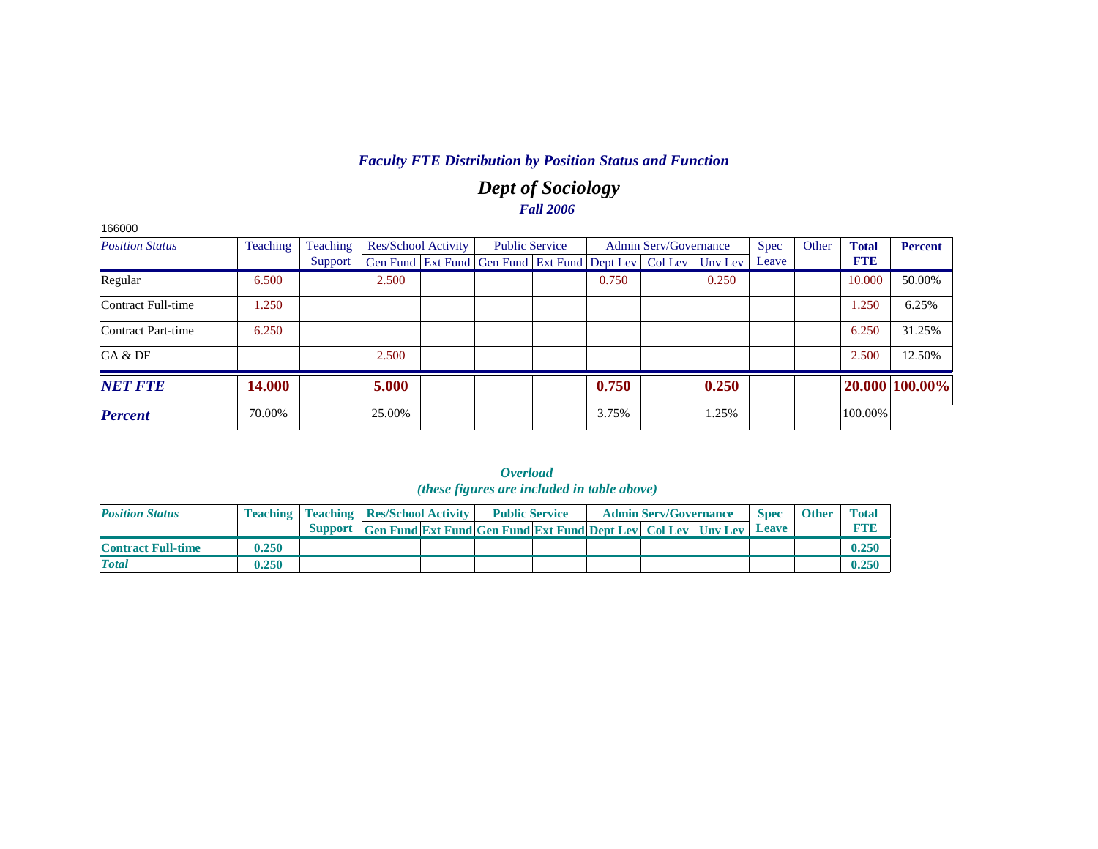# *Dept of Sociology Fall 2006*

| 166000                 |          |          |        |                            |                                                                |       |                              |         |             |       |              |                |
|------------------------|----------|----------|--------|----------------------------|----------------------------------------------------------------|-------|------------------------------|---------|-------------|-------|--------------|----------------|
| <b>Position Status</b> | Teaching | Teaching |        | <b>Res/School Activity</b> | <b>Public Service</b>                                          |       | <b>Admin Serv/Governance</b> |         | <b>Spec</b> | Other | <b>Total</b> | <b>Percent</b> |
|                        |          | Support  |        |                            | Gen Fund   Ext Fund   Gen Fund   Ext Fund   Dept Lev   Col Lev |       |                              | Uny Lev | Leave       |       | <b>FTB</b>   |                |
| Regular                | 6.500    |          | 2.500  |                            |                                                                | 0.750 |                              | 0.250   |             |       | 10.000       | 50.00%         |
| Contract Full-time     | .250     |          |        |                            |                                                                |       |                              |         |             |       | 1.250        | 6.25%          |
| Contract Part-time     | 6.250    |          |        |                            |                                                                |       |                              |         |             |       | 6.250        | 31.25%         |
| GA & DF                |          |          | 2.500  |                            |                                                                |       |                              |         |             |       | 2.500        | 12.50%         |
| <b>NET FTE</b>         | 14.000   |          | 5.000  |                            |                                                                | 0.750 |                              | 0.250   |             |       |              | 20.000 100.00% |
| <b>Percent</b>         | 70.00%   |          | 25.00% |                            |                                                                | 3.75% |                              | 1.25%   |             |       | 100.00%      |                |

|                           |       |                                                    |                                                                           | <i>(these figures are included in table above)</i> |  |                              |              |              |              |
|---------------------------|-------|----------------------------------------------------|---------------------------------------------------------------------------|----------------------------------------------------|--|------------------------------|--------------|--------------|--------------|
| <b>Position Status</b>    |       | <b>Teaching   Teaching   Res/School Activity  </b> |                                                                           | <b>Public Service</b>                              |  | <b>Admin Serv/Governance</b> | <b>Spec</b>  | <b>Other</b> | <b>Total</b> |
|                           |       | <b>Support</b>                                     | <b>Gen Fund Ext Fund Gen Fund Ext Fund Dept Lev   Col Lev   Unv Lev  </b> |                                                    |  |                              | <b>Leave</b> |              | <b>FTE</b>   |
| <b>Contract Full-time</b> | 0.250 |                                                    |                                                                           |                                                    |  |                              |              |              | 0.250        |
| <b>Total</b>              | 0.250 |                                                    |                                                                           |                                                    |  |                              |              |              | 0.250        |

*Overload*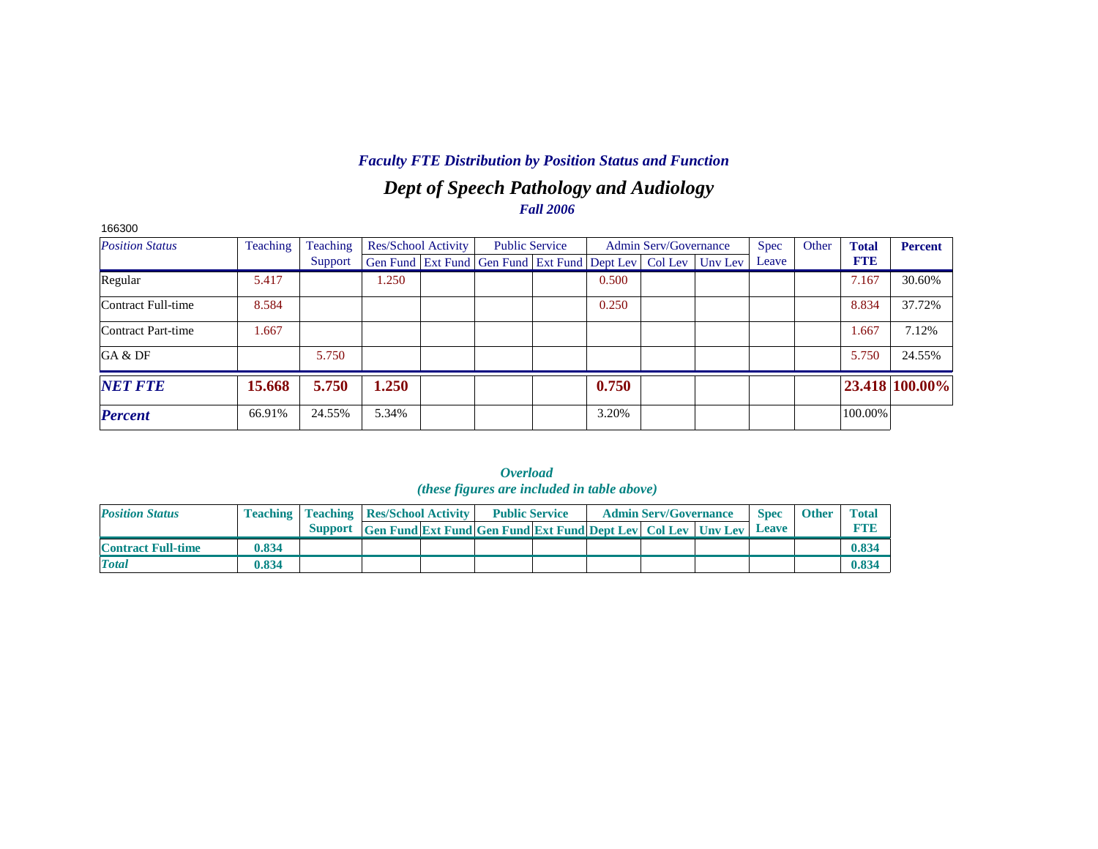## *Dept of Speech Pathology and Audiology Fall 2006*

| 166300                 |          |          |       |                     |                                                                |       |                              |         |             |       |              |                |
|------------------------|----------|----------|-------|---------------------|----------------------------------------------------------------|-------|------------------------------|---------|-------------|-------|--------------|----------------|
| <b>Position Status</b> | Teaching | Teaching |       | Res/School Activity | <b>Public Service</b>                                          |       | <b>Admin Serv/Governance</b> |         | <b>Spec</b> | Other | <b>Total</b> | <b>Percent</b> |
|                        |          | Support  |       |                     | Gen Fund   Ext Fund   Gen Fund   Ext Fund   Dept Lev   Col Lev |       |                              | Uny Lev | Leave       |       | <b>FTE</b>   |                |
| Regular                | 5.417    |          | 1.250 |                     |                                                                | 0.500 |                              |         |             |       | 7.167        | 30.60%         |
| Contract Full-time     | 8.584    |          |       |                     |                                                                | 0.250 |                              |         |             |       | 8.834        | 37.72%         |
| Contract Part-time     | 1.667    |          |       |                     |                                                                |       |                              |         |             |       | 1.667        | 7.12%          |
| GA & DF                |          | 5.750    |       |                     |                                                                |       |                              |         |             |       | 5.750        | 24.55%         |
| <b>NET FTE</b>         | 15.668   | 5.750    | 1.250 |                     |                                                                | 0.750 |                              |         |             |       |              | 23.418 100.00% |
| <b>Percent</b>         | 66.91%   | 24.55%   | 5.34% |                     |                                                                | 3.20% |                              |         |             |       | 100.00%      |                |

|                           |       |                                                    |  | . <i>.</i><br><i>(these figures are included in table above)</i>           |  |                              |             |              |              |
|---------------------------|-------|----------------------------------------------------|--|----------------------------------------------------------------------------|--|------------------------------|-------------|--------------|--------------|
| <b>Position Status</b>    |       | <b>Teaching   Teaching   Res/School Activity  </b> |  | <b>Public Service</b>                                                      |  | <b>Admin Serv/Governance</b> | <b>Spec</b> | <b>Other</b> | <b>Total</b> |
|                           |       |                                                    |  | Support Gen Fund Ext Fund Gen Fund Ext Fund Dept Lev Col Lev Unv Lev Leave |  |                              |             |              | <b>FTR</b>   |
| <b>Contract Full-time</b> | 0.834 |                                                    |  |                                                                            |  |                              |             |              | 0.834        |
| <b>Total</b>              | 0.834 |                                                    |  |                                                                            |  |                              |             |              | 0.834        |

*Overload*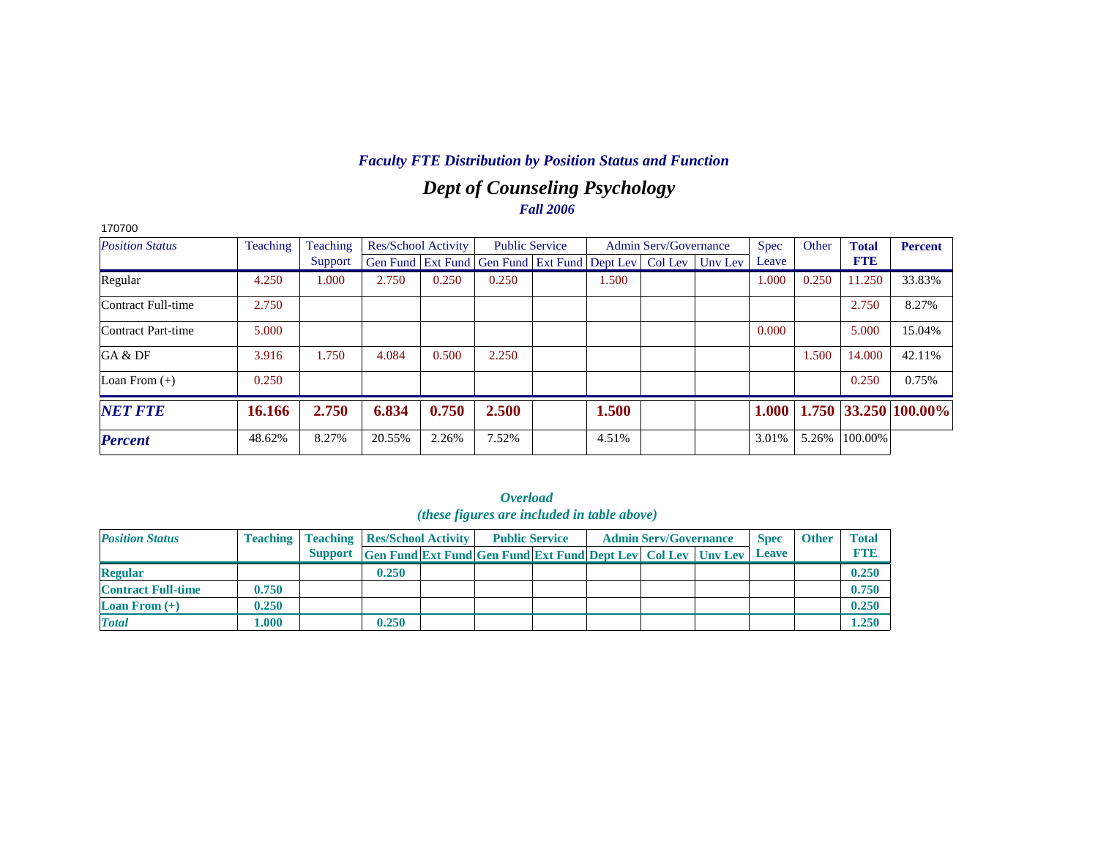# *Dept of Counseling Psychology Fall 2006*

| 170700                 |          |          |                            |       |                                                                |       |                              |         |             |       |              |                      |
|------------------------|----------|----------|----------------------------|-------|----------------------------------------------------------------|-------|------------------------------|---------|-------------|-------|--------------|----------------------|
| <b>Position Status</b> | Teaching | Teaching | <b>Res/School Activity</b> |       | <b>Public Service</b>                                          |       | <b>Admin Serv/Governance</b> |         | <b>Spec</b> | Other | <b>Total</b> | <b>Percent</b>       |
|                        |          | Support  |                            |       | Gen Fund   Ext Fund   Gen Fund   Ext Fund   Dept Lev   Col Lev |       |                              | Unv Lev | Leave       |       | <b>FTE</b>   |                      |
| Regular                | 4.250    | 1.000    | 2.750                      | 0.250 | 0.250                                                          | 1.500 |                              |         | 1.000       | 0.250 | 11.250       | 33.83%               |
| Contract Full-time     | 2.750    |          |                            |       |                                                                |       |                              |         |             |       | 2.750        | 8.27%                |
| Contract Part-time     | 5.000    |          |                            |       |                                                                |       |                              |         | 0.000       |       | 5.000        | 15.04%               |
| GA & DF                | 3.916    | 1.750    | 4.084                      | 0.500 | 2.250                                                          |       |                              |         |             | 1.500 | 14.000       | 42.11%               |
| Loan From $(+)$        | 0.250    |          |                            |       |                                                                |       |                              |         |             |       | 0.250        | 0.75%                |
| <b>NET FTE</b>         | 16.166   | 2.750    | 6.834                      | 0.750 | 2.500                                                          | 1.500 |                              |         | 1.000       |       |              | 1.750 33.250 100.00% |
| <b>Percent</b>         | 48.62%   | 8.27%    | 20.55%                     | 2.26% | 7.52%                                                          | 4.51% |                              |         | 3.01%       | 5.26% | 100.00%      |                      |

|                           |                 |                |                                                                     | <i>(these figures are included in table above)</i> |  |                              |              |              |              |
|---------------------------|-----------------|----------------|---------------------------------------------------------------------|----------------------------------------------------|--|------------------------------|--------------|--------------|--------------|
| <b>Position Status</b>    | <b>Teaching</b> |                | <b>Teaching Res/School Activity</b>                                 | <b>Public Service</b>                              |  | <b>Admin Serv/Governance</b> | <b>Spec</b>  | <b>Other</b> | <b>Total</b> |
|                           |                 | <b>Support</b> | <b>Gen Fund Ext Fund Gen Fund Ext Fund Dept Lev Col Lev Unv Lev</b> |                                                    |  |                              | <b>Leave</b> |              | <b>FTE</b>   |
| <b>Regular</b>            |                 |                | 0.250                                                               |                                                    |  |                              |              |              | 0.250        |
| <b>Contract Full-time</b> | 0.750           |                |                                                                     |                                                    |  |                              |              |              | 0.750        |
| Loan From $(+)$           | 0.250           |                |                                                                     |                                                    |  |                              |              |              | 0.250        |
| <b>Total</b>              | 1.000           |                | 0.250                                                               |                                                    |  |                              |              |              | 1.250        |

# *Overload*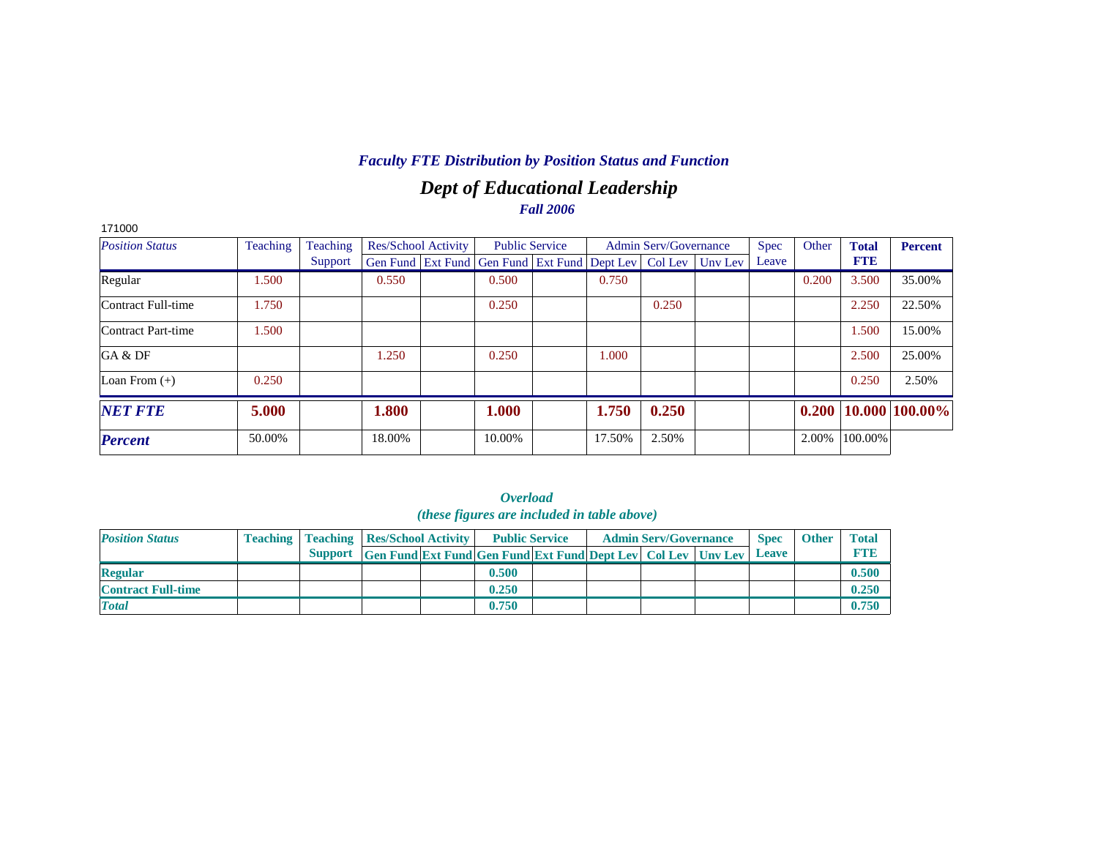# *Dept of Educational Leadership Fall 2006*

| 171000                 |          |          |                            |                                                                          |        |                              |             |       |              |                             |
|------------------------|----------|----------|----------------------------|--------------------------------------------------------------------------|--------|------------------------------|-------------|-------|--------------|-----------------------------|
| <b>Position Status</b> | Teaching | Teaching | <b>Res/School Activity</b> | <b>Public Service</b>                                                    |        | <b>Admin Serv/Governance</b> | <b>Spec</b> | Other | <b>Total</b> | <b>Percent</b>              |
|                        |          | Support  |                            | Gen Fund   Ext Fund   Gen Fund   Ext Fund   Dept Lev   Col Lev   Unv Lev |        |                              | Leave       |       | <b>FTE</b>   |                             |
| Regular                | 1.500    |          | 0.550                      | 0.500                                                                    | 0.750  |                              |             | 0.200 | 3.500        | 35.00%                      |
| Contract Full-time     | 1.750    |          |                            | 0.250                                                                    |        | 0.250                        |             |       | 2.250        | 22.50%                      |
| Contract Part-time     | 1.500    |          |                            |                                                                          |        |                              |             |       | 1.500        | 15.00%                      |
| GA & DF                |          |          | 1.250                      | 0.250                                                                    | 1.000  |                              |             |       | 2.500        | 25.00%                      |
| Loan From $(+)$        | 0.250    |          |                            |                                                                          |        |                              |             |       | 0.250        | 2.50%                       |
| <b>NET FTE</b>         | 5.000    |          | 1.800                      | 1.000                                                                    | 1.750  | 0.250                        |             |       |              | $0.200   10.000   100.00\%$ |
| <b>Percent</b>         | 50.00%   |          | 18.00%                     | 10.00%                                                                   | 17.50% | 2.50%                        |             | 2.00% | 100.00%      |                             |

| ( <i>these figures are included in table above</i> ) |  |                                                    |                                                                     |  |                       |  |  |                              |  |              |              |              |  |
|------------------------------------------------------|--|----------------------------------------------------|---------------------------------------------------------------------|--|-----------------------|--|--|------------------------------|--|--------------|--------------|--------------|--|
| <b>Position Status</b>                               |  | <b>Teaching   Teaching   Res/School Activity  </b> |                                                                     |  | <b>Public Service</b> |  |  | <b>Admin Serv/Governance</b> |  | <b>Spec</b>  | <b>Other</b> | <b>Total</b> |  |
|                                                      |  | Support                                            | <b>Gen Fund Ext Fund Gen Fund Ext Fund Dept Lev Col Lev Unv Lev</b> |  |                       |  |  |                              |  | <b>Leave</b> |              | <b>FTE</b>   |  |
| <b>Regular</b>                                       |  |                                                    |                                                                     |  | 0.500                 |  |  |                              |  |              |              | 0.500        |  |
| <b>Contract Full-time</b>                            |  |                                                    |                                                                     |  | 0.250                 |  |  |                              |  |              |              | 0.250        |  |
| <b>Total</b>                                         |  |                                                    |                                                                     |  | 0.750                 |  |  |                              |  |              |              | 0.750        |  |

| <i><b>Overload</b></i> |  |  |                                            |  |  |  |  |  |  |  |  |  |
|------------------------|--|--|--------------------------------------------|--|--|--|--|--|--|--|--|--|
|                        |  |  | (these figures are included in table above |  |  |  |  |  |  |  |  |  |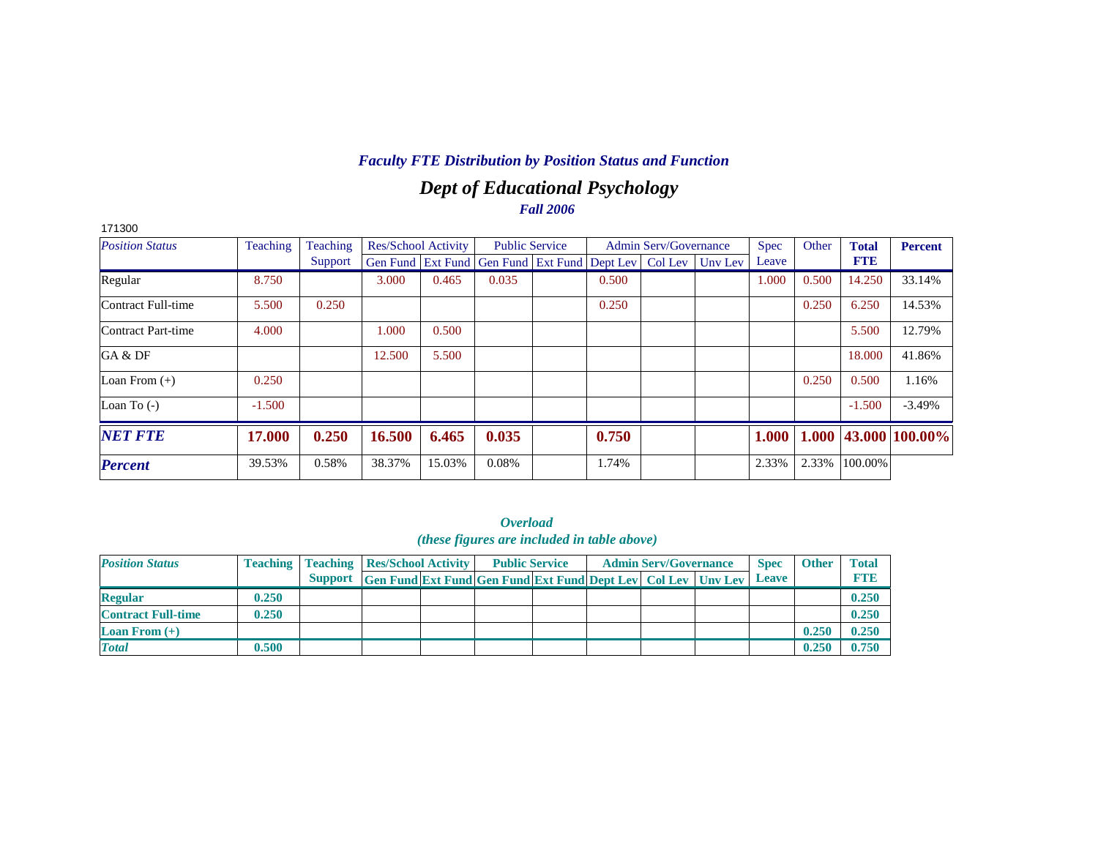# *Dept of Educational Psychology Fall 2006*

| 171300                 |          |          |        |                            |                                                        |                       |       |                              |         |             |       |              |                      |
|------------------------|----------|----------|--------|----------------------------|--------------------------------------------------------|-----------------------|-------|------------------------------|---------|-------------|-------|--------------|----------------------|
| <b>Position Status</b> | Teaching | Teaching |        | <b>Res/School Activity</b> |                                                        | <b>Public Service</b> |       | <b>Admin Serv/Governance</b> |         | <b>Spec</b> | Other | <b>Total</b> | <b>Percent</b>       |
|                        |          | Support  |        |                            | Gen Fund Ext Fund Gen Fund Ext Fund Dept Lev   Col Lev |                       |       |                              | Uny Lev | Leave       |       | <b>FTE</b>   |                      |
| Regular                | 8.750    |          | 3.000  | 0.465                      | 0.035                                                  |                       | 0.500 |                              |         | 1.000       | 0.500 | 14.250       | 33.14%               |
| Contract Full-time     | 5.500    | 0.250    |        |                            |                                                        |                       | 0.250 |                              |         |             | 0.250 | 6.250        | 14.53%               |
| Contract Part-time     | 4.000    |          | 1.000  | 0.500                      |                                                        |                       |       |                              |         |             |       | 5.500        | 12.79%               |
| GA & DF                |          |          | 12.500 | 5.500                      |                                                        |                       |       |                              |         |             |       | 18.000       | 41.86%               |
| Loan From $(+)$        | 0.250    |          |        |                            |                                                        |                       |       |                              |         |             | 0.250 | 0.500        | 1.16%                |
| Loan To $(-)$          | $-1.500$ |          |        |                            |                                                        |                       |       |                              |         |             |       | $-1.500$     | $-3.49%$             |
| <b>NET FTE</b>         | 17.000   | 0.250    | 16.500 | 6.465                      | 0.035                                                  |                       | 0.750 |                              |         | 1.000       |       |              | 1.000 43.000 100.00% |
| <b>Percent</b>         | 39.53%   | 0.58%    | 38.37% | 15.03%                     | 0.08%                                                  |                       | 1.74% |                              |         | 2.33%       | 2.33% | 100.00%      |                      |

|                                             | <i><b>Overload</b></i> |  |  |
|---------------------------------------------|------------------------|--|--|
| (these figures are included in table above) |                        |  |  |

| <b>Position Status</b>    |       | <b>Teaching   Teaching   Res/School Activity  </b> |                                                                     | <b>Public Service</b> |  | <b>Admin Serv/Governance</b> | <b>Spec</b>  | <b>Other</b> | <b>Total</b> |
|---------------------------|-------|----------------------------------------------------|---------------------------------------------------------------------|-----------------------|--|------------------------------|--------------|--------------|--------------|
|                           |       | <b>Support</b>                                     | <b>Gen Fund Ext Fund Gen Fund Ext Fund Dept Lev Col Lev Unv Lev</b> |                       |  |                              | <b>Leave</b> |              | <b>FTIE</b>  |
| <b>Regular</b>            | 0.250 |                                                    |                                                                     |                       |  |                              |              |              | 0.250        |
| <b>Contract Full-time</b> | 0.250 |                                                    |                                                                     |                       |  |                              |              |              | 0.250        |
| <b>Loan From</b> $(+)$    |       |                                                    |                                                                     |                       |  |                              |              | 0.250        | 0.250        |
| <b>Total</b>              | 0.500 |                                                    |                                                                     |                       |  |                              |              | 0.250        | 0.750        |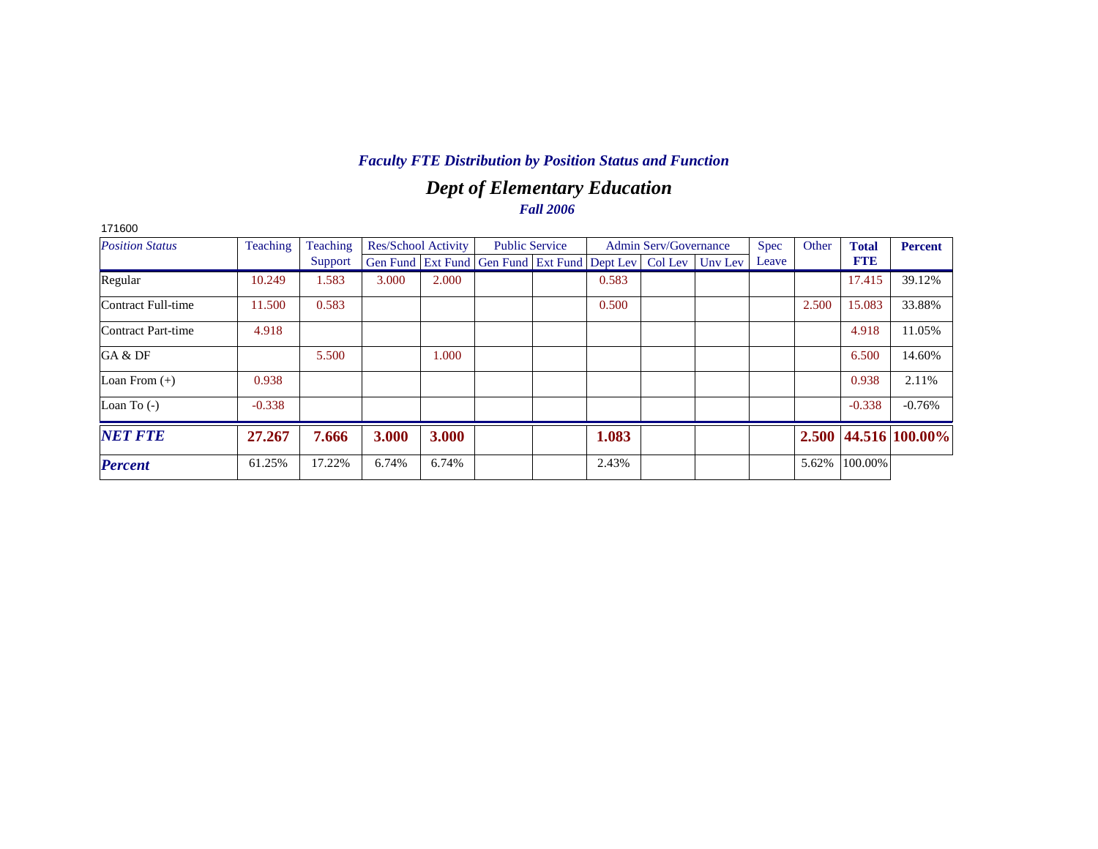# *Dept of Elementary Education Fall 2006*

| 171600                 |          |          |       |                     |                                                                |                       |       |                              |         |             |       |              |                      |
|------------------------|----------|----------|-------|---------------------|----------------------------------------------------------------|-----------------------|-------|------------------------------|---------|-------------|-------|--------------|----------------------|
| <b>Position Status</b> | Teaching | Teaching |       | Res/School Activity |                                                                | <b>Public Service</b> |       | <b>Admin Serv/Governance</b> |         | <b>Spec</b> | Other | <b>Total</b> | <b>Percent</b>       |
|                        |          | Support  |       |                     | Gen Fund   Ext Fund   Gen Fund   Ext Fund   Dept Lev   Col Lev |                       |       |                              | Unv Lev | Leave       |       | <b>FTE</b>   |                      |
| Regular                | 10.249   | 1.583    | 3.000 | 2.000               |                                                                |                       | 0.583 |                              |         |             |       | 17.415       | 39.12%               |
| Contract Full-time     | 11.500   | 0.583    |       |                     |                                                                |                       | 0.500 |                              |         |             | 2.500 | 15.083       | 33.88%               |
| Contract Part-time     | 4.918    |          |       |                     |                                                                |                       |       |                              |         |             |       | 4.918        | 11.05%               |
| GA & DF                |          | 5.500    |       | 1.000               |                                                                |                       |       |                              |         |             |       | 6.500        | 14.60%               |
| Loan From $(+)$        | 0.938    |          |       |                     |                                                                |                       |       |                              |         |             |       | 0.938        | 2.11%                |
| Loan To $(-)$          | $-0.338$ |          |       |                     |                                                                |                       |       |                              |         |             |       | $-0.338$     | $-0.76%$             |
| <b>NET FTE</b>         | 27.267   | 7.666    | 3.000 | 3.000               |                                                                |                       | 1.083 |                              |         |             |       |              | 2.500 44.516 100.00% |
| <b>Percent</b>         | 61.25%   | 17.22%   | 6.74% | 6.74%               |                                                                |                       | 2.43% |                              |         |             | 5.62% | 100.00%      |                      |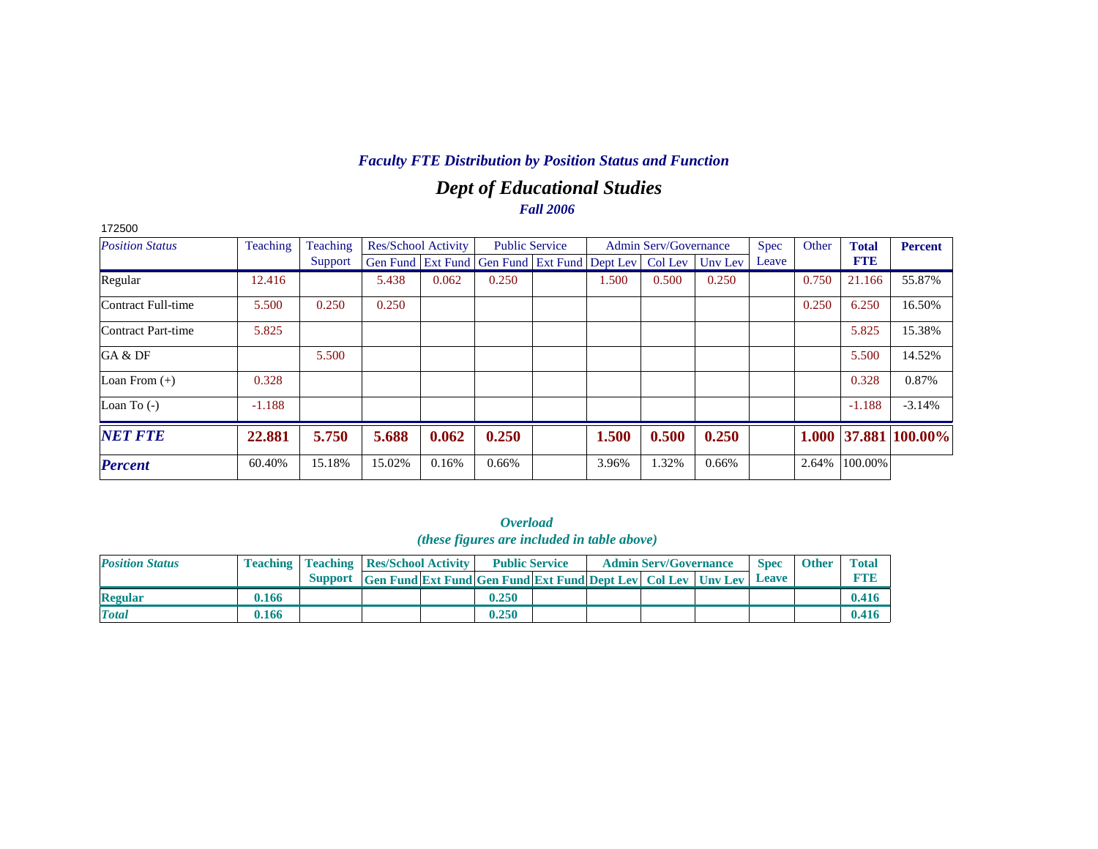# *Dept of Educational Studies Fall 2006*

| 172500                 |                 |          |                            |       |                                              |                       |       |                              |         |             |       |              |                |
|------------------------|-----------------|----------|----------------------------|-------|----------------------------------------------|-----------------------|-------|------------------------------|---------|-------------|-------|--------------|----------------|
| <b>Position Status</b> | <b>Teaching</b> | Teaching | <b>Res/School Activity</b> |       |                                              | <b>Public Service</b> |       | <b>Admin Serv/Governance</b> |         | <b>Spec</b> | Other | <b>Total</b> | <b>Percent</b> |
|                        |                 | Support  |                            |       | Gen Fund Ext Fund Gen Fund Ext Fund Dept Lev |                       |       | Col Lev                      | Unv Lev | Leave       |       | <b>FTE</b>   |                |
| Regular                | 12.416          |          | 5.438                      | 0.062 | 0.250                                        |                       | 1.500 | 0.500                        | 0.250   |             | 0.750 | 21.166       | 55.87%         |
| Contract Full-time     | 5.500           | 0.250    | 0.250                      |       |                                              |                       |       |                              |         |             | 0.250 | 6.250        | 16.50%         |
| Contract Part-time     | 5.825           |          |                            |       |                                              |                       |       |                              |         |             |       | 5.825        | 15.38%         |
| GA & DF                |                 | 5.500    |                            |       |                                              |                       |       |                              |         |             |       | 5.500        | 14.52%         |
| Loan From $(+)$        | 0.328           |          |                            |       |                                              |                       |       |                              |         |             |       | 0.328        | 0.87%          |
| Loan To $(-)$          | $-1.188$        |          |                            |       |                                              |                       |       |                              |         |             |       | $-1.188$     | $-3.14%$       |
| <b>NET FTE</b>         | 22.881          | 5.750    | 5.688                      | 0.062 | 0.250                                        |                       | 1.500 | 0.500                        | 0.250   |             | 1.000 | 37.881       | 100.00%        |
| <b>Percent</b>         | 60.40%          | 15.18%   | 15.02%                     | 0.16% | 0.66%                                        |                       | 3.96% | 1.32%                        | 0.66%   |             | 2.64% | 100.00%      |                |

*Overload (these figures are included in table above)*

| <b>Position Status</b> |       | <b>Teaching   Teaching   Res/School Activity  </b>                   | <b>Public Service</b> |  | <b>Admin Serv/Governance</b> | <b>Spec</b>  | <b>Other</b> | <b>Total</b> |
|------------------------|-------|----------------------------------------------------------------------|-----------------------|--|------------------------------|--------------|--------------|--------------|
|                        |       | Support Gen Fund Ext Fund Gen Fund Ext Fund Dept Lev Col Lev Unv Lev |                       |  |                              | <b>Leave</b> |              |              |
| <b>Regular</b>         | 0.166 |                                                                      | 0.250                 |  |                              |              |              | 0.416        |
| <b>Total</b>           | 0.166 |                                                                      | 0.250                 |  |                              |              |              | 0.416        |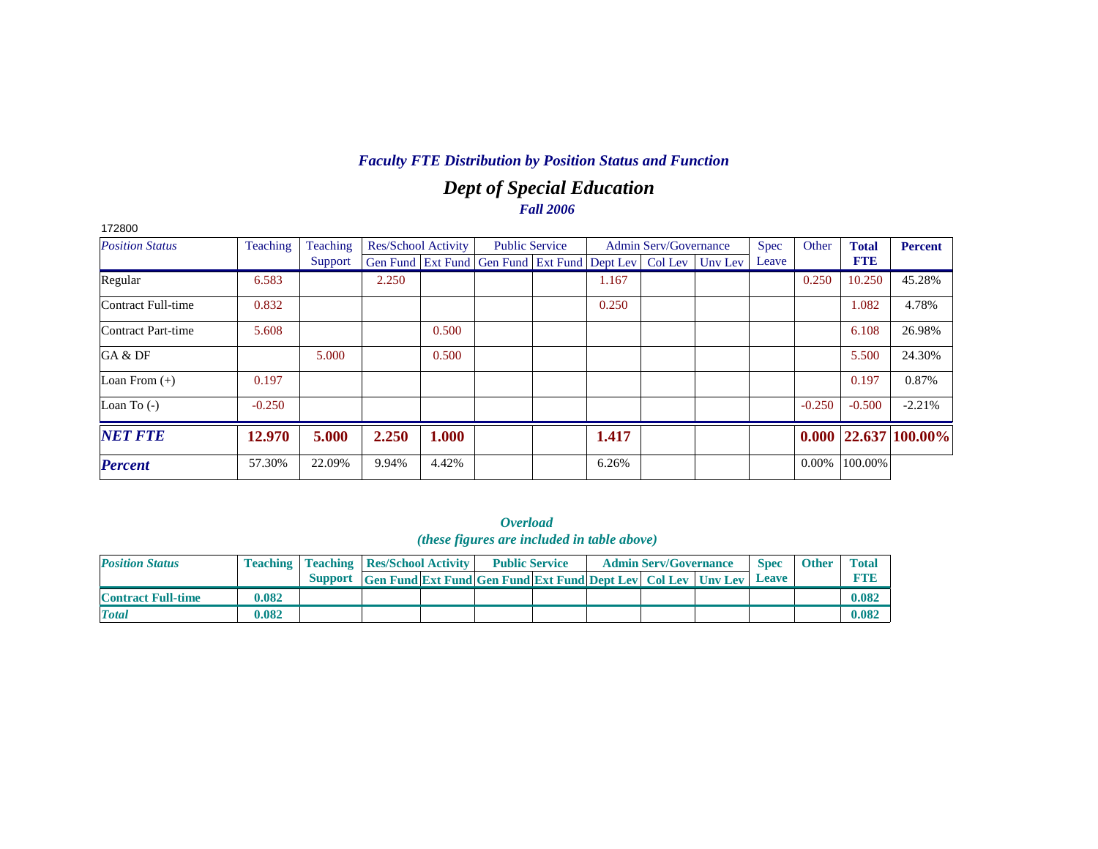# *Dept of Special Education Fall 2006*

| 172800                    |          |          |                     |       |                                                                |                       |       |                              |         |             |          |              |                            |
|---------------------------|----------|----------|---------------------|-------|----------------------------------------------------------------|-----------------------|-------|------------------------------|---------|-------------|----------|--------------|----------------------------|
| <b>Position Status</b>    | Teaching | Teaching | Res/School Activity |       |                                                                | <b>Public Service</b> |       | <b>Admin Serv/Governance</b> |         | <b>Spec</b> | Other    | <b>Total</b> | <b>Percent</b>             |
|                           |          | Support  |                     |       | Gen Fund   Ext Fund   Gen Fund   Ext Fund   Dept Lev   Col Lev |                       |       |                              | Unv Lev | Leave       |          | <b>FTE</b>   |                            |
| Regular                   | 6.583    |          | 2.250               |       |                                                                |                       | 1.167 |                              |         |             | 0.250    | 10.250       | 45.28%                     |
| Contract Full-time        | 0.832    |          |                     |       |                                                                |                       | 0.250 |                              |         |             |          | 1.082        | 4.78%                      |
| <b>Contract Part-time</b> | 5.608    |          |                     | 0.500 |                                                                |                       |       |                              |         |             |          | 6.108        | 26.98%                     |
| GA & DF                   |          | 5.000    |                     | 0.500 |                                                                |                       |       |                              |         |             |          | 5.500        | 24.30%                     |
| Loan From $(+)$           | 0.197    |          |                     |       |                                                                |                       |       |                              |         |             |          | 0.197        | 0.87%                      |
| Loan To $(-)$             | $-0.250$ |          |                     |       |                                                                |                       |       |                              |         |             | $-0.250$ | $-0.500$     | $-2.21%$                   |
| <b>NET FTE</b>            | 12.970   | 5.000    | 2.250               | 1.000 |                                                                |                       | 1.417 |                              |         |             |          |              | $0.000$   22.637   100.00% |
| <b>Percent</b>            | 57.30%   | 22.09%   | 9.94%               | 4.42% |                                                                |                       | 6.26% |                              |         |             | $0.00\%$ | 100.00%      |                            |

#### *Overload (these figures are included in table above)*

| <b>Position Status</b>    |       | <b>Teaching   Teaching   Res/School Activity  </b> |                                                                          | <b>Public Service</b> |  | <b>Admin Serv/Governance</b> | <b>Spec</b> | <b>Other</b> | <b>Total</b> |
|---------------------------|-------|----------------------------------------------------|--------------------------------------------------------------------------|-----------------------|--|------------------------------|-------------|--------------|--------------|
|                           |       |                                                    | Support Gen Fund Ext Fund Gen Fund Ext Fund Dept Lev   Col Lev   Unv Lev |                       |  |                              | Leave       |              |              |
| <b>Contract Full-time</b> | 0.082 |                                                    |                                                                          |                       |  |                              |             |              | 0.082        |
| <b>Total</b>              | 0.082 |                                                    |                                                                          |                       |  |                              |             |              | 0.082        |